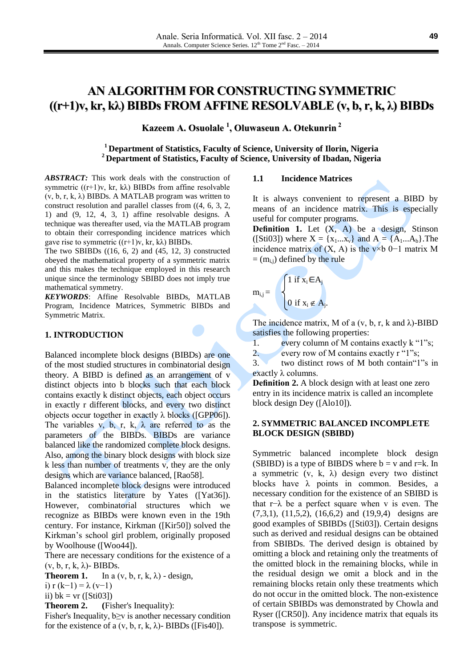# **AN ALGORITHM FOR CONSTRUCTING SYMMETRIC ((r+1)v, kr, kλ) BIBDs FROM AFFINE RESOLVABLE (v, b, r, k, λ) BIBDs**

**Kazeem A. Osuolale 1 , Oluwaseun A. Otekunrin 2**

# **<sup>1</sup> Department of Statistics, Faculty of Science, University of Ilorin, Nigeria <sup>2</sup> Department of Statistics, Faculty of Science, University of Ibadan, Nigeria**

*ABSTRACT:* This work deals with the construction of symmetric  $((r+1)v, kr, k\lambda)$  BIBDs from affine resolvable  $(v, b, r, k, \lambda)$  BIBDs. A MATLAB program was written to construct resolution and parallel classes from ((4, 6, 3, 2, 1) and (9, 12, 4, 3, 1) affine resolvable designs. A technique was thereafter used, via the MATLAB program to obtain their corresponding incidence matrices which gave rise to symmetric  $((r+1)v, kr, k\lambda)$  BIBDs.

The two SBIBDs  $((16, 6, 2)$  and  $(45, 12, 3)$  constructed obeyed the mathematical property of a symmetric matrix and this makes the technique employed in this research unique since the terminology SBIBD does not imply true mathematical symmetry.

*KEYWORDS*: Affine Resolvable BIBDs, MATLAB Program, Incidence Matrices, Symmetric BIBDs and Symmetric Matrix.

# **1. INTRODUCTION**

Balanced incomplete block designs (BIBDs) are one of the most studied structures in combinatorial design theory. A BIBD is defined as an arrangement of v distinct objects into b blocks such that each block contains exactly k distinct objects, each object occurs in exactly r different blocks, and every two distinct objects occur together in exactly λ blocks ([GPP06]). The variables v, b, r, k,  $\lambda$  are referred to as the parameters of the BIBDs. BIBDs are variance balanced like the randomized complete block designs. Also, among the binary block designs with block size k less than number of treatments v, they are the only designs which are variance balanced, [Rao58].

Balanced incomplete block designs were introduced in the statistics literature by Yates ([Yat36]). However, combinatorial structures which we recognize as BIBDs were known even in the 19th century. For instance, Kirkman ([Kir50]) solved the Kirkman's school girl problem, originally proposed by Woolhouse ([Woo44]).

There are necessary conditions for the existence of a  $(v, b, r, k, \lambda)$ - BIBDs.

**Theorem 1.** In a  $(v, b, r, k, \lambda)$  - design, i)  $r (k-1) = \lambda (v-1)$ 

ii)  $bk = vr$  ([Sti03])

**Theorem 2. (**Fisher's Inequality):

Fisher's Inequality,  $b \ge v$  is another necessary condition for the existence of a  $(v, b, r, k, \lambda)$ - BIBDs ([Fis40]).

# **1.1 Incidence Matrices**

It is always convenient to represent a BIBD by means of an incidence matrix. This is especially useful for computer programs.

**Definition 1.** Let  $(X, A)$  be a design, Stinson ([Sti03]) where  $X = \{x_1...x_v\}$  and  $A = \{A_1...A_k\}$ . The incidence matrix of  $(X, A)$  is the v×b 0−1 matrix M  $=$  (m<sub>ij</sub>) defined by the rule

$$
m_{i,j} = \begin{cases} 1 \text{ if } x_i \in A_j \\ 0 \text{ if } x_i \notin A_j. \end{cases}
$$

The incidence matrix, M of a  $(v, b, r, k \text{ and } \lambda)$ -BIBD satisfies the following properties:

1. every column of M contains exactly k "1"s;

2. every row of M contains exactly r "1"s;

3. two distinct rows of M both contain"1"s in exactly λ columns.

**Definition 2.** A block design with at least one zero entry in its incidence matrix is called an incomplete block design Dey ([Alo10]).

### **2. SYMMETRIC BALANCED INCOMPLETE BLOCK DESIGN (SBIBD)**

Symmetric balanced incomplete block design (SBIBD) is a type of BIBDS where  $b = v$  and r=k. In a symmetric  $(v, k, \lambda)$  design every two distinct blocks have λ points in common. Besides, a necessary condition for the existence of an SBIBD is that r−λ be a perfect square when v is even. The (7,3,1), (11,5,2), (16,6,2) and (19,9,4) designs are good examples of SBIBDs ([Sti03]). Certain designs such as derived and residual designs can be obtained from SBIBDs. The derived design is obtained by omitting a block and retaining only the treatments of the omitted block in the remaining blocks, while in the residual design we omit a block and in the remaining blocks retain only these treatments which do not occur in the omitted block. The non-existence of certain SBIBDs was demonstrated by Chowla and Ryser ([CR50]). Any incidence matrix that equals its transpose is symmetric.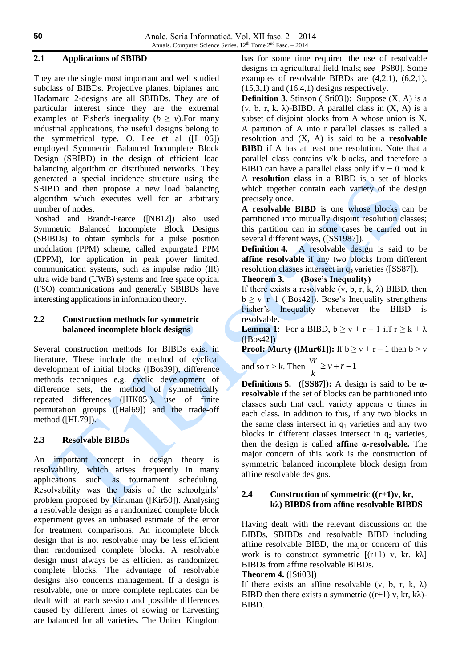# **2.1 Applications of SBIBD**

They are the single most important and well studied subclass of BIBDs. Projective planes, biplanes and Hadamard 2-designs are all SBIBDs. They are of particular interest since they are the extremal examples of Fisher's inequality ( $b \ge v$ ). For many industrial applications, the useful designs belong to the symmetrical type. O. Lee et al  $([L+06])$ employed Symmetric Balanced Incomplete Block Design (SBIBD) in the design of efficient load balancing algorithm on distributed networks. They generated a special incidence structure using the SBIBD and then propose a new load balancing algorithm which executes well for an arbitrary number of nodes.

Noshad and Brandt-Pearce ([NB12]) also used Symmetric Balanced Incomplete Block Designs (SBIBDs) to obtain symbols for a pulse position modulation (PPM) scheme, called expurgated PPM (EPPM), for application in peak power limited, communication systems, such as impulse radio (IR) ultra wide band (UWB) systems and free space optical (FSO) communications and generally SBIBDs have interesting applications in information theory.

# **2.2 Construction methods for symmetric balanced incomplete block designs**

Several construction methods for BIBDs exist in literature. These include the method of cyclical development of initial blocks ([Bos39]), difference methods techniques e.g. cyclic development of difference sets, the method of symmetrically repeated differences ([HK05]), use of finite permutation groups ([Hal69]) and the trade-off method ([HL79]).

# **2.3 Resolvable BIBDs**

An important concept in design theory is resolvability, which arises frequently in many applications such as tournament scheduling. Resolvability was the basis of the schoolgirls' problem proposed by Kirkman ([Kir50]). Analysing a resolvable design as a randomized complete block experiment gives an unbiased estimate of the error for treatment comparisons. An incomplete block design that is not resolvable may be less efficient than randomized complete blocks. A resolvable design must always be as efficient as randomized complete blocks. The advantage of resolvable designs also concerns management. If a design is resolvable, one or more complete replicates can be dealt with at each session and possible differences caused by different times of sowing or harvesting are balanced for all varieties. The United Kingdom has for some time required the use of resolvable designs in agricultural field trials; see [PS80]. Some examples of resolvable BIBDs are (4,2,1), (6,2,1),  $(15,3,1)$  and  $(16,4,1)$  designs respectively.

**Definition 3.** Stinson ([Sti03]): Suppose (X, A) is a (v, b, r, k,  $\lambda$ )-BIBD. A parallel class in  $(X, A)$  is a subset of disjoint blocks from A whose union is X. A partition of A into r parallel classes is called a resolution and (X, A) is said to be a **resolvable BIBD** if A has at least one resolution. Note that a parallel class contains v/k blocks, and therefore a BIBD can have a parallel class only if  $v \equiv 0 \text{ mod } k$ . A **resolution class** in a BIBD is a set of blocks which together contain each variety of the design precisely once.

**A resolvable BIBD** is one whose blocks can be partitioned into mutually disjoint resolution classes; this partition can in some cases be carried out in several different ways, ([SS1987]).

**Definition 4.** A resolvable design is said to be **affine resolvable** if any two blocks from different resolution classes intersect in q<sub>2</sub> varieties ([SS87]).

**Theorem 3. (Bose's Inequality)**

If there exists a resolvable  $(v, b, r, k, \lambda)$  BIBD, then  $b \geq v+r-1$  ([Bos42]). Bose's Inequality strengthens Fisher's Inequality whenever the BIBD is resolvable.

**Lemma 1**: For a BIBD,  $b > v + r - 1$  iff  $r > k + \lambda$ ([Bos42])

**Proof: Murty ([Mur61]):** If  $b \ge v + r - 1$  then  $b > v$ *vr*

and so 
$$
r > k
$$
. Then  $\frac{vr}{k} \ge v + r - 1$ 

**Definitions 5. ([SS87]):** A design is said to be **αresolvable** if the set of blocks can be partitioned into classes such that each variety appears  $\alpha$  times in each class. In addition to this, if any two blocks in the same class intersect in  $q_1$  varieties and any two blocks in different classes intersect in  $q_2$  varieties, then the design is called **affine α-resolvable.** The major concern of this work is the construction of symmetric balanced incomplete block design from affine resolvable designs.

# **2.4 Construction of symmetric ((r+1)v, kr, kλ) BIBDS from affine resolvable BIBDS**

Having dealt with the relevant discussions on the BIBDs, SBIBDs and resolvable BIBD including affine resolvable BIBD, the major concern of this work is to construct symmetric  $[(r+1)$  v, kr, k $\lambda]$ BIBDs from affine resolvable BIBDs.

# **Theorem 4.** ([Sti03])

If there exists an affine resolvable (v, b, r, k,  $\lambda$ ) BIBD then there exists a symmetric  $((r+1) v, kr, k\lambda)$ -BIBD.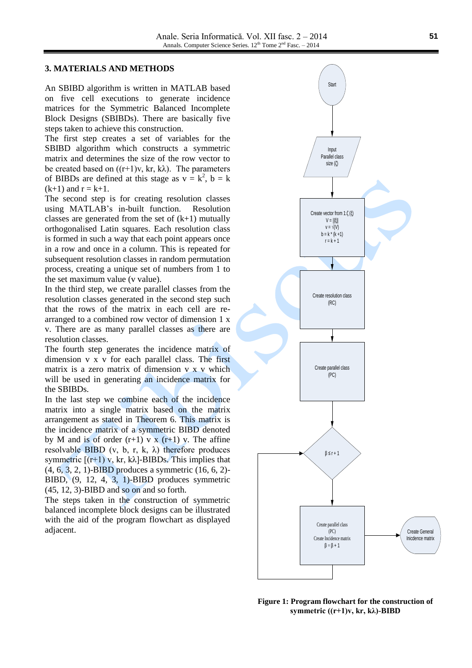#### **3. MATERIALS AND METHODS**

An SBIBD algorithm is written in MATLAB based on five cell executions to generate incidence matrices for the Symmetric Balanced Incomplete Block Designs (SBIBDs). There are basically five steps taken to achieve this construction.

The first step creates a set of variables for the SBIBD algorithm which constructs a symmetric matrix and determines the size of the row vector to be created based on  $((r+1)v, kr, k\lambda)$ . The parameters of BIBDs are defined at this stage as  $v = k^2$ ,  $b = k$  $(k+1)$  and  $r = k+1$ .

The second step is for creating resolution classes using MATLAB's in-built function. Resolution classes are generated from the set of  $(k+1)$  mutually orthogonalised Latin squares. Each resolution class is formed in such a way that each point appears once in a row and once in a column. This is repeated for subsequent resolution classes in random permutation process, creating a unique set of numbers from 1 to the set maximum value (v value).

In the third step, we create parallel classes from the resolution classes generated in the second step such that the rows of the matrix in each cell are rearranged to a combined row vector of dimension 1 x v. There are as many parallel classes as there are resolution classes.

The fourth step generates the incidence matrix of dimension v x v for each parallel class. The first matrix is a zero matrix of dimension v x v which will be used in generating an incidence matrix for the SBIBDs.

In the last step we combine each of the incidence matrix into a single matrix based on the matrix arrangement as stated in Theorem 6. This matrix is the incidence matrix of a symmetric BIBD denoted by M and is of order  $(r+1)$  v x  $(r+1)$  v. The affine resolvable BIBD (v, b, r, k,  $\lambda$ ) therefore produces symmetric  $[(r+1) v, kr, k\lambda]$ -BIBDs. This implies that (4, 6, 3, 2, 1)-BIBD produces a symmetric (16, 6, 2)- BIBD, (9, 12, 4, 3, 1)-BIBD produces symmetric (45, 12, 3)-BIBD and so on and so forth.

The steps taken in the construction of symmetric balanced incomplete block designs can be illustrated with the aid of the program flowchart as displayed adjacent.



**Figure 1: Program flowchart for the construction of symmetric ((r+1)v, kr, kλ)-BIBD**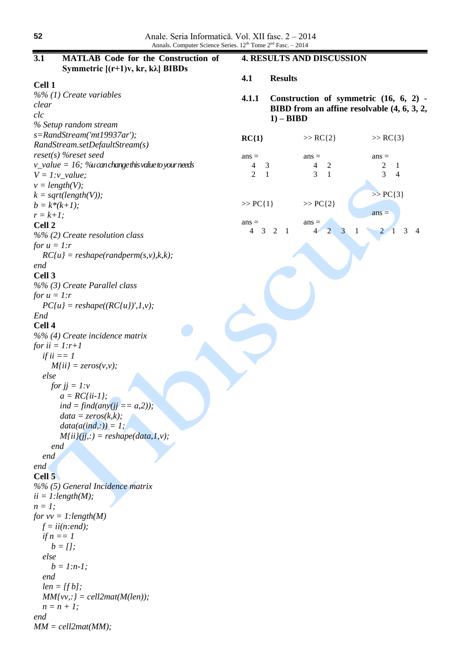**52**

| 3.1               | <b>MATLAB</b> Code for the Construction of<br>Symmetric $[(r+1)v, kr, k\lambda]$ BIBDs |                |                                       | <b>4. RESULTS AND DISCUSSION</b>                                              |                                                                                              |
|-------------------|----------------------------------------------------------------------------------------|----------------|---------------------------------------|-------------------------------------------------------------------------------|----------------------------------------------------------------------------------------------|
| Cell 1            |                                                                                        | 4.1            | <b>Results</b>                        |                                                                               |                                                                                              |
| clear<br>clc      | %% (1) Create variables<br>% Setup random stream                                       | 4.1.1          | $1) - BIBD$                           |                                                                               | Construction of symmetric $(16, 6, 2)$ -<br>BIBD from an affine resolvable $(4, 6, 3, 2, 4)$ |
|                   | s=RandStream('mt19937ar');                                                             | $RC{1}$        |                                       | $>> RC{2}$                                                                    | $>> RC{3}$                                                                                   |
|                   | RandStream.setDefaultStream(s)                                                         |                |                                       |                                                                               |                                                                                              |
|                   | $reset(s)$ % reset seed                                                                | $ans =$        |                                       | $ans =$                                                                       | $ans =$                                                                                      |
|                   | $v_value = 16$ ; % $a$ can change this value to your needs                             | 4              | 3                                     | $\overline{4}$<br>$\overline{\mathbf{c}}$<br>$\overline{3}$<br>$\overline{1}$ | 2<br>1                                                                                       |
|                   | $V = 1$ : $v$ _value;                                                                  | 2              | $\overline{1}$                        |                                                                               | 3<br>$\overline{4}$                                                                          |
|                   | $v = length(V);$                                                                       |                |                                       |                                                                               | $>> PC{3}$                                                                                   |
| $b = k*(k+1);$    | $k = sqrt(length(V));$                                                                 | $>> PC{1}$     |                                       | $>> PC{2}$                                                                    |                                                                                              |
| $r = k+1;$        |                                                                                        |                |                                       |                                                                               | $ans =$                                                                                      |
| Cell <sub>2</sub> |                                                                                        | $ans =$        |                                       | $ans =$                                                                       |                                                                                              |
|                   | %% (2) Create resolution class                                                         | $\overline{4}$ | $\overline{2}$<br>3<br>$\overline{1}$ | $\overline{2}$<br>3<br>44                                                     | 3<br>2<br>$\perp$                                                                            |
| for $u = 1$ :r    |                                                                                        |                |                                       |                                                                               |                                                                                              |
|                   | $RC{u}$ = reshape(randperm(s,v),k,k);                                                  |                |                                       |                                                                               |                                                                                              |
| end               |                                                                                        |                |                                       |                                                                               |                                                                                              |
| Cell 3            |                                                                                        |                |                                       |                                                                               |                                                                                              |
|                   | %% (3) Create Parallel class                                                           |                |                                       |                                                                               |                                                                                              |
| for $u = 1$ :r    |                                                                                        |                |                                       |                                                                               |                                                                                              |
|                   | $PC{u}$ = reshape(( $RC{u}$ )', 1, v);                                                 |                |                                       |                                                                               |                                                                                              |
| End               |                                                                                        |                |                                       |                                                                               |                                                                                              |
| Cell <sub>4</sub> |                                                                                        |                |                                       |                                                                               |                                                                                              |
|                   | %% (4) Create incidence matrix                                                         |                |                                       |                                                                               |                                                                                              |
| for $ii = 1:r+1$  |                                                                                        |                |                                       |                                                                               |                                                                                              |
|                   | if ii $ == 1$<br>$M\{ii\} = zeros(v,v);$                                               |                |                                       |                                                                               |                                                                                              |
| else              |                                                                                        |                |                                       |                                                                               |                                                                                              |
|                   | for $jj = 1$ : $v$                                                                     |                |                                       |                                                                               |                                                                                              |
|                   | $a = RC$ {ii-1};                                                                       |                |                                       |                                                                               |                                                                                              |
|                   | $ind = find(any(jj == a,2));$                                                          |                |                                       |                                                                               |                                                                                              |
|                   | $data = zeros(k, k);$                                                                  |                |                                       |                                                                               |                                                                                              |
|                   | $data(a(ind,:)) = 1;$                                                                  |                |                                       |                                                                               |                                                                                              |
|                   | $M\{ii\}$ (jj,:) = reshape(data, 1, v);                                                |                |                                       |                                                                               |                                                                                              |
| end               |                                                                                        |                |                                       |                                                                               |                                                                                              |
| end               |                                                                                        |                |                                       |                                                                               |                                                                                              |
| end               |                                                                                        |                |                                       |                                                                               |                                                                                              |
| Cell 5            |                                                                                        |                |                                       |                                                                               |                                                                                              |
|                   | %% (5) General Incidence matrix                                                        |                |                                       |                                                                               |                                                                                              |
|                   | $ii = 1$ : length(M);                                                                  |                |                                       |                                                                               |                                                                                              |
| $n=1$ ;           |                                                                                        |                |                                       |                                                                               |                                                                                              |
|                   | for $vv = 1$ : length(M)                                                               |                |                                       |                                                                               |                                                                                              |
|                   | $f = ii(n:end);$<br>if $n == 1$                                                        |                |                                       |                                                                               |                                                                                              |
|                   | $b = [$ ;                                                                              |                |                                       |                                                                               |                                                                                              |
| else              |                                                                                        |                |                                       |                                                                               |                                                                                              |
|                   | $b = 1:n-1;$                                                                           |                |                                       |                                                                               |                                                                                              |
| end               |                                                                                        |                |                                       |                                                                               |                                                                                              |
|                   | $len = [fb];$                                                                          |                |                                       |                                                                               |                                                                                              |
|                   | $MM\{vv,: \} = cell2mat(M(len));$                                                      |                |                                       |                                                                               |                                                                                              |
|                   | $n = n + 1$ ;                                                                          |                |                                       |                                                                               |                                                                                              |
| end               |                                                                                        |                |                                       |                                                                               |                                                                                              |
|                   | $MM = cell2mat(MM);$                                                                   |                |                                       |                                                                               |                                                                                              |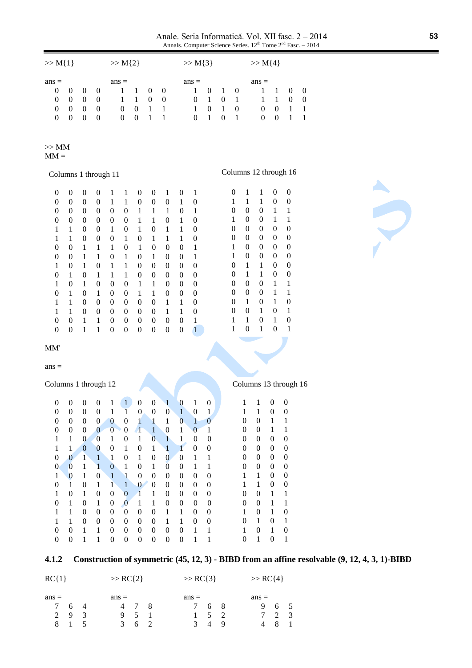Anale. Seria Informatică. Vol. XII fasc. 2 – 2014 Annals. Computer Science Series. 12<sup>th</sup> Tome 2<sup>nd</sup> Fasc. – 2014

| >> M(1)                                                                                                                                                                                                                                                                 |                                                                                                                                                                                                                                                  |                                                                                                                                                                                                                                                                             |                                                                                                                                                                                                                                                                   |                                                                                                                                                                                                                                                                           | $>> M{2}$                                                                                                                                                                                                                                                                                 |                                                                                                                                                                                                                                                                  |                                                                                                                                                                                                                                                                        |                                                                                                                                                                                                                                                                     |                                                                                                                                                                                                                                                                                                      | >> M(3)                                                                                                                                                                                                                                                                                   |                                                                                                                                                                                                                                                                  |                                                       |                                                                                                                                                                                    |                                                                                                                                                                                                                                                            | $>> M{4}$                                                                                                                                                                                                                                                              |                                                                                                                                                                                                                                                                       |                                                                                                                                                                                                                                                         |                                                                      |
|-------------------------------------------------------------------------------------------------------------------------------------------------------------------------------------------------------------------------------------------------------------------------|--------------------------------------------------------------------------------------------------------------------------------------------------------------------------------------------------------------------------------------------------|-----------------------------------------------------------------------------------------------------------------------------------------------------------------------------------------------------------------------------------------------------------------------------|-------------------------------------------------------------------------------------------------------------------------------------------------------------------------------------------------------------------------------------------------------------------|---------------------------------------------------------------------------------------------------------------------------------------------------------------------------------------------------------------------------------------------------------------------------|-------------------------------------------------------------------------------------------------------------------------------------------------------------------------------------------------------------------------------------------------------------------------------------------|------------------------------------------------------------------------------------------------------------------------------------------------------------------------------------------------------------------------------------------------------------------|------------------------------------------------------------------------------------------------------------------------------------------------------------------------------------------------------------------------------------------------------------------------|---------------------------------------------------------------------------------------------------------------------------------------------------------------------------------------------------------------------------------------------------------------------|------------------------------------------------------------------------------------------------------------------------------------------------------------------------------------------------------------------------------------------------------------------------------------------------------|-------------------------------------------------------------------------------------------------------------------------------------------------------------------------------------------------------------------------------------------------------------------------------------------|------------------------------------------------------------------------------------------------------------------------------------------------------------------------------------------------------------------------------------------------------------------|-------------------------------------------------------|------------------------------------------------------------------------------------------------------------------------------------------------------------------------------------|------------------------------------------------------------------------------------------------------------------------------------------------------------------------------------------------------------------------------------------------------------|------------------------------------------------------------------------------------------------------------------------------------------------------------------------------------------------------------------------------------------------------------------------|-----------------------------------------------------------------------------------------------------------------------------------------------------------------------------------------------------------------------------------------------------------------------|---------------------------------------------------------------------------------------------------------------------------------------------------------------------------------------------------------------------------------------------------------|----------------------------------------------------------------------|
| $ans =$<br>$\boldsymbol{0}$<br>$\boldsymbol{0}$<br>$\boldsymbol{0}$<br>$\boldsymbol{0}$                                                                                                                                                                                 | $\boldsymbol{0}$<br>$\boldsymbol{0}$<br>0<br>$\boldsymbol{0}$                                                                                                                                                                                    | $\boldsymbol{0}$<br>$\boldsymbol{0}$<br>0<br>$\boldsymbol{0}$                                                                                                                                                                                                               | $\boldsymbol{0}$<br>$\mathbf{0}$<br>$\boldsymbol{0}$<br>$\boldsymbol{0}$                                                                                                                                                                                          |                                                                                                                                                                                                                                                                           | $ans =$<br>1<br>1<br>$\boldsymbol{0}$<br>$\boldsymbol{0}$                                                                                                                                                                                                                                 | $\mathbf{1}$<br>$\mathbf{1}$<br>$\boldsymbol{0}$<br>$\boldsymbol{0}$                                                                                                                                                                                             | 0<br>$\boldsymbol{0}$<br>$\mathbf{1}$<br>1                                                                                                                                                                                                                             | 0<br>$\boldsymbol{0}$<br>$\mathbf{1}$<br>$\mathbf{1}$                                                                                                                                                                                                               |                                                                                                                                                                                                                                                                                                      | $ans =$<br>$\mathbf{1}$<br>$\boldsymbol{0}$<br>$\mathbf{1}$<br>$\boldsymbol{0}$                                                                                                                                                                                                           | $\boldsymbol{0}$<br>$\mathbf{1}$<br>$\boldsymbol{0}$<br>$\mathbf{1}$                                                                                                                                                                                             | $\mathbf{1}$<br>$\boldsymbol{0}$<br>$\mathbf{1}$<br>0 | 0<br>$\mathbf{1}$<br>0<br>$\mathbf{1}$                                                                                                                                             |                                                                                                                                                                                                                                                            | $ans =$<br>$\mathbf{1}$<br>$\mathbf{1}$<br>$\boldsymbol{0}$<br>$\boldsymbol{0}$                                                                                                                                                                                        | $\mathbf 1$<br>$\mathbf{1}$<br>$\boldsymbol{0}$<br>$\boldsymbol{0}$                                                                                                                                                                                                   | 0<br>$\boldsymbol{0}$<br>1<br>$\mathbf{1}$                                                                                                                                                                                                              | $\boldsymbol{0}$<br>$\boldsymbol{0}$<br>$\mathbf{1}$<br>$\mathbf{1}$ |
| >> MM<br>$MM =$                                                                                                                                                                                                                                                         |                                                                                                                                                                                                                                                  |                                                                                                                                                                                                                                                                             |                                                                                                                                                                                                                                                                   |                                                                                                                                                                                                                                                                           |                                                                                                                                                                                                                                                                                           |                                                                                                                                                                                                                                                                  |                                                                                                                                                                                                                                                                        |                                                                                                                                                                                                                                                                     |                                                                                                                                                                                                                                                                                                      |                                                                                                                                                                                                                                                                                           |                                                                                                                                                                                                                                                                  |                                                       |                                                                                                                                                                                    |                                                                                                                                                                                                                                                            |                                                                                                                                                                                                                                                                        |                                                                                                                                                                                                                                                                       |                                                                                                                                                                                                                                                         |                                                                      |
| Columns 1 through 11                                                                                                                                                                                                                                                    |                                                                                                                                                                                                                                                  |                                                                                                                                                                                                                                                                             |                                                                                                                                                                                                                                                                   |                                                                                                                                                                                                                                                                           |                                                                                                                                                                                                                                                                                           |                                                                                                                                                                                                                                                                  |                                                                                                                                                                                                                                                                        |                                                                                                                                                                                                                                                                     |                                                                                                                                                                                                                                                                                                      |                                                                                                                                                                                                                                                                                           |                                                                                                                                                                                                                                                                  |                                                       |                                                                                                                                                                                    |                                                                                                                                                                                                                                                            | Columns 12 through 16                                                                                                                                                                                                                                                  |                                                                                                                                                                                                                                                                       |                                                                                                                                                                                                                                                         |                                                                      |
| $\boldsymbol{0}$<br>0<br>0<br>$\boldsymbol{0}$<br>$\mathbf{1}$<br>$\mathbf{1}$<br>$\overline{0}$<br>0<br>$\mathbf{1}$<br>0<br>1<br>$\boldsymbol{0}$<br>$\mathbf{1}$<br>$\mathbf{1}$<br>$\boldsymbol{0}$<br>$\overline{0}$                                               | $\boldsymbol{0}$<br>$\boldsymbol{0}$<br>$\boldsymbol{0}$<br>$\boldsymbol{0}$<br>1<br>1<br>$\theta$<br>0<br>0<br>1<br>0<br>1<br>1<br>$\mathbf{1}$<br>$\boldsymbol{0}$<br>$\theta$                                                                 | 0<br>$\boldsymbol{0}$<br>$\boldsymbol{0}$<br>$\overline{0}$<br>$\theta$<br>$\overline{0}$<br>$\mathbf{1}$<br>1<br>1<br>0<br>1<br>0<br>$\theta$<br>$\theta$<br>$\mathbf{1}$<br>1                                                                                             | $\boldsymbol{0}$<br>$\boldsymbol{0}$<br>$\boldsymbol{0}$<br>$\boldsymbol{0}$<br>$\boldsymbol{0}$<br>$\boldsymbol{0}$<br>$\mathbf{1}$<br>$\mathbf{1}$<br>0<br>1<br>0<br>1<br>$\boldsymbol{0}$<br>$\boldsymbol{0}$<br>1<br>$\mathbf{1}$                             | 1<br>$\mathbf{1}$<br>0<br>$\boldsymbol{0}$<br>$\mathbf{1}$<br>$\boldsymbol{0}$<br>$\mathbf{1}$<br>0<br>1<br>1<br>$\boldsymbol{0}$<br>$\boldsymbol{0}$<br>$\boldsymbol{0}$<br>$\boldsymbol{0}$<br>$\boldsymbol{0}$<br>$\boldsymbol{0}$                                     | 1<br>$\mathbf{1}$<br>$\boldsymbol{0}$<br>$\boldsymbol{0}$<br>$\boldsymbol{0}$<br>$\mathbf{1}$<br>$\boldsymbol{0}$<br>$\mathbf{1}$<br>$\mathbf{1}$<br>$\mathbf{1}$<br>$\boldsymbol{0}$<br>$\boldsymbol{0}$<br>$\boldsymbol{0}$<br>$\boldsymbol{0}$<br>$\boldsymbol{0}$<br>$\boldsymbol{0}$ | 0<br>$\boldsymbol{0}$<br>$\mathbf{1}$<br>$\mathbf{1}$<br>$\mathbf{1}$<br>$\boldsymbol{0}$<br>$\mathbf{1}$<br>0<br>$\boldsymbol{0}$<br>$\boldsymbol{0}$<br>1<br>$\mathbf{1}$<br>$\boldsymbol{0}$<br>$\boldsymbol{0}$<br>$\boldsymbol{0}$<br>$\boldsymbol{0}$      | 0<br>$\boldsymbol{0}$<br>$\mathbf{1}$<br>$\mathbf{1}$<br>$\boldsymbol{0}$<br>$\mathbf{1}$<br>$\boldsymbol{0}$<br>$\mathbf{1}$<br>0<br>$\boldsymbol{0}$<br>$\mathbf{1}$<br>$\mathbf{1}$<br>$\boldsymbol{0}$<br>$\boldsymbol{0}$<br>$\boldsymbol{0}$<br>$\boldsymbol{0}$ | 1<br>$\boldsymbol{0}$<br>$\mathbf{1}$<br>$\boldsymbol{0}$<br>$\mathbf{1}$<br>1<br>$\boldsymbol{0}$<br>$\boldsymbol{0}$<br>$\boldsymbol{0}$<br>$\boldsymbol{0}$<br>$\boldsymbol{0}$<br>$\boldsymbol{0}$<br>1<br>$\mathbf{1}$<br>$\boldsymbol{0}$<br>$\boldsymbol{0}$ | $\boldsymbol{0}$<br>$\mathbf{1}$<br>$\boldsymbol{0}$<br>$\mathbf{1}$<br>$\mathbf{1}$<br>$\mathbf{1}$<br>$\boldsymbol{0}$<br>$\boldsymbol{0}$<br>$\boldsymbol{0}$<br>$\boldsymbol{0}$<br>$\boldsymbol{0}$<br>$\boldsymbol{0}$<br>$\mathbf{1}$<br>$\mathbf{1}$<br>$\boldsymbol{0}$<br>$\boldsymbol{0}$ | 1<br>$\boldsymbol{0}$<br>$\mathbf{1}$<br>$\boldsymbol{0}$<br>$\boldsymbol{0}$<br>$\boldsymbol{0}$<br>$\mathbf{1}$<br>$\mathbf{1}$<br>$\boldsymbol{0}$<br>$\boldsymbol{0}$<br>$\boldsymbol{0}$<br>$\boldsymbol{0}$<br>$\boldsymbol{0}$<br>$\boldsymbol{0}$<br>$\mathbf{1}$<br>$\mathbf{1}$ |                                                                                                                                                                                                                                                                  |                                                       | $\boldsymbol{0}$<br>$\mathbf{1}$<br>$\boldsymbol{0}$<br>1<br>$\overline{0}$<br>0<br>$\mathbf{1}$<br>$\mathbf{1}$<br>0<br>0<br>$\boldsymbol{0}$<br>0<br>0<br>0<br>$\mathbf{1}$<br>1 | 1<br>1<br>$\boldsymbol{0}$<br>$\theta$<br>$\theta$<br>$\boldsymbol{0}$<br>$\theta$<br>$\boldsymbol{0}$<br>$\mathbf{1}$<br>$\mathbf{1}$<br>$\boldsymbol{0}$<br>$\boldsymbol{0}$<br>$\mathbf{1}$<br>$\boldsymbol{0}$<br>$\mathbf{1}$<br>$\boldsymbol{0}$     | $\mathbf{1}$<br>$\mathbf{1}$<br>0<br>0<br>$\boldsymbol{0}$<br>$\boldsymbol{0}$<br>$\boldsymbol{0}$<br>$\boldsymbol{0}$<br>1<br>$\mathbf{1}$<br>$\boldsymbol{0}$<br>$\boldsymbol{0}$<br>$\boldsymbol{0}$<br>$\mathbf{1}$<br>$\boldsymbol{0}$<br>$\mathbf{1}$            | $\boldsymbol{0}$<br>$\boldsymbol{0}$<br>$\mathbf 1$<br>$\mathbf{1}$<br>$\boldsymbol{0}$<br>$\boldsymbol{0}$<br>0<br>0<br>$\boldsymbol{0}$<br>$\boldsymbol{0}$<br>$\mathbf{1}$<br>$\mathbf{1}$<br>$\mathbf{1}$<br>$\boldsymbol{0}$<br>$\mathbf{1}$<br>$\boldsymbol{0}$ | $\boldsymbol{0}$<br>$\boldsymbol{0}$<br>$\mathbf{1}$<br>1<br>$\boldsymbol{0}$<br>0<br>0<br>0<br>0<br>$\boldsymbol{0}$<br>1<br>1<br>$\boldsymbol{0}$<br>$\mathbf{1}$<br>$\boldsymbol{0}$<br>$\mathbf{1}$                                                 |                                                                      |
| MM'                                                                                                                                                                                                                                                                     |                                                                                                                                                                                                                                                  |                                                                                                                                                                                                                                                                             |                                                                                                                                                                                                                                                                   |                                                                                                                                                                                                                                                                           |                                                                                                                                                                                                                                                                                           |                                                                                                                                                                                                                                                                  |                                                                                                                                                                                                                                                                        |                                                                                                                                                                                                                                                                     |                                                                                                                                                                                                                                                                                                      |                                                                                                                                                                                                                                                                                           |                                                                                                                                                                                                                                                                  |                                                       |                                                                                                                                                                                    |                                                                                                                                                                                                                                                            |                                                                                                                                                                                                                                                                        |                                                                                                                                                                                                                                                                       |                                                                                                                                                                                                                                                         |                                                                      |
| $ans =$<br>Columns 1 through 12                                                                                                                                                                                                                                         |                                                                                                                                                                                                                                                  |                                                                                                                                                                                                                                                                             |                                                                                                                                                                                                                                                                   |                                                                                                                                                                                                                                                                           |                                                                                                                                                                                                                                                                                           |                                                                                                                                                                                                                                                                  |                                                                                                                                                                                                                                                                        |                                                                                                                                                                                                                                                                     |                                                                                                                                                                                                                                                                                                      |                                                                                                                                                                                                                                                                                           |                                                                                                                                                                                                                                                                  |                                                       |                                                                                                                                                                                    |                                                                                                                                                                                                                                                            | Columns 13 through 16                                                                                                                                                                                                                                                  |                                                                                                                                                                                                                                                                       |                                                                                                                                                                                                                                                         |                                                                      |
| $\boldsymbol{0}$<br>$\boldsymbol{0}$<br>$\boldsymbol{0}$<br>$\boldsymbol{0}$<br>$\mathbf 1$<br>$\mathbf{1}$<br>$\boldsymbol{0}$<br>$\boldsymbol{0}$<br>$\mathbf{1}$<br>$\boldsymbol{0}$<br>$\mathbf{1}$<br>$\boldsymbol{0}$<br>$\,1$<br>$\mathbf 1$<br>$\boldsymbol{0}$ | $\boldsymbol{0}$<br>$\boldsymbol{0}$<br>$\boldsymbol{0}$<br>$\boldsymbol{0}$<br>$\mathbf{1}$<br>$\mathbf 1$<br>$\bf{0}$<br>$\bf{0}$<br>$\bf{0}$<br>$\mathbf{1}$<br>$\boldsymbol{0}$<br>$\mathbf{1}$<br>$\mathbf{1}$<br>$\,1$<br>$\boldsymbol{0}$ | $\boldsymbol{0}$<br>$\boldsymbol{0}$<br>$\boldsymbol{0}$<br>$\boldsymbol{0}$<br>$\overline{0}$<br>$\boldsymbol{0}$<br>$\mathbf{1}$<br>$\,1$<br>$\mathbf{1}$<br>$\boldsymbol{0}$<br>$\mathbf{1}$<br>$\boldsymbol{0}$<br>$\boldsymbol{0}$<br>$\boldsymbol{0}$<br>$\mathbf{1}$ | $\boldsymbol{0}$<br>$\boldsymbol{0}$<br>$\boldsymbol{0}$<br>$\mathbf{0}$<br>$\boldsymbol{0}$<br>$\bf{0}$<br>$\mathbf{1}$<br>$\mathbf{1}$<br>$\boldsymbol{0}$<br>$\mathbf{1}$<br>$\boldsymbol{0}$<br>$\mathbf{1}$<br>$\boldsymbol{0}$<br>$\boldsymbol{0}$<br>$\,1$ | $\mathbf{1}$<br>$\mathbf{1}$<br>$\boldsymbol{0}$<br>$\overline{0}$<br>$\,1\,$<br>$\boldsymbol{0}$<br>$\mathbf{1}$<br>$\boldsymbol{0}$<br>$\mathbf{1}$<br>$\mathbf{1}$<br>$\boldsymbol{0}$<br>$\boldsymbol{0}$<br>$\boldsymbol{0}$<br>$\boldsymbol{0}$<br>$\boldsymbol{0}$ | 1<br>$\overline{1}$<br>$\boldsymbol{0}$<br>$\boldsymbol{0}$<br>$\boldsymbol{0}$<br>$\,1\,$<br>$\boldsymbol{0}$<br>$\,1\,$<br>$\mathbf{1}$<br>$\mathbf{1}$<br>$\mathbf{0}$<br>$\mathbf{0}$<br>$\boldsymbol{0}$<br>$\boldsymbol{0}$<br>$\boldsymbol{0}$                                     | $\boldsymbol{0}$<br>$\boldsymbol{0}$<br>$\mathbf{1}$<br>$\sqrt{1}$<br>$\,1\,$<br>$\boldsymbol{0}$<br>$\mathbf{1}$<br>$\boldsymbol{0}$<br>$\boldsymbol{0}$<br>$\overline{0}$<br>$\mathbf{1}$<br>$\,1$<br>$\boldsymbol{0}$<br>$\boldsymbol{0}$<br>$\boldsymbol{0}$ | $\boldsymbol{0}$<br>$\boldsymbol{0}$<br>$\mathbf{1}$<br>$\mathbf{1}$<br>$\overline{0}$<br>$\mathbf{1}$<br>$\boldsymbol{0}$<br>$\,1$<br>$\boldsymbol{0}$<br>$\boldsymbol{0}$<br>$\,1$<br>$\mathbf{1}$<br>$\boldsymbol{0}$<br>$\boldsymbol{0}$<br>$\boldsymbol{0}$       | $\mathbf{1}$<br>$\boldsymbol{0}$<br>$\mathbf{1}$<br>$\boldsymbol{0}$<br>$\mathbf{1}$<br>$\mathbf{1}$<br>$\mathbf{0}$<br>$\overline{0}$<br>$\boldsymbol{0}$<br>$\boldsymbol{0}$<br>$\boldsymbol{0}$<br>$\boldsymbol{0}$<br>$\mathbf{1}$<br>$\,1$<br>$\boldsymbol{0}$ | $\bf{0}$<br>$\,1$<br>$\overline{0}$<br>$\mathbf{1}$<br>$\mathbf 1$<br>$\mathbf{1}$<br>$\boldsymbol{0}$<br>$\boldsymbol{0}$<br>$\boldsymbol{0}$<br>$\boldsymbol{0}$<br>$\boldsymbol{0}$<br>$\boldsymbol{0}$<br>$\mathbf 1$<br>$\mathbf 1$<br>$\boldsymbol{0}$                                         | $\mathbf{1}$<br>$\mathbf{0}$<br>$\mathbf{1}$<br>$\boldsymbol{0}$<br>$\boldsymbol{0}$<br>$\boldsymbol{0}$<br>$\,1$<br>$\,1$<br>$\boldsymbol{0}$<br>$\boldsymbol{0}$<br>$\boldsymbol{0}$<br>$\boldsymbol{0}$<br>$\boldsymbol{0}$<br>$\boldsymbol{0}$<br>$\,1$                               | $\boldsymbol{0}$<br>$\mathbf{1}$<br>$\boldsymbol{0}$<br>$\,1\,$<br>$\boldsymbol{0}$<br>$\boldsymbol{0}$<br>$\,1\,$<br>$\,1\,$<br>$\boldsymbol{0}$<br>$\boldsymbol{0}$<br>$\boldsymbol{0}$<br>$\boldsymbol{0}$<br>$\boldsymbol{0}$<br>$\boldsymbol{0}$<br>$\,1\,$ |                                                       |                                                                                                                                                                                    | $\mathbf{1}$<br>$\mathbf 1$<br>$\boldsymbol{0}$<br>$\boldsymbol{0}$<br>$\boldsymbol{0}$<br>$\boldsymbol{0}$<br>$\boldsymbol{0}$<br>$\boldsymbol{0}$<br>$\,1$<br>$\,1$<br>$\boldsymbol{0}$<br>$\boldsymbol{0}$<br>$\mathbf{1}$<br>$\boldsymbol{0}$<br>$\,1$ | $\mathbf{1}$<br>$\,1$<br>$\boldsymbol{0}$<br>$\boldsymbol{0}$<br>$\boldsymbol{0}$<br>$\boldsymbol{0}$<br>$\boldsymbol{0}$<br>$\boldsymbol{0}$<br>$\,1$<br>$\mathbf{1}$<br>$\boldsymbol{0}$<br>$\boldsymbol{0}$<br>$\boldsymbol{0}$<br>$\mathbf{1}$<br>$\boldsymbol{0}$ | $\boldsymbol{0}$<br>$\boldsymbol{0}$<br>$\,1$<br>$\mathbf{1}$<br>$\boldsymbol{0}$<br>$\boldsymbol{0}$<br>$\boldsymbol{0}$<br>$\boldsymbol{0}$<br>$\boldsymbol{0}$<br>$\boldsymbol{0}$<br>$\mathbf{1}$<br>$\,1$<br>$\mathbf{1}$<br>$\boldsymbol{0}$<br>$\mathbf{1}$    | $\boldsymbol{0}$<br>$\boldsymbol{0}$<br>$\,1$<br>$\,1\,$<br>$\boldsymbol{0}$<br>$\boldsymbol{0}$<br>$\boldsymbol{0}$<br>$\boldsymbol{0}$<br>$\boldsymbol{0}$<br>$\boldsymbol{0}$<br>$\,1$<br>$\,1\,$<br>$\boldsymbol{0}$<br>$\,1\,$<br>$\boldsymbol{0}$ |                                                                      |

**4.1.2 Construction of symmetric (45, 12, 3) - BIBD from an affine resolvable (9, 12, 4, 3, 1)-BIBD**

 $>> RC{4}$ 

 $>> RC\{3\}$ 

| $ans =$ |       | $ans =$ |       | $ans =$ |                     | $ans =$ |  |
|---------|-------|---------|-------|---------|---------------------|---------|--|
| 7 6 4   |       |         | 4 7 8 | 7 6 8   |                     | 9 6 5   |  |
| 2 9 3   |       | 9 5 1   |       |         | $1 \quad 5 \quad 2$ | 7 2 3   |  |
|         | 8 1 5 |         | 3 6 2 |         | 3 4 9               | 4 8 1   |  |

 $>> RC{2}$ 

 $RC{1}$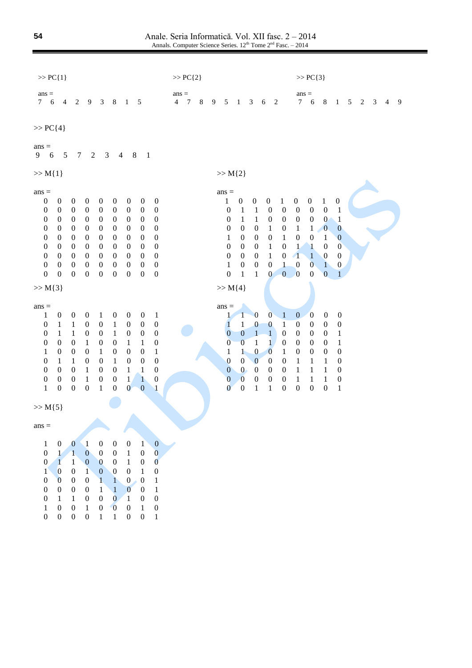Anale. Seria Informatică. Vol. XII fasc. 2 – 2014 Annals. Computer Science Series. 12<sup>th</sup> Tome 2<sup>nd</sup> Fasc. – 2014

| $>> PC$ {1}                                                                                                                                                                                                                                                                                                                                                                                                                                                                                                                                                                                                                                                                                                                                                                                                                                                                                                                                                                                                                                                                                                                                                                                                                                                                                                                                                                                                                                                                                                                                                                                                                                                                                 | $>> PC{2}$                                                                                                                                                                                                                                                                                                                                                                                                                                                                                                                                                                                                                                                                                                                                                                                                                  | $>> PC{3}$                                                                                                                                                                                                                                                                                                                                                                                                                                                                                                                                                                                                                                                                              |
|---------------------------------------------------------------------------------------------------------------------------------------------------------------------------------------------------------------------------------------------------------------------------------------------------------------------------------------------------------------------------------------------------------------------------------------------------------------------------------------------------------------------------------------------------------------------------------------------------------------------------------------------------------------------------------------------------------------------------------------------------------------------------------------------------------------------------------------------------------------------------------------------------------------------------------------------------------------------------------------------------------------------------------------------------------------------------------------------------------------------------------------------------------------------------------------------------------------------------------------------------------------------------------------------------------------------------------------------------------------------------------------------------------------------------------------------------------------------------------------------------------------------------------------------------------------------------------------------------------------------------------------------------------------------------------------------|-----------------------------------------------------------------------------------------------------------------------------------------------------------------------------------------------------------------------------------------------------------------------------------------------------------------------------------------------------------------------------------------------------------------------------------------------------------------------------------------------------------------------------------------------------------------------------------------------------------------------------------------------------------------------------------------------------------------------------------------------------------------------------------------------------------------------------|-----------------------------------------------------------------------------------------------------------------------------------------------------------------------------------------------------------------------------------------------------------------------------------------------------------------------------------------------------------------------------------------------------------------------------------------------------------------------------------------------------------------------------------------------------------------------------------------------------------------------------------------------------------------------------------------|
| $ans =$<br>$\sqrt{2}$<br>$\overline{9}$<br>$\mathfrak{Z}$<br>$\,8\,$<br>$\overline{1}$<br>$7\overline{ }$<br>6<br>$\overline{4}$<br>5                                                                                                                                                                                                                                                                                                                                                                                                                                                                                                                                                                                                                                                                                                                                                                                                                                                                                                                                                                                                                                                                                                                                                                                                                                                                                                                                                                                                                                                                                                                                                       | $ans =$<br>$\overline{4}$<br>7<br>$\,8\,$<br>$\overline{9}$<br>$\sqrt{5}$<br>$\mathfrak{Z}$<br>$\mathbf{1}$<br>6<br>$\overline{2}$                                                                                                                                                                                                                                                                                                                                                                                                                                                                                                                                                                                                                                                                                          | $ans =$<br>$\tau$<br>$\,$ 8 $\,$<br>6<br>$\mathbf{1}$<br>5<br>2<br>3<br>4<br>9                                                                                                                                                                                                                                                                                                                                                                                                                                                                                                                                                                                                          |
| $>> PC{4}$                                                                                                                                                                                                                                                                                                                                                                                                                                                                                                                                                                                                                                                                                                                                                                                                                                                                                                                                                                                                                                                                                                                                                                                                                                                                                                                                                                                                                                                                                                                                                                                                                                                                                  |                                                                                                                                                                                                                                                                                                                                                                                                                                                                                                                                                                                                                                                                                                                                                                                                                             |                                                                                                                                                                                                                                                                                                                                                                                                                                                                                                                                                                                                                                                                                         |
| $ans =$<br>$\mathfrak{S}$<br>$\,8\,$<br>6<br>$\tau$<br>$\overline{2}$<br>3<br>$\mathbf{1}$<br>9<br>$\overline{4}$                                                                                                                                                                                                                                                                                                                                                                                                                                                                                                                                                                                                                                                                                                                                                                                                                                                                                                                                                                                                                                                                                                                                                                                                                                                                                                                                                                                                                                                                                                                                                                           |                                                                                                                                                                                                                                                                                                                                                                                                                                                                                                                                                                                                                                                                                                                                                                                                                             |                                                                                                                                                                                                                                                                                                                                                                                                                                                                                                                                                                                                                                                                                         |
| $>> M{1}$                                                                                                                                                                                                                                                                                                                                                                                                                                                                                                                                                                                                                                                                                                                                                                                                                                                                                                                                                                                                                                                                                                                                                                                                                                                                                                                                                                                                                                                                                                                                                                                                                                                                                   | $>> M{2}$                                                                                                                                                                                                                                                                                                                                                                                                                                                                                                                                                                                                                                                                                                                                                                                                                   |                                                                                                                                                                                                                                                                                                                                                                                                                                                                                                                                                                                                                                                                                         |
| $ans =$<br>$\boldsymbol{0}$<br>$\boldsymbol{0}$<br>$\boldsymbol{0}$<br>$\boldsymbol{0}$<br>$\boldsymbol{0}$<br>$\boldsymbol{0}$<br>$\boldsymbol{0}$<br>$\boldsymbol{0}$<br>$\boldsymbol{0}$<br>$\boldsymbol{0}$<br>$\boldsymbol{0}$<br>$\boldsymbol{0}$<br>$\boldsymbol{0}$<br>$\boldsymbol{0}$<br>$\boldsymbol{0}$<br>$\boldsymbol{0}$<br>$\boldsymbol{0}$<br>$\boldsymbol{0}$<br>$\boldsymbol{0}$<br>$\boldsymbol{0}$<br>$\boldsymbol{0}$<br>$\boldsymbol{0}$<br>$\boldsymbol{0}$<br>$\boldsymbol{0}$<br>$\boldsymbol{0}$<br>$\boldsymbol{0}$<br>$\boldsymbol{0}$<br>$\boldsymbol{0}$<br>$\boldsymbol{0}$<br>$\boldsymbol{0}$<br>$\boldsymbol{0}$<br>$\boldsymbol{0}$<br>$\boldsymbol{0}$<br>$\boldsymbol{0}$<br>$\boldsymbol{0}$<br>$\boldsymbol{0}$<br>$\boldsymbol{0}$<br>$\boldsymbol{0}$<br>$\boldsymbol{0}$<br>$\boldsymbol{0}$<br>$\boldsymbol{0}$<br>$\boldsymbol{0}$<br>$\boldsymbol{0}$<br>$\boldsymbol{0}$<br>$\boldsymbol{0}$<br>$\boldsymbol{0}$<br>$\boldsymbol{0}$<br>$\boldsymbol{0}$<br>$\boldsymbol{0}$<br>$\boldsymbol{0}$<br>$\boldsymbol{0}$<br>$\boldsymbol{0}$<br>$\boldsymbol{0}$<br>$\boldsymbol{0}$<br>$\boldsymbol{0}$<br>$\boldsymbol{0}$<br>$\boldsymbol{0}$<br>$\boldsymbol{0}$<br>$\boldsymbol{0}$<br>$\boldsymbol{0}$<br>$\boldsymbol{0}$<br>$\boldsymbol{0}$<br>$\boldsymbol{0}$<br>$\boldsymbol{0}$<br>$\boldsymbol{0}$<br>$\boldsymbol{0}$<br>$\boldsymbol{0}$<br>$\boldsymbol{0}$<br>$\boldsymbol{0}$<br>$\boldsymbol{0}$<br>$\boldsymbol{0}$<br>$\boldsymbol{0}$<br>$\boldsymbol{0}$<br>$\boldsymbol{0}$<br>$\boldsymbol{0}$<br>$\boldsymbol{0}$<br>$\boldsymbol{0}$<br>$\boldsymbol{0}$<br>$\boldsymbol{0}$<br>$\boldsymbol{0}$<br>$\boldsymbol{0}$ | $ans =$<br>1<br>$\boldsymbol{0}$<br>$\boldsymbol{0}$<br>$\mathbf{1}$<br>$\overline{0}$<br>$\mathbf{1}$<br>$\mathbf{1}$<br>$\boldsymbol{0}$<br>$\boldsymbol{0}$<br>$\boldsymbol{0}$<br>$\boldsymbol{0}$<br>$\mathbf{1}$<br>$\mathbf{1}$<br>$\boldsymbol{0}$<br>$\boldsymbol{0}$<br>$\boldsymbol{0}$<br>$\boldsymbol{0}$<br>$\boldsymbol{0}$<br>$\boldsymbol{0}$<br>$\mathbf{1}$<br>$\boldsymbol{0}$<br>$\boldsymbol{0}$<br>$\boldsymbol{0}$<br>$\mathbf{1}$<br>1<br>$\boldsymbol{0}$<br>$\boldsymbol{0}$<br>$\boldsymbol{0}$<br>$\boldsymbol{0}$<br>$\mathbf{1}$<br>$\boldsymbol{0}$<br>$\boldsymbol{0}$<br>$\boldsymbol{0}$<br>$\mathbf{1}$<br>$\boldsymbol{0}$<br>1<br>$\boldsymbol{0}$<br>$\boldsymbol{0}$<br>$\boldsymbol{0}$<br>$\mathbf{1}$<br>$\overline{0}$<br>$\boldsymbol{0}$<br>$\mathbf{1}$<br>1<br>$\mathbf{0}$ | $\boldsymbol{0}$<br>$\boldsymbol{0}$<br>$\boldsymbol{0}$<br>$\mathbf{1}$<br>$\boldsymbol{0}$<br>$\boldsymbol{0}$<br>$\boldsymbol{0}$<br>$\mathbf{1}$<br>$\boldsymbol{0}$<br>$\overline{\mathbf{1}}$<br>$\boldsymbol{0}$<br>$\boldsymbol{0}$<br>$\overline{0}$<br>$\boldsymbol{0}$<br>$\mathbf{1}$<br>$\mathbf{1}$<br>$\boldsymbol{0}$<br>$\boldsymbol{0}$<br>$\boldsymbol{0}$<br>$\mathbf{1}$<br>$\mathbf{1}$<br>$\boldsymbol{0}$<br>$\boldsymbol{0}$<br>$\mathbf{I}$<br>$\sqrt{1}$<br>$\boldsymbol{0}$<br>$\boldsymbol{0}$<br>$\mathbf{1}$<br>$\mathbf{0}$<br>$\overline{0}$<br>$\boldsymbol{0}$<br>$\mathbf{1}$<br>$\overline{0}$<br>$\boldsymbol{0}$<br>$\mathbf{0}$<br>$\mathbf{1}$ |
| $>> M\{3\}$                                                                                                                                                                                                                                                                                                                                                                                                                                                                                                                                                                                                                                                                                                                                                                                                                                                                                                                                                                                                                                                                                                                                                                                                                                                                                                                                                                                                                                                                                                                                                                                                                                                                                 | $>> M{4}$                                                                                                                                                                                                                                                                                                                                                                                                                                                                                                                                                                                                                                                                                                                                                                                                                   |                                                                                                                                                                                                                                                                                                                                                                                                                                                                                                                                                                                                                                                                                         |
| $ans =$<br>$\mathbf{1}$<br>$\boldsymbol{0}$<br>$\boldsymbol{0}$<br>$\boldsymbol{0}$<br>$\boldsymbol{0}$<br>$\boldsymbol{0}$<br>1<br>$\boldsymbol{0}$<br>$\mathbf{1}$<br>$\,1\,$<br>$\mathbf{1}$<br>$\mathbf{1}$<br>$\boldsymbol{0}$<br>$\boldsymbol{0}$<br>$\boldsymbol{0}$<br>$\boldsymbol{0}$<br>$\boldsymbol{0}$<br>$\boldsymbol{0}$<br>$\boldsymbol{0}$<br>$\mathbf{1}$<br>$\boldsymbol{0}$<br>$\mathbf{1}$<br>$\boldsymbol{0}$<br>$\boldsymbol{0}$<br>$\mathbf{1}$<br>$\boldsymbol{0}$<br>$\boldsymbol{0}$<br>$\boldsymbol{0}$<br>$\boldsymbol{0}$<br>$\boldsymbol{0}$<br>$\boldsymbol{0}$<br>$\mathbf{1}$<br>$\boldsymbol{0}$<br>$\mathbf{1}$<br>$\mathbf{1}$<br>$\boldsymbol{0}$<br>$\boldsymbol{0}$<br>$\boldsymbol{0}$<br>$\boldsymbol{0}$<br>$\mathbf{1}$<br>$\boldsymbol{0}$<br>$\boldsymbol{0}$<br>$\boldsymbol{0}$<br>$\mathbf{1}$<br>1<br>$\boldsymbol{0}$<br>$\boldsymbol{0}$<br>$\boldsymbol{0}$<br>$\boldsymbol{0}$<br>$\boldsymbol{0}$<br>$\mathbf{1}$<br>$\mathbf{1}$<br>$\boldsymbol{0}$<br>$\mathbf{1}$<br>$\boldsymbol{0}$<br>$\boldsymbol{0}$<br>$\boldsymbol{0}$<br>$\mathbf{1}$<br>$\boldsymbol{0}$<br>$\boldsymbol{0}$<br>$\boldsymbol{0}$<br>$\mathbf{1}$<br>$\mathbf{1}$<br>$\boldsymbol{0}$<br>$\mathbf{1}$<br>$\boldsymbol{0}$<br>$\mathbf{1}$<br>$\mathbf{1}$<br>$\boldsymbol{0}$<br>$\boldsymbol{0}$<br>$\boldsymbol{0}$<br>$\boldsymbol{0}$<br>$\mathbf{1}$<br>$\boldsymbol{0}$<br>$\boldsymbol{0}$<br>$\boldsymbol{0}$<br>$\mathbf{1}$<br>$\boldsymbol{0}$<br>$\mathbf{0}$<br>$\boldsymbol{0}$<br>1                                                                                                                                                       | $ans =$<br>$\mathbf{0}$<br>$\mathbf{1}$<br>$\mathbf{1}$<br>$\mathbf{0}$<br>ŀ<br>$\boldsymbol{0}$<br>$\mathbf{1}$<br>$\boldsymbol{0}$<br>$\mathbf{1}$<br>$\mathbf{1}$<br>$\boldsymbol{0}$<br>$\mathbf{1}$<br>$\boldsymbol{0}$<br>$\boldsymbol{0}$<br>$\mathbf{1}$<br>$\boldsymbol{0}$<br>$\overline{0}$<br>$\mathbf{1}$<br>$\boldsymbol{0}$<br>$\mathbf{1}$<br>$\boldsymbol{0}$<br>1<br>$\mathbf{1}$<br>$\overline{0}$<br>$\mathbf{1}$<br>$\boldsymbol{0}$<br>$\boldsymbol{0}$<br>$\boldsymbol{0}$<br>$\boldsymbol{0}$<br>$\boldsymbol{0}$<br>$\boldsymbol{0}$<br>$0 -$<br>$\boldsymbol{0}$<br>$\boldsymbol{0}$<br>$\boldsymbol{0}$<br>$\boldsymbol{0}$<br>$\boldsymbol{0}$<br>$\boldsymbol{0}$<br>$\boldsymbol{0}$<br>$\boldsymbol{0}$<br>$\bf{0}$<br>$\mathbf{1}$<br>$\boldsymbol{0}$<br>$\mathbf{1}$<br>$\boldsymbol{0}$  | $\mathbf{0}$<br>$\overline{0}$<br>$\boldsymbol{0}$<br>$\boldsymbol{0}$<br>$\boldsymbol{0}$<br>$\boldsymbol{0}$<br>$\boldsymbol{0}$<br>$\boldsymbol{0}$<br>$\boldsymbol{0}$<br>$\boldsymbol{0}$<br>$\mathbf{1}$<br>$\boldsymbol{0}$<br>$\boldsymbol{0}$<br>$\boldsymbol{0}$<br>$\mathbf{1}$<br>$\boldsymbol{0}$<br>$\boldsymbol{0}$<br>$\boldsymbol{0}$<br>$\boldsymbol{0}$<br>$\boldsymbol{0}$<br>$\mathbf{1}$<br>$\mathbf{1}$<br>$\boldsymbol{0}$<br>$\mathbf{1}$<br>$\mathbf{1}$<br>$\mathbf{1}$<br>$\boldsymbol{0}$<br>$\mathbf{1}$<br>$\mathbf{1}$<br>$\mathbf{1}$<br>$\boldsymbol{0}$<br>$\mathbf{1}$<br>$\boldsymbol{0}$<br>$\boldsymbol{0}$<br>$\boldsymbol{0}$<br>$\mathbf{1}$  |
| $>> M{5}$                                                                                                                                                                                                                                                                                                                                                                                                                                                                                                                                                                                                                                                                                                                                                                                                                                                                                                                                                                                                                                                                                                                                                                                                                                                                                                                                                                                                                                                                                                                                                                                                                                                                                   |                                                                                                                                                                                                                                                                                                                                                                                                                                                                                                                                                                                                                                                                                                                                                                                                                             |                                                                                                                                                                                                                                                                                                                                                                                                                                                                                                                                                                                                                                                                                         |
| $ans =$                                                                                                                                                                                                                                                                                                                                                                                                                                                                                                                                                                                                                                                                                                                                                                                                                                                                                                                                                                                                                                                                                                                                                                                                                                                                                                                                                                                                                                                                                                                                                                                                                                                                                     |                                                                                                                                                                                                                                                                                                                                                                                                                                                                                                                                                                                                                                                                                                                                                                                                                             |                                                                                                                                                                                                                                                                                                                                                                                                                                                                                                                                                                                                                                                                                         |
| $\boldsymbol{0}$<br>$\boldsymbol{0}$<br>$\boldsymbol{0}$<br>$\overline{0}$<br>$\mathbf{1}$<br>$\boldsymbol{0}$<br>$\boldsymbol{0}$<br>$\sqrt{1}$<br>$\left  \right $<br>$\boldsymbol{0}$<br>$\mathbf 1$<br>$\overline{0}$<br>$\mathbf{1}$<br>$\mathbf{1}$<br>$\boldsymbol{0}$<br>$\boldsymbol{0}$<br>$\boldsymbol{0}$<br>$\boldsymbol{0}$<br>$\boldsymbol{0}$<br>$\mathbf{1}$<br>$\mathbf{1}$<br>$\boldsymbol{0}$<br>$\boldsymbol{0}$<br>$\boldsymbol{0}$<br>$\mathbf{1}$<br>$\boldsymbol{0}$<br>$\boldsymbol{0}$<br>$\boldsymbol{0}$<br>$\boldsymbol{0}$<br>$\mathbf{1}$<br>$\boldsymbol{0}$<br>$\boldsymbol{0}$<br>$\mathbf{1}$<br>$\bf{0}$<br>$\boldsymbol{0}$<br>1<br>$\boldsymbol{0}$<br>$\boldsymbol{0}$<br>$\mathbf{1}$<br>$\boldsymbol{0}$<br>$\boldsymbol{0}$<br>$\boldsymbol{0}$<br>$\mathbf{0}$<br>1.<br>$\mathbf{1}$<br>$\mathbf{1}$<br>$\mathbf{0}$<br>$\boldsymbol{0}$<br>$\boldsymbol{0}$<br>$\boldsymbol{0}$<br>$\bf{0}$<br>$\boldsymbol{0}$<br>1<br>$\mathbf{1}$<br>$\boldsymbol{0}$<br>$\boldsymbol{0}$<br>$\boldsymbol{0}$<br>$\mathbf{0}$<br>$\boldsymbol{0}$<br>$\boldsymbol{0}$<br>$\mathbf{1}$<br>$\mathbf{1}$<br>$\mathbf{1}$<br>1<br>$\boldsymbol{0}$<br>$\mathbf{1}$<br>$\boldsymbol{0}$<br>$\boldsymbol{0}$<br>$\boldsymbol{0}$<br>$\mathbf{1}$<br>$\boldsymbol{0}$<br>$\boldsymbol{0}$<br>$\boldsymbol{0}$<br>$\boldsymbol{0}$<br>$\boldsymbol{0}$<br>$\boldsymbol{0}$<br>$\mathbf{1}$<br>$\mathbf{1}$<br>$\boldsymbol{0}$<br>$\boldsymbol{0}$<br>$\mathbf{1}$                                                                                                                                                                                                  |                                                                                                                                                                                                                                                                                                                                                                                                                                                                                                                                                                                                                                                                                                                                                                                                                             |                                                                                                                                                                                                                                                                                                                                                                                                                                                                                                                                                                                                                                                                                         |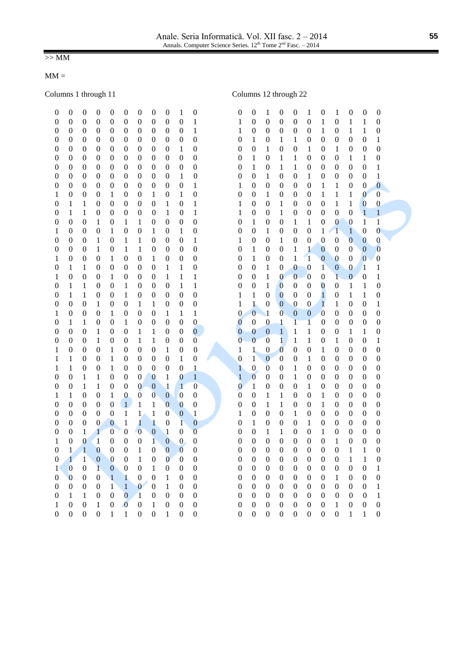# $>> MM$

 $MM =$ 

Columns 1 through 11

| $\boldsymbol{0}$ | $\overline{0}$   | $\boldsymbol{0}$ | $\boldsymbol{0}$ | $\boldsymbol{0}$ | $\boldsymbol{0}$ | $\boldsymbol{0}$ | $\boldsymbol{0}$ | $\boldsymbol{0}$ | $\mathbf{1}$     | $\boldsymbol{0}$ |  |
|------------------|------------------|------------------|------------------|------------------|------------------|------------------|------------------|------------------|------------------|------------------|--|
| $\overline{0}$   | $\overline{0}$   | $\overline{0}$   | $\overline{0}$   | $\overline{0}$   | $\overline{0}$   | $\overline{0}$   | $\overline{0}$   | $\overline{0}$   | $\overline{0}$   | $\mathbf{1}$     |  |
| $\overline{0}$   | $\overline{0}$   | $\boldsymbol{0}$ | $\boldsymbol{0}$ | $\overline{0}$   | $\overline{0}$   | $\boldsymbol{0}$ | $\overline{0}$   | $\boldsymbol{0}$ | $\overline{0}$   | $\mathbf{1}$     |  |
| $\overline{0}$   | $\overline{0}$   | $\overline{0}$   | $\overline{0}$   | $\overline{0}$   | $\overline{0}$   | $\boldsymbol{0}$ | $\overline{0}$   | $\overline{0}$   | $\overline{0}$   | $\overline{0}$   |  |
| $\overline{0}$   | $\overline{0}$   | $\overline{0}$   | $\overline{0}$   | $\overline{0}$   | $\overline{0}$   | $\overline{0}$   | $\overline{0}$   | $\overline{0}$   | $\mathbf{1}$     | $\overline{0}$   |  |
| $\overline{0}$   | $\overline{0}$   | $\overline{0}$   | $\boldsymbol{0}$ | $\overline{0}$   | $\mathbf{0}$     | $\overline{0}$   | $\boldsymbol{0}$ | $\boldsymbol{0}$ | $\overline{0}$   | $\overline{0}$   |  |
| $\overline{0}$   | $\overline{0}$   | $\overline{0}$   | $\boldsymbol{0}$ | $\overline{0}$   | $\overline{0}$   | $\boldsymbol{0}$ | $\overline{0}$   | $\boldsymbol{0}$ | $\overline{0}$   | $\overline{0}$   |  |
| $\overline{0}$   | $\overline{0}$   | $\overline{0}$   | $\overline{0}$   | $\overline{0}$   | $\overline{0}$   | $\overline{0}$   | $\overline{0}$   | $\overline{0}$   | $\mathbf{1}$     | $\overline{0}$   |  |
| $\overline{0}$   | $\overline{0}$   | $\overline{0}$   | $\overline{0}$   | $\overline{0}$   | $\overline{0}$   | $\overline{0}$   | $\overline{0}$   | $\boldsymbol{0}$ | $\overline{0}$   | $\mathbf 1$      |  |
| $\mathbf{1}$     | $\overline{0}$   | $\overline{0}$   | $\overline{0}$   | $\mathbf{1}$     | $\overline{0}$   | $\overline{0}$   | $\mathbf{1}$     | $\overline{0}$   | $\mathbf{1}$     | $\overline{0}$   |  |
| $\overline{0}$   | $\mathbf{1}$     | $\mathbf{1}$     | $\overline{0}$   | $\overline{0}$   | $\boldsymbol{0}$ | $\overline{0}$   | $\overline{0}$   | $\mathbf{1}$     | $\overline{0}$   | $\mathbf{1}$     |  |
| $\overline{0}$   | $\mathbf{1}$     | $\mathbf{1}$     | $\boldsymbol{0}$ | $\overline{0}$   | $\overline{0}$   | $\boldsymbol{0}$ | $\overline{0}$   | $\mathbf{1}$     | $\overline{0}$   | $\mathbf{1}$     |  |
| $\overline{0}$   | $\overline{0}$   | $\overline{0}$   | $\mathbf{1}$     | $\overline{0}$   | $\mathbf 1$      | $\mathbf{1}$     | $\overline{0}$   | $\overline{0}$   | $\overline{0}$   | $\overline{0}$   |  |
| $\mathbf{1}$     | $\boldsymbol{0}$ | $\overline{0}$   | $\overline{0}$   | $\mathbf{1}$     | $\overline{0}$   | $\overline{0}$   | $\mathbf{1}$     | $\boldsymbol{0}$ | $\mathbf{1}$     | $\boldsymbol{0}$ |  |
| $\overline{0}$   | $\overline{0}$   | $\boldsymbol{0}$ | $\mathbf{1}$     | $\overline{0}$   | $\mathbf{1}$     | $\mathbf{1}$     | $\overline{0}$   | $\boldsymbol{0}$ | $\overline{0}$   | $\mathbf{1}$     |  |
| $\overline{0}$   | $\overline{0}$   | $\overline{0}$   | $\mathbf{1}$     | $\overline{0}$   | $\mathbf{1}$     | $\mathbf{1}$     | $\overline{0}$   | $\overline{0}$   | $\overline{0}$   | $\overline{0}$   |  |
| $\mathbf{1}$     | $\boldsymbol{0}$ | $\boldsymbol{0}$ | $\overline{0}$   | $\mathbf{1}$     | $\overline{0}$   | $\overline{0}$   | $\mathbf{1}$     | $\boldsymbol{0}$ | $\boldsymbol{0}$ | $\overline{0}$   |  |
| $\overline{0}$   | $\mathbf{1}$     | $\mathbf{1}$     | $\boldsymbol{0}$ | $\overline{0}$   | $\overline{0}$   | $\overline{0}$   | $\overline{0}$   | $\mathbf{1}$     | $\mathbf{1}$     | $\overline{0}$   |  |
| $\mathbf{1}$     | $\overline{0}$   | $\overline{0}$   | $\boldsymbol{0}$ | $\mathbf{1}$     | $\boldsymbol{0}$ | $\boldsymbol{0}$ | $\overline{0}$   | $\mathbf{1}$     | $\mathbf{1}$     | $\mathbf{1}$     |  |
| $\overline{0}$   | $\mathbf{1}$     | $\mathbf{1}$     | $\overline{0}$   | $\overline{0}$   | $\mathbf{1}$     | $\boldsymbol{0}$ | $\overline{0}$   | $\overline{0}$   | $\mathbf{1}$     | $\mathbf{1}$     |  |
| $\overline{0}$   | $\mathbf{1}$     | $\mathbf{1}$     | $\overline{0}$   | $\overline{0}$   | $\mathbf{1}$     | $\overline{0}$   | $\overline{0}$   | $\overline{0}$   | $\overline{0}$   | $\overline{0}$   |  |
| $\overline{0}$   | $\overline{0}$   | $\overline{0}$   | $\mathbf{1}$     | $\overline{0}$   | $\overline{0}$   | $\mathbf{1}$     | $\mathbf{1}$     | $\boldsymbol{0}$ | $\overline{0}$   | $\overline{0}$   |  |
| $\mathbf{1}$     | $\overline{0}$   | $\overline{0}$   | $\overline{0}$   | $\mathbf{1}$     | $\overline{0}$   | $\boldsymbol{0}$ | $\overline{0}$   | $\mathbf{1}$     | $\mathbf{1}$     | $\mathbf{1}$     |  |
| $\overline{0}$   | $\mathbf{1}$     | $\mathbf{1}$     | $\overline{0}$   | $\overline{0}$   | $\mathbf{1}$     | $\overline{0}$   | $\overline{0}$   | $\overline{0}$   | $\overline{0}$   | $\overline{0}$   |  |
| $\overline{0}$   | $\boldsymbol{0}$ | $\overline{0}$   | $\mathbf{1}$     | $\overline{0}$   | $\overline{0}$   | $\mathbf{1}$     | $\mathbf{1}$     | $\overline{0}$   | $\overline{0}$   | $\overline{0}$   |  |
| $\overline{0}$   | $\boldsymbol{0}$ | $\overline{0}$   | $\mathbf{1}$     | $\overline{0}$   | $\overline{0}$   | $\mathbf{1}$     | $\mathbf{1}$     | $\boldsymbol{0}$ | $\boldsymbol{0}$ | $\overline{0}$   |  |
| $\mathbf{1}$     | $\overline{0}$   | $\boldsymbol{0}$ | $\overline{0}$   | $\mathbf{1}$     | $\overline{0}$   | $\overline{0}$   | $\overline{0}$   | $\mathbf{1}$     | $\overline{0}$   | $\overline{0}$   |  |
| $\mathbf{1}$     | $\mathbf{1}$     | $\boldsymbol{0}$ | $\boldsymbol{0}$ | $\mathbf{1}$     | $\boldsymbol{0}$ | $\boldsymbol{0}$ | $\overline{0}$   | $\boldsymbol{0}$ | $\mathbf{1}$     | $\overline{0}$   |  |
| $\mathbf{1}$     | $\mathbf{1}$     | $\boldsymbol{0}$ | $\overline{0}$   | $\mathbf{1}$     | $\boldsymbol{0}$ | $\boldsymbol{0}$ | $\overline{0}$   | $\boldsymbol{0}$ | $\overline{0}$   | $\mathbf{1}$     |  |
| $\overline{0}$   | $\overline{0}$   | $\mathbf{1}$     | $\mathbf{1}$     | $\overline{0}$   | $\boldsymbol{0}$ | $\boldsymbol{0}$ | $\boldsymbol{0}$ | $\mathbf{1}$     | $\bf{0}$         | $\mathbf{1}$     |  |
| $\overline{0}$   | $\overline{0}$   | $\mathbf{1}$     | $\mathbf{1}$     | $\overline{0}$   | $\overline{0}$   | $\boldsymbol{0}$ | $\overline{0}$   | $\mathbf{1}$     | $\mathbf{1}$     | $\overline{0}$   |  |
| $\mathbf{1}$     | $\mathbf{1}$     | $\overline{0}$   | $\overline{0}$   | $\mathbf{1}$     | $\boldsymbol{0}$ | $\overline{0}$   | $\overline{0}$   | $\overline{0}$   | $\overline{0}$   | $\overline{0}$   |  |
| $\overline{0}$   | $\overline{0}$   | $\overline{0}$   | $\overline{0}$   | $\overline{0}$   | $\overline{1}$   | $\mathbf{1}$     | $\mathbf{1}$     | $\overline{0}$   | $\overline{0}$   | $\overline{0}$   |  |
| $\overline{0}$   | $\overline{0}$   | $\overline{0}$   | $\boldsymbol{0}$ | $\overline{0}$   | $\mathbf{1}$     | $\mathbf{1}$     | $\mathbf{1}$     | $\boldsymbol{0}$ | $\overline{0}$   | $\mathbf{1}$     |  |
| $\overline{0}$   | $\overline{0}$   | $\overline{0}$   | $\overline{0}$   | $\overline{0}$   | $\mathbf{1}$     | $\mathbf{1}$     | $\mathbf{1}$     | $\overline{0}$   | $\mathbf{1}$     | $\overline{0}$   |  |
| $\overline{0}$   | $\overline{0}$   | $\mathbf{1}$     | $\mathbf{1}$     | $\overline{0}$   | $\mathbf{0}$     | $\overline{0}$   | $\overline{0}$   | $\mathbf{1}$     | $\overline{0}$   | $\overline{0}$   |  |
| $\mathbf{1}$     | $\overline{0}$   | $\boldsymbol{0}$ | $\overline{1}$   | $\overline{0}$   | $\mathbf{0}$     | $\boldsymbol{0}$ | $\mathbf{1}$     | $\overline{0}$   | $\overline{0}$   | $\boldsymbol{0}$ |  |
| $\overline{0}$   | $\mathbf{1}$     | $\mathbf{1}$     | $\overline{0}$   | $\overline{0}$   | $\overline{0}$   | $\mathbf{1}$     | $\overline{0}$   | $\overline{0}$   | $\overline{0}$   | $\overline{0}$   |  |
| $\overline{0}$   | $\mathbf{1}$     | $\mathbf{1}$     | $\overline{0}$   | $\mathbf{0}$     | $\overline{0}$   | $\mathbf{1}$     | $\overline{0}$   | $\bf{0}$         | $\boldsymbol{0}$ | $\overline{0}$   |  |
| $\mathbf{1}$     | $\mathbf{0}$     | $\overline{0}$   | $\mathbf{1}$     | $\overline{0}$   | $\overline{0}$   | $\overline{0}$   | $\mathbf{1}$     | $\boldsymbol{0}$ | $\overline{0}$   | $\boldsymbol{0}$ |  |
| $\overline{0}$   | $\bf{0}$         | $\overline{0}$   | $\overline{0}$   | $\mathbf{1}$     | $\mathbf{1}$     | $\boldsymbol{0}$ | $\overline{0}$   | $\mathbf{1}$     | $\boldsymbol{0}$ | $\boldsymbol{0}$ |  |
| $\overline{0}$   | $\overline{0}$   | $\boldsymbol{0}$ | $\boldsymbol{0}$ | $\mathbf{1}$     | $\mathbf{1}$     | $\bf{0}$         | $\boldsymbol{0}$ | $\mathbf{1}$     | $\overline{0}$   | $\overline{0}$   |  |
| $\overline{0}$   | $\mathbf{1}$     | $\mathbf 1$      | $\overline{0}$   | $\overline{0}$   | $\overline{0}$   | $\overline{1}$   | $\boldsymbol{0}$ | $\overline{0}$   | $\overline{0}$   | $\boldsymbol{0}$ |  |
| $\mathbf{1}$     | $\overline{0}$   | $\overline{0}$   | $\mathbf{1}$     | $\overline{0}$   | $\overline{0}$   | $\overline{0}$   | $\mathbf{1}$     | $\overline{0}$   | $\overline{0}$   | $\overline{0}$   |  |
| $\overline{0}$   | $\overline{0}$   | $\overline{0}$   | $\overline{0}$   | $\mathbf{1}$     | $\mathbf 1$      | $\overline{0}$   | $\overline{0}$   | $\mathbf{1}$     | $\overline{0}$   | $\overline{0}$   |  |

|                                | Columns 12 through 22        |                                    |                                    |                                  |                                |                                  |                       |                                      |                                      |                       |  |
|--------------------------------|------------------------------|------------------------------------|------------------------------------|----------------------------------|--------------------------------|----------------------------------|-----------------------|--------------------------------------|--------------------------------------|-----------------------|--|
| $\boldsymbol{0}$               | $\overline{0}$               | $\mathbf{1}$                       | $\overline{0}$                     | $\boldsymbol{0}$                 | $\mathbf{1}$                   | 0                                | $\mathbf{1}$          | $\overline{0}$                       | $\boldsymbol{0}$                     | $\overline{0}$        |  |
| $\mathbf{1}$                   | $\overline{0}$               | $\boldsymbol{0}$                   | $\overline{0}$                     | $\boldsymbol{0}$                 | $\overline{0}$                 | $\mathbf{1}$                     | $\boldsymbol{0}$      | $\mathbf{1}$                         | $\mathbf{1}$                         | 0                     |  |
| $\mathbf{1}$                   | $\boldsymbol{0}$             | $\boldsymbol{0}$                   | $\boldsymbol{0}$                   | $\boldsymbol{0}$                 | $\boldsymbol{0}$               | $\mathbf{1}$                     | $\boldsymbol{0}$      | $\mathbf{1}$                         | $\mathbf{1}$                         | $\boldsymbol{0}$      |  |
| $\overline{0}$                 | $\mathbf{1}$                 | $\boldsymbol{0}$                   | $\mathbf{1}$                       | $\mathbf{1}$                     | $\boldsymbol{0}$               | $\overline{0}$                   | $\boldsymbol{0}$      | $\overline{0}$                       | $\boldsymbol{0}$                     | $\mathbf{1}$          |  |
| $\overline{0}$                 | $\overline{0}$               | $\mathbf{1}$                       | $\boldsymbol{0}$                   | $\boldsymbol{0}$                 | $\mathbf{1}$                   | $\boldsymbol{0}$                 | $\mathbf{1}$          | $\boldsymbol{0}$                     | $\overline{0}$                       | $\overline{0}$        |  |
| $\boldsymbol{0}$               | $\mathbf{1}$                 | $\boldsymbol{0}$                   | $\mathbf{1}$                       | $\mathbf{1}$                     | $\boldsymbol{0}$               | 0                                | $\boldsymbol{0}$      | $\mathbf{1}$                         | $\mathbf{1}$                         | $\boldsymbol{0}$      |  |
| $\boldsymbol{0}$               | $\mathbf{1}$                 | $\boldsymbol{0}$                   | $\mathbf{1}$                       | $\mathbf{1}$                     | $\boldsymbol{0}$               | 0                                | $\boldsymbol{0}$      | $\boldsymbol{0}$                     | $\boldsymbol{0}$                     | $\mathbf{1}$          |  |
| $\boldsymbol{0}$               | $\overline{0}$               | $\mathbf{1}$                       | $\overline{0}$                     | $\boldsymbol{0}$                 | $\mathbf{1}$                   | $\boldsymbol{0}$                 | $\boldsymbol{0}$      | $\overline{0}$                       | $\boldsymbol{0}$                     | $\mathbf{1}$          |  |
| $\mathbf{1}$                   | $\boldsymbol{0}$             | $\boldsymbol{0}$                   | $\boldsymbol{0}$                   | $\boldsymbol{0}$                 | $\boldsymbol{0}$               | $\mathbf{1}$                     | $\mathbf{1}$          | $\boldsymbol{0}$                     | $\boldsymbol{0}$                     | $\overline{0}$        |  |
| $\boldsymbol{0}$               | $\boldsymbol{0}$             | $\mathbf{1}$                       | $\boldsymbol{0}$                   | $\boldsymbol{0}$                 | $\boldsymbol{0}$               | $\mathbf{1}$                     | $\mathbf{1}$          | $\mathbf{1}$                         | $\bf{0}$                             | $\boldsymbol{0}$      |  |
| $\mathbf{1}$                   | $\boldsymbol{0}$             | $\boldsymbol{0}$                   | $\mathbf{1}$                       | $\boldsymbol{0}$                 | 0                              | $\overline{0}$                   | $\mathbf{1}$          | $\mathbf{1}$                         | $\boldsymbol{0}$                     | $\boldsymbol{0}$      |  |
| $\mathbf{1}$                   | $\boldsymbol{0}$             | $\boldsymbol{0}$                   | $\mathbf{1}$                       | $\boldsymbol{0}$                 | $\boldsymbol{0}$               | $\boldsymbol{0}$                 | $\boldsymbol{0}$      | $\boldsymbol{0}$                     | $\mathbf{1}$                         | $\mathbf{1}$          |  |
| $\boldsymbol{0}$               | $\mathbf{1}$                 | $\boldsymbol{0}$                   | $\boldsymbol{0}$                   | $\mathbf{1}$                     | $\mathbf{1}$                   | $\boldsymbol{0}$                 | $\boldsymbol{0}$      | $\boldsymbol{0}$                     | $\mathbf{1}$                         | $\mathbf{1}$          |  |
| $\boldsymbol{0}$               | $\boldsymbol{0}$             | $\mathbf{1}$                       | $\boldsymbol{0}$                   | $\boldsymbol{0}$                 | $\overline{0}$                 | $\mathbf{1}$                     | $\overline{1}$        | $\mathbf{1}$                         | $\boldsymbol{0}$                     | $\overline{0}$        |  |
| $\mathbf{1}$                   | $\boldsymbol{0}$             | $\boldsymbol{0}$                   | $\mathbf{1}$                       | $\boldsymbol{0}$                 | $\boldsymbol{0}$               | $\overline{0}$                   | $\boldsymbol{0}$      | $\overline{0}$                       | $\boldsymbol{0}$                     | $\boldsymbol{0}$      |  |
| $\overline{0}$                 | $\mathbf{1}$                 | $\boldsymbol{0}$                   | $\boldsymbol{0}$                   | $\mathbf{1}$                     | $\mathbf{1}$                   | $\overline{0}$                   | $\boldsymbol{0}$      | $\boldsymbol{0}$                     | $\overline{0}$                       | $\overline{0}$        |  |
| $\overline{0}$                 | $\mathbf{1}$                 | $\boldsymbol{0}$                   | $\overline{0}$                     | $\mathbf{1}$                     | $\overline{1}$                 | $\overline{0}$                   | $\bf{0}$              | $\boldsymbol{0}$                     | $\mathbf 0$                          | $\boldsymbol{0}$      |  |
| $\boldsymbol{0}$               | $\overline{0}$               | $\mathbf{1}$                       | $\overline{0}$                     | $\boldsymbol{0}$                 | $\boldsymbol{0}$               | $\mathbf{1}$                     | $\boldsymbol{0}$      | $\boldsymbol{0}$                     | $\mathbf{1}$                         | $\mathbf{1}$          |  |
| $\boldsymbol{0}$               | $\boldsymbol{0}$             | $\mathbf{1}$                       | $\bf{0}$                           | $\overline{0}$                   | $\overline{0}$                 | $\boldsymbol{0}$                 | $\mathbf{1}$          | $\overline{0}$                       | $\boldsymbol{0}$                     | $\mathbf{1}$          |  |
| $\boldsymbol{0}$               | $\boldsymbol{0}$             | $\mathbf{1}$                       | $\overline{0}$                     | $\boldsymbol{0}$                 | $\boldsymbol{0}$               | $\overline{0}$                   | $\boldsymbol{0}$      | $\mathbf{1}$                         | $\mathbf{1}$                         | $\boldsymbol{0}$      |  |
| $\mathbf{1}$                   | $\mathbf{1}$                 | $\boldsymbol{0}$                   | $\boldsymbol{0}$                   | $\boldsymbol{0}$                 | $\boldsymbol{0}$               | $\mathbf{1}$                     | $\boldsymbol{0}$      | $\mathbf{1}$                         | $\mathbf{1}$                         | $\boldsymbol{0}$      |  |
| $\mathbf{1}$                   | $\mathbf{1}$                 | $\boldsymbol{0}$                   | $\overline{0}$                     | $\boldsymbol{0}$                 | $\boldsymbol{0}$               | $\mathbf{1}$                     | $\mathbf{1}$          | $\boldsymbol{0}$                     | $\boldsymbol{0}$                     | $\mathbf{1}$          |  |
| $\overline{0}$                 | $\overline{0}$               | $\mathbf{1}$                       | $\overline{0}$                     | $\boldsymbol{0}$                 | $\boldsymbol{0}$               | $\boldsymbol{0}$                 | 0                     | $\boldsymbol{0}$                     | $\boldsymbol{0}$                     | $\boldsymbol{0}$      |  |
| $\overline{0}$                 | $\boldsymbol{0}$             | $\boldsymbol{0}$                   | $\mathbf{1}$                       | $\overline{1}$                   | $\overline{1}$                 | $\boldsymbol{0}$                 | $\boldsymbol{0}$      | $\boldsymbol{0}$                     | $\boldsymbol{0}$                     | $\boldsymbol{0}$      |  |
| $\overline{0}$                 | $\boldsymbol{0}$             | $\boldsymbol{0}$                   | $\mathbf{1}$                       | $\mathbf{1}$                     | $\mathbf{1}$                   | $\boldsymbol{0}$                 | $\boldsymbol{0}$      | $\mathbf{1}$                         | $\mathbf{1}$                         | $\boldsymbol{0}$      |  |
| $\overline{0}$                 | $\overline{0}$               | $\boldsymbol{0}$                   | $\mathbf{1}$                       | $\mathbf{1}$                     | $\mathbf{1}$                   | $\boldsymbol{0}$                 | $\mathbf{1}$          | $\overline{0}$                       | $\boldsymbol{0}$                     | $\mathbf{1}$          |  |
| $\mathbf{1}$<br>$\overline{0}$ | $\mathbf{1}$<br>$\mathbf{1}$ | $\boldsymbol{0}$<br>$\overline{0}$ | $\overline{0}$                     | $\overline{0}$                   | $\overline{0}$                 | $\mathbf{1}$<br>$\boldsymbol{0}$ | $\overline{0}$        | $\boldsymbol{0}$                     | $\boldsymbol{0}$                     | $\overline{0}$        |  |
| $\mathbf{1}$                   | $\overline{0}$               | $\overline{0}$                     | $\boldsymbol{0}$<br>$\overline{0}$ | $\boldsymbol{0}$<br>$\mathbf{1}$ | $\mathbf{1}$<br>$\overline{0}$ | $\overline{0}$                   | $\boldsymbol{0}$      | $\boldsymbol{0}$                     | $\boldsymbol{0}$                     | $\boldsymbol{0}$      |  |
| $\mathbf{1}$                   | $\overline{0}$               | $\boldsymbol{0}$                   | $\overline{0}$                     | $\mathbf{1}$                     | $\boldsymbol{0}$               | $\overline{0}$                   | 0<br>$\boldsymbol{0}$ | $\boldsymbol{0}$<br>$\boldsymbol{0}$ | $\boldsymbol{0}$<br>$\boldsymbol{0}$ | 0<br>$\boldsymbol{0}$ |  |
| $\bf{0}$                       | $\mathbf{1}$                 | $\boldsymbol{0}$                   | $\boldsymbol{0}$                   | $\boldsymbol{0}$                 | $\mathbf{1}$                   | $\boldsymbol{0}$                 | 0                     | $\boldsymbol{0}$                     | $\boldsymbol{0}$                     | $\boldsymbol{0}$      |  |
| $\boldsymbol{0}$               | $\overline{0}$               | $\mathbf{1}$                       | $\mathbf{1}$                       | 0                                | $\boldsymbol{0}$               | $\mathbf{1}$                     | $\boldsymbol{0}$      | $\boldsymbol{0}$                     | $\boldsymbol{0}$                     | $\boldsymbol{0}$      |  |
| $\boldsymbol{0}$               | $\overline{0}$               | $\mathbf{1}$                       | $\mathbf{1}$                       | $\boldsymbol{0}$                 | $\boldsymbol{0}$               | $\mathbf{1}$                     | $\boldsymbol{0}$      | $\boldsymbol{0}$                     | $\boldsymbol{0}$                     | $\boldsymbol{0}$      |  |
| $\mathbf{1}$                   | $\boldsymbol{0}$             | $\boldsymbol{0}$                   | $\overline{0}$                     | $\mathbf{1}$                     | $\boldsymbol{0}$               | $\overline{0}$                   | $\boldsymbol{0}$      | $\boldsymbol{0}$                     | $\boldsymbol{0}$                     | $\boldsymbol{0}$      |  |
| $\boldsymbol{0}$               | $\mathbf{1}$                 | $\boldsymbol{0}$                   | $\boldsymbol{0}$                   | $\boldsymbol{0}$                 | $\mathbf{1}$                   | $\boldsymbol{0}$                 | $\boldsymbol{0}$      | $\boldsymbol{0}$                     | $\boldsymbol{0}$                     | $\boldsymbol{0}$      |  |
| $\boldsymbol{0}$               | $\boldsymbol{0}$             | $\mathbf{1}$                       | $\mathbf{1}$                       | $\boldsymbol{0}$                 | $\boldsymbol{0}$               | $\mathbf{1}$                     | $\boldsymbol{0}$      | $\boldsymbol{0}$                     | $\boldsymbol{0}$                     | $\boldsymbol{0}$      |  |
| $\overline{0}$                 | $\overline{0}$               | $\boldsymbol{0}$                   | $\overline{0}$                     | $\boldsymbol{0}$                 | $\overline{0}$                 | $\overline{0}$                   | $\mathbf{1}$          | $\overline{0}$                       | $\boldsymbol{0}$                     | 0                     |  |
| $\boldsymbol{0}$               | $\boldsymbol{0}$             | $\boldsymbol{0}$                   | $\boldsymbol{0}$                   | $\boldsymbol{0}$                 | $\boldsymbol{0}$               | $\boldsymbol{0}$                 | $\boldsymbol{0}$      | $\mathbf{1}$                         | $\mathbf{1}$                         | 0                     |  |
| $\boldsymbol{0}$               | $\boldsymbol{0}$             | $\boldsymbol{0}$                   | $\boldsymbol{0}$                   | $\boldsymbol{0}$                 | $\boldsymbol{0}$               | $\boldsymbol{0}$                 | $\boldsymbol{0}$      | $\mathbf{1}$                         | $\mathbf{1}$                         | $\boldsymbol{0}$      |  |
| $\boldsymbol{0}$               | $\overline{0}$               | $\boldsymbol{0}$                   | $\overline{0}$                     | $\boldsymbol{0}$                 | $\boldsymbol{0}$               | $\overline{0}$                   | $\boldsymbol{0}$      | $\overline{0}$                       | $\boldsymbol{0}$                     | $\mathbf{1}$          |  |
| $\overline{0}$                 | 0                            | $\boldsymbol{0}$                   | $\boldsymbol{0}$                   | $\boldsymbol{0}$                 | $\boldsymbol{0}$               | $\boldsymbol{0}$                 | $\mathbf{1}$          | $\boldsymbol{0}$                     | $\boldsymbol{0}$                     | $\boldsymbol{0}$      |  |
| $\overline{0}$                 | $\overline{0}$               | $\boldsymbol{0}$                   | $\overline{0}$                     | $\boldsymbol{0}$                 | $\boldsymbol{0}$               | $\overline{0}$                   | $\boldsymbol{0}$      | $\boldsymbol{0}$                     | $\boldsymbol{0}$                     | $\mathbf{1}$          |  |
| $\boldsymbol{0}$               | $\boldsymbol{0}$             | $\boldsymbol{0}$                   | $\boldsymbol{0}$                   | $\boldsymbol{0}$                 | $\boldsymbol{0}$               | $\boldsymbol{0}$                 | $\boldsymbol{0}$      | $\boldsymbol{0}$                     | $\boldsymbol{0}$                     | $\mathbf{1}$          |  |
| $\boldsymbol{0}$               | $\boldsymbol{0}$             | $\boldsymbol{0}$                   | $\boldsymbol{0}$                   | $\boldsymbol{0}$                 | $\boldsymbol{0}$               | $\boldsymbol{0}$                 | $\mathbf{1}$          | $\boldsymbol{0}$                     | $\boldsymbol{0}$                     | $\boldsymbol{0}$      |  |
| $\boldsymbol{0}$               | $\boldsymbol{0}$             | $\boldsymbol{0}$                   | $\boldsymbol{0}$                   | $\boldsymbol{0}$                 | $\boldsymbol{0}$               | $\boldsymbol{0}$                 | $\boldsymbol{0}$      | $\mathbf{1}$                         | $\mathbf{1}$                         | $\boldsymbol{0}$      |  |
|                                |                              |                                    |                                    |                                  |                                |                                  |                       |                                      |                                      |                       |  |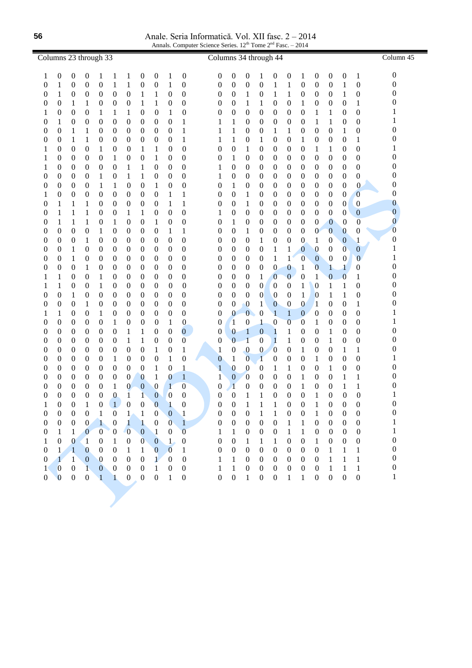Anale. Seria Informatică. Vol. XII fasc. 2 – 2014 Annals. Computer Science Series. 12<sup>th</sup> Tome 2<sup>nd</sup> Fasc. – 2014

| Columns 23 through 33 |                                      |                              |                              |                                      |                                      |                                      |                                  |                                      |                                  |                           | Columns 34 through 44          |                                      |                                    |                                      |                                      |                                      |                                      |                                      |                                      |                                      |                                    | Column 45                            |
|-----------------------|--------------------------------------|------------------------------|------------------------------|--------------------------------------|--------------------------------------|--------------------------------------|----------------------------------|--------------------------------------|----------------------------------|---------------------------|--------------------------------|--------------------------------------|------------------------------------|--------------------------------------|--------------------------------------|--------------------------------------|--------------------------------------|--------------------------------------|--------------------------------------|--------------------------------------|------------------------------------|--------------------------------------|
| 1                     | $\boldsymbol{0}$                     | $\boldsymbol{0}$             | $\boldsymbol{0}$             | 1                                    | $\mathbf{1}$                         | $\mathbf{1}$                         | $\boldsymbol{0}$                 | $\boldsymbol{0}$                     | $\mathbf{1}$                     | $\boldsymbol{0}$          | $\boldsymbol{0}$               | $\boldsymbol{0}$                     | $\boldsymbol{0}$                   | 1                                    | $\boldsymbol{0}$                     | $\boldsymbol{0}$                     | $\mathbf{1}$                         | $\boldsymbol{0}$                     | $\boldsymbol{0}$                     | $\boldsymbol{0}$                     | $\mathbf{1}$                       | 0                                    |
| 0                     | $\mathbf{1}$                         | $\boldsymbol{0}$             | $\boldsymbol{0}$             | $\boldsymbol{0}$                     | $\,1$                                | $\,1$                                | $\boldsymbol{0}$                 | $\boldsymbol{0}$                     | $\mathbf 1$                      | $\boldsymbol{0}$          | 0                              | $\boldsymbol{0}$                     | $\boldsymbol{0}$                   | $\boldsymbol{0}$                     | $\mathbf 1$                          | $\mathbf{1}$                         | $\boldsymbol{0}$                     | $\boldsymbol{0}$                     | $\boldsymbol{0}$                     | $\mathbf 1$                          | $\boldsymbol{0}$                   | 0                                    |
| 0                     | $\mathbf{1}$                         | $\boldsymbol{0}$             | $\boldsymbol{0}$             | $\boldsymbol{0}$                     | $\boldsymbol{0}$                     | $\boldsymbol{0}$                     | $\mathbf{1}$                     | $\mathbf{1}$                         | $\boldsymbol{0}$                 | $\boldsymbol{0}$          | 0                              | $\boldsymbol{0}$                     | $\mathbf{1}$                       | $\boldsymbol{0}$                     | $\mathbf{1}$                         | 1                                    | $\boldsymbol{0}$                     | $\boldsymbol{0}$                     | $\boldsymbol{0}$                     | $\mathbf{1}$                         | $\boldsymbol{0}$                   | 0                                    |
| 0                     | $\boldsymbol{0}$                     | $\mathbf{1}$                 | 1                            | $\boldsymbol{0}$                     | $\boldsymbol{0}$                     | $\boldsymbol{0}$                     | $\mathbf 1$                      | $\mathbf{1}$                         | 0                                | $\boldsymbol{0}$          | 0                              | 0                                    | $\mathbf{1}$                       | $\mathbf{1}$                         | 0                                    | $\boldsymbol{0}$                     | $\mathbf{1}$                         | $\boldsymbol{0}$                     | $\boldsymbol{0}$                     | $\boldsymbol{0}$                     | $\mathbf{1}$                       | 0                                    |
|                       | $\boldsymbol{0}$                     | $\boldsymbol{0}$             | 0                            | 1                                    | 1                                    | 1                                    | $\boldsymbol{0}$                 | $\boldsymbol{0}$                     | 1                                | $\boldsymbol{0}$          | 0                              | 0                                    | $\boldsymbol{0}$                   | $\boldsymbol{0}$                     | $\boldsymbol{0}$                     | 0                                    | $\boldsymbol{0}$                     | 1                                    | $\mathbf 1$                          | $\boldsymbol{0}$                     | $\boldsymbol{0}$                   |                                      |
| 0                     | $\mathbf{1}$                         | 0                            | $\boldsymbol{0}$             | $\boldsymbol{0}$                     | $\boldsymbol{0}$                     | $\boldsymbol{0}$                     | $\boldsymbol{0}$                 | 0                                    | $\boldsymbol{0}$                 | 1                         | 1                              | $\mathbf{1}$                         | 0                                  | 0                                    | $\boldsymbol{0}$                     | $\boldsymbol{0}$                     | 0                                    | $\mathbf{1}$                         | 1                                    | $\boldsymbol{0}$                     | $\boldsymbol{0}$                   | 1                                    |
| 0                     | $\boldsymbol{0}$                     | $\mathbf{1}$                 | $\mathbf{1}$                 | $\boldsymbol{0}$                     | $\boldsymbol{0}$                     | $\boldsymbol{0}$                     | 0                                | $\boldsymbol{0}$                     | $\boldsymbol{0}$                 | $\mathbf{1}$              | 1                              | $\mathbf{1}$                         | 0                                  | $\boldsymbol{0}$                     | $\mathbf{1}$                         | $\mathbf{1}$                         | 0                                    | $\boldsymbol{0}$                     | $\boldsymbol{0}$                     | $\mathbf{1}$                         | $\boldsymbol{0}$                   | 0                                    |
| 0                     | $\boldsymbol{0}$                     | $\mathbf{1}$                 | $\mathbf{1}$                 | 0                                    | $\boldsymbol{0}$                     | $\boldsymbol{0}$                     | 0                                | $\boldsymbol{0}$                     | $\boldsymbol{0}$                 | $\mathbf{1}$              | 1                              | $\mathbf{1}$                         | 0                                  | $\mathbf{1}$                         | 0                                    | $\boldsymbol{0}$                     | 1                                    | $\boldsymbol{0}$                     | $\boldsymbol{0}$                     | $\boldsymbol{0}$                     | 1                                  | 0                                    |
| 1                     | $\boldsymbol{0}$                     | 0                            | 0                            | 1                                    | $\boldsymbol{0}$                     | $\boldsymbol{0}$                     | $\mathbf{1}$                     | $\mathbf{1}$                         | $\boldsymbol{0}$                 | $\boldsymbol{0}$          | 0                              | 0                                    | 1                                  | $\boldsymbol{0}$                     | 0                                    | 0                                    | 0                                    | 1                                    | $\mathbf 1$                          | 0                                    | $\boldsymbol{0}$                   | 1                                    |
| 1                     | $\boldsymbol{0}$                     | $\boldsymbol{0}$             | $\boldsymbol{0}$             | $\boldsymbol{0}$                     | $\mathbf{1}$                         | $\boldsymbol{0}$                     | $\boldsymbol{0}$                 | $\mathbf{1}$                         | $\boldsymbol{0}$                 | $\boldsymbol{0}$          | 0                              | $\mathbf{1}$                         | $\boldsymbol{0}$                   | $\boldsymbol{0}$                     | $\boldsymbol{0}$                     | $\boldsymbol{0}$                     | $\boldsymbol{0}$                     | $\boldsymbol{0}$                     | $\boldsymbol{0}$                     | $\boldsymbol{0}$                     | $\boldsymbol{0}$                   | 0                                    |
| 1                     | $\boldsymbol{0}$                     | $\boldsymbol{0}$             | $\boldsymbol{0}$             | $\boldsymbol{0}$                     | $\boldsymbol{0}$                     | $\mathbf{1}$                         | $\mathbf{1}$                     | $\boldsymbol{0}$                     | $\boldsymbol{0}$                 | $\boldsymbol{0}$          | 1                              | $\boldsymbol{0}$                     | $\boldsymbol{0}$                   | $\boldsymbol{0}$                     | $\boldsymbol{0}$                     | $\boldsymbol{0}$                     | $\boldsymbol{0}$                     | $\boldsymbol{0}$                     | $\boldsymbol{0}$                     | $\boldsymbol{0}$                     | $\boldsymbol{0}$                   | 0                                    |
| 0                     | $\boldsymbol{0}$                     | $\boldsymbol{0}$             | 0                            | 1                                    | $\boldsymbol{0}$                     | $\mathbf{1}$                         | $\mathbf{1}$                     | $\boldsymbol{0}$                     | $\boldsymbol{0}$                 | $\boldsymbol{0}$          | 1                              | 0                                    | $\boldsymbol{0}$                   | $\boldsymbol{0}$                     | $\boldsymbol{0}$                     | $\boldsymbol{0}$                     | $\boldsymbol{0}$                     | $\boldsymbol{0}$                     | $\boldsymbol{0}$                     | $\boldsymbol{0}$                     | $\boldsymbol{0}$                   | $\boldsymbol{0}$                     |
| 0                     | $\boldsymbol{0}$                     | $\boldsymbol{0}$             | $\boldsymbol{0}$             | $\mathbf{1}$                         | $\mathbf{1}$                         | $\boldsymbol{0}$                     | $\boldsymbol{0}$                 | $\,1$                                | $\boldsymbol{0}$                 | $\boldsymbol{0}$          | $\boldsymbol{0}$               | $\mathbf{1}$                         | $\boldsymbol{0}$                   | $\boldsymbol{0}$                     | $\boldsymbol{0}$                     | $\boldsymbol{0}$                     | $\boldsymbol{0}$                     | $\boldsymbol{0}$                     | $\boldsymbol{0}$                     | $\boldsymbol{0}$                     | $\boldsymbol{0}$                   | $\boldsymbol{0}$<br>$\boldsymbol{0}$ |
| 1                     | $\boldsymbol{0}$                     | $\boldsymbol{0}$             | $\boldsymbol{0}$             | $\boldsymbol{0}$                     | $\boldsymbol{0}$                     | $\boldsymbol{0}$                     | $\boldsymbol{0}$                 | $\boldsymbol{0}$                     | $\mathbf{1}$                     | $\mathbf{1}$              | 0                              | $\boldsymbol{0}$                     | $\mathbf{1}$                       | $\boldsymbol{0}$                     | $\boldsymbol{0}$                     | $\boldsymbol{0}$                     | $\boldsymbol{0}$                     | $\boldsymbol{0}$                     | $\boldsymbol{0}$                     | $\boldsymbol{0}$<br>$\boldsymbol{0}$ | $\overline{0}$<br>$\boldsymbol{0}$ | 0                                    |
| 0<br>0                | $\mathbf{1}$<br>$\mathbf{1}$         | $\mathbf{1}$<br>$\mathbf{1}$ | $\mathbf{1}$<br>$\mathbf{1}$ | $\boldsymbol{0}$<br>$\boldsymbol{0}$ | $\boldsymbol{0}$<br>$\boldsymbol{0}$ | $\boldsymbol{0}$<br>$\mathbf{1}$     | $\boldsymbol{0}$<br>$\mathbf{1}$ | $\boldsymbol{0}$<br>$\boldsymbol{0}$ | $\mathbf{1}$<br>$\boldsymbol{0}$ | $\,1$<br>$\boldsymbol{0}$ | $\boldsymbol{0}$<br>1          | $\boldsymbol{0}$<br>$\boldsymbol{0}$ | $\mathbf{1}$<br>$\boldsymbol{0}$   | $\boldsymbol{0}$<br>$\boldsymbol{0}$ | $\boldsymbol{0}$<br>$\boldsymbol{0}$ | $\boldsymbol{0}$<br>$\boldsymbol{0}$ | $\boldsymbol{0}$<br>$\boldsymbol{0}$ | $\boldsymbol{0}$<br>$\boldsymbol{0}$ | $\boldsymbol{0}$<br>$\boldsymbol{0}$ | $\boldsymbol{0}$                     | $\overline{0}$                     | $\overline{0}$                       |
| 0                     | $\mathbf{1}$                         | $\mathbf{1}$                 | 1                            | $\boldsymbol{0}$                     | $\mathbf{1}$                         | $\boldsymbol{0}$                     | $\boldsymbol{0}$                 | $\mathbf{1}$                         | $\boldsymbol{0}$                 | $\boldsymbol{0}$          | $\boldsymbol{0}$               | $\mathbf{1}$                         | $\boldsymbol{0}$                   | $\boldsymbol{0}$                     | $\boldsymbol{0}$                     | $\boldsymbol{0}$                     | $\boldsymbol{0}$                     | $\boldsymbol{0}$                     | $\boldsymbol{0}$                     | $\boldsymbol{0}$                     | $\overline{0}$                     | $\bf{0}$                             |
| 0                     | $\boldsymbol{0}$                     | $\boldsymbol{0}$             | $\boldsymbol{0}$             | $\mathbf{1}$                         | $\boldsymbol{0}$                     | $\boldsymbol{0}$                     | $\boldsymbol{0}$                 | $\boldsymbol{0}$                     | $\mathbf{1}$                     | 1                         | 0                              | 0                                    | 1                                  | $\boldsymbol{0}$                     | 0                                    | $\boldsymbol{0}$                     | $\boldsymbol{0}$                     | $\boldsymbol{0}$                     | $\boldsymbol{0}$                     | $\boldsymbol{0}$                     | $\boldsymbol{0}$                   | $\overline{0}$                       |
| 0                     | $\boldsymbol{0}$                     | 0                            | $\mathbf{1}$                 | $\boldsymbol{0}$                     | $\boldsymbol{0}$                     | $\boldsymbol{0}$                     | 0                                | $\boldsymbol{0}$                     | $\boldsymbol{0}$                 | $\boldsymbol{0}$          | 0                              | 0                                    | $\boldsymbol{0}$                   | 1                                    | $\boldsymbol{0}$                     | $\boldsymbol{0}$                     | $\mathbf{0}$                         | $\mathbf{1}$                         | $\boldsymbol{0}$                     | $\boldsymbol{0}$                     | $\mathbf{1}$                       | $\boldsymbol{0}$                     |
| $\boldsymbol{0}$      | $\boldsymbol{0}$                     | $\mathbf{1}$                 | 0                            | $\boldsymbol{0}$                     | $\boldsymbol{0}$                     | $\boldsymbol{0}$                     | 0                                | $\boldsymbol{0}$                     | $\boldsymbol{0}$                 | $\boldsymbol{0}$          | $\boldsymbol{0}$               | 0                                    | 0                                  | $\boldsymbol{0}$                     | $\mathbf{1}$                         | $\mathbf{1}$                         | $\boldsymbol{0}$                     | $\bf{0}$                             | $\boldsymbol{0}$                     | $\mathbf{0}$                         | $\mathbf{0}$                       | $\mathbf{1}$                         |
| $\boldsymbol{0}$      | $\boldsymbol{0}$                     | $\mathbf{1}$                 | $\boldsymbol{0}$             | $\boldsymbol{0}$                     | $\boldsymbol{0}$                     | $\boldsymbol{0}$                     | $\boldsymbol{0}$                 | $\boldsymbol{0}$                     | $\boldsymbol{0}$                 | $\boldsymbol{0}$          | 0                              | 0                                    | 0                                  | $\boldsymbol{0}$                     | 1                                    | $\mathbf{1}$                         | $\overline{0}$                       | $\boldsymbol{0}$                     | $\boldsymbol{0}$                     | $\boldsymbol{0}$                     | $\overline{0}$                     | $\mathbf{1}$                         |
| 0                     | $\boldsymbol{0}$                     | 0                            | $\mathbf{1}$                 | $\boldsymbol{0}$                     | $\boldsymbol{0}$                     | $\boldsymbol{0}$                     | 0                                | 0                                    | $\boldsymbol{0}$                 | $\boldsymbol{0}$          | 0                              | 0                                    | 0                                  | $\boldsymbol{0}$                     | $\boldsymbol{0}$                     | 0                                    | $\mathbf{1}$                         | $\bf{0}$                             | $\mathbf{1}$                         | 1                                    | $\boldsymbol{0}$                   | $\boldsymbol{0}$                     |
| 1                     | $\mathbf{1}$                         | $\boldsymbol{0}$             | $\boldsymbol{0}$             | 1                                    | $\boldsymbol{0}$                     | $\boldsymbol{0}$                     | $\boldsymbol{0}$                 | $\boldsymbol{0}$                     | $\boldsymbol{0}$                 | $\boldsymbol{0}$          | 0                              | 0                                    | $\boldsymbol{0}$                   | $\mathbf{1}$                         | $\overline{0}$                       | $\overline{0}$                       | $\boldsymbol{0}$                     | $\mathbf{1}$                         | $\overline{0}$                       | $\mathbf{0}$                         | 1                                  | $\boldsymbol{0}$                     |
| 1                     | $\mathbf{1}$                         | $\boldsymbol{0}$             | $\boldsymbol{0}$             | $\mathbf{1}$                         | $\boldsymbol{0}$                     | $\boldsymbol{0}$                     | $\boldsymbol{0}$                 | $\boldsymbol{0}$                     | $\boldsymbol{0}$                 | $\boldsymbol{0}$          | $\boldsymbol{0}$               | $\boldsymbol{0}$                     | $\boldsymbol{0}$                   | $\boldsymbol{0}$                     | $\boldsymbol{0}$                     | $\boldsymbol{0}$                     | $\mathbf{1}$                         | $\mathbf{0}$                         | $\mathbf{1}$                         | $\mathbf{1}$                         | $\boldsymbol{0}$                   | $\boldsymbol{0}$                     |
| 0                     | $\boldsymbol{0}$                     | $\mathbf{1}$                 | $\boldsymbol{0}$             | $\boldsymbol{0}$                     | $\boldsymbol{0}$                     | $\boldsymbol{0}$                     | 0                                | 0                                    | $\boldsymbol{0}$                 | $\boldsymbol{0}$          | 0                              | $\boldsymbol{0}$                     | $\boldsymbol{0}$                   | $\boldsymbol{0}$                     | $\boldsymbol{0}$                     | $\boldsymbol{0}$                     | $\mathbf{1}$                         | $\bf{0}$                             | 1                                    | $\mathbf{1}$                         | $\boldsymbol{0}$                   | $\boldsymbol{0}$                     |
| 0                     | $\boldsymbol{0}$                     | $\boldsymbol{0}$             | $\mathbf{1}$                 | $\boldsymbol{0}$                     | $\boldsymbol{0}$                     | $\boldsymbol{0}$                     | 0                                | 0                                    | $\boldsymbol{0}$                 | $\boldsymbol{0}$          | 0                              | 0                                    | $\boldsymbol{0}$                   | 1                                    | $\boldsymbol{0}$                     | $\boldsymbol{0}$                     | $\bf{0}$                             | $\mathbf{1}$                         | $\boldsymbol{0}$                     | $\boldsymbol{0}$                     | $\mathbf{1}$                       | 0                                    |
| 1                     | $\mathbf{1}$                         | $\boldsymbol{0}$             | $\boldsymbol{0}$             | $\mathbf{1}$                         | $\boldsymbol{0}$                     | $\boldsymbol{0}$                     | $\boldsymbol{0}$                 | $\boldsymbol{0}$                     | $\boldsymbol{0}$                 | $\boldsymbol{0}$          | 0                              | $\bf{0}$                             | $\overline{0}$                     | $\boldsymbol{0}$                     | $\mathbf{1}$                         | $\mathbf{1}$                         | $\overline{0}$                       | $\boldsymbol{0}$                     | $\boldsymbol{0}$                     | $\boldsymbol{0}$                     | $\boldsymbol{0}$                   |                                      |
| 0                     | $\boldsymbol{0}$                     | $\boldsymbol{0}$             | $\boldsymbol{0}$             | $\boldsymbol{0}$                     | $\mathbf{1}$                         | $\boldsymbol{0}$                     | $\boldsymbol{0}$                 | $\boldsymbol{0}$                     | $\mathbf{1}$                     | $\boldsymbol{0}$          | 0                              | $\mathbf{1}$                         | $\boldsymbol{0}$                   | $\mathbf{1}$                         | $\mathbf{0}$                         | $\boldsymbol{0}$                     | $\boldsymbol{0}$                     | $\mathbf{1}$                         | $\boldsymbol{0}$                     | $\boldsymbol{0}$                     | $\boldsymbol{0}$                   |                                      |
| 0                     | $\boldsymbol{0}$                     | $\boldsymbol{0}$             | 0                            | $\boldsymbol{0}$                     | $\boldsymbol{0}$                     | $\mathbf{1}$                         | $\mathbf{1}$                     | 0                                    | $\boldsymbol{0}$                 | $\bf{0}$                  | $\boldsymbol{0}$               | $\boldsymbol{0}$                     | $\mathbf{1}$                       | $\mathbf{0}$                         | $\mathbf{1}$                         | $\mathbf{1}$                         | 0                                    | $\boldsymbol{0}$                     | 1                                    | $\boldsymbol{0}$                     | $\boldsymbol{0}$                   | 0                                    |
| 0                     | $\boldsymbol{0}$                     | $\boldsymbol{0}$             | $\boldsymbol{0}$             | $\boldsymbol{0}$                     | $\boldsymbol{0}$                     | $\mathbf{1}$                         | $\mathbf{1}$                     | 0                                    | $\boldsymbol{0}$                 | $\overline{0}$            | $\boldsymbol{0}$               | $\overline{0}$                       | $\mathbf{1}$                       | $\boldsymbol{0}$                     | $\mathbf{1}$                         | $\mathbf{1}$<br>$\boldsymbol{0}$     | $\boldsymbol{0}$                     | $\boldsymbol{0}$                     | 1                                    | $\boldsymbol{0}$                     | $\boldsymbol{0}$                   | 0<br>0                               |
| 0<br>0                | $\boldsymbol{0}$<br>$\boldsymbol{0}$ | $\boldsymbol{0}$<br>0        | $\boldsymbol{0}$<br>0        | $\boldsymbol{0}$<br>$\boldsymbol{0}$ | $\boldsymbol{0}$<br>1                | $\boldsymbol{0}$<br>$\boldsymbol{0}$ | $\boldsymbol{0}$<br>0            | 1<br>$\boldsymbol{0}$                | $\boldsymbol{0}$<br>$\mathbf{1}$ | 1<br>$\boldsymbol{0}$     | $\mathbf{1}$<br>$\overline{0}$ | $\boldsymbol{0}$<br>$\mathbf{1}$     | $\boldsymbol{0}$<br>$\overline{0}$ | $\boldsymbol{0}$<br>$\mathbf{1}$     | $\boldsymbol{0}$<br>0                | $\boldsymbol{0}$                     | 1<br>0                               | $\boldsymbol{0}$<br>1                | $\boldsymbol{0}$<br>0                | 1<br>$\boldsymbol{0}$                | 1<br>$\boldsymbol{0}$              | 1                                    |
| 0                     | $\boldsymbol{0}$                     | 0                            | 0                            | 0                                    | $\boldsymbol{0}$                     | $\boldsymbol{0}$                     | 0                                | 1                                    | $\boldsymbol{0}$                 | $\mathbf{1}$              | $\mathbf{1}$                   | 0                                    | $\boldsymbol{0}$                   | 0                                    | 1                                    | 1                                    | $\boldsymbol{0}$                     | $\boldsymbol{0}$                     | 1                                    | $\boldsymbol{0}$                     | $\boldsymbol{0}$                   | 0                                    |
| 0                     | 0                                    | 0                            | 0                            | $\boldsymbol{0}$                     | $\boldsymbol{0}$                     | $\boldsymbol{0}$                     | $\mathbf{0}$                     | 1                                    | 0                                | $\mathbf{1}$              | $\mathbf{1}$                   | $\boldsymbol{0}$                     | $\overline{0}$                     | $\boldsymbol{0}$                     | $\boldsymbol{0}$                     | 0                                    | 1                                    | $\boldsymbol{0}$                     | $\boldsymbol{0}$                     | 1                                    | 1                                  | 0                                    |
| 0                     | $\boldsymbol{0}$                     | $\boldsymbol{0}$             | $\boldsymbol{0}$             | $\boldsymbol{0}$                     | $\mathbf{1}$                         | $\boldsymbol{0}$                     | $\boldsymbol{0}$                 | $\boldsymbol{0}$                     | $\mathbf{1}$                     | $\overline{0}$            | $\boldsymbol{0}$               | $\overline{1}$                       | $\boldsymbol{0}$                   | $\boldsymbol{0}$                     | $\boldsymbol{0}$                     | $\boldsymbol{0}$                     | $\mathbf{1}$                         | $\boldsymbol{0}$                     | $\boldsymbol{0}$                     | $\mathbf{1}$                         | $\mathbf{1}$                       | $\boldsymbol{0}$                     |
| $\boldsymbol{0}$      | $\boldsymbol{0}$                     | $\boldsymbol{0}$             | $\boldsymbol{0}$             | $\boldsymbol{0}$                     | $\boldsymbol{0}$                     | $\overline{1}$                       | $\mathbf{1}$                     | $\boldsymbol{0}$                     | $\boldsymbol{0}$                 | $\boldsymbol{0}$          | $\boldsymbol{0}$               | $\boldsymbol{0}$                     | 1                                  | $\mathbf{1}$                         | $\boldsymbol{0}$                     | $\boldsymbol{0}$                     | $\boldsymbol{0}$                     | $\mathbf{1}$                         | $\boldsymbol{0}$                     | $\boldsymbol{0}$                     | $\boldsymbol{0}$                   |                                      |
| $\mathbf{1}$          | $\boldsymbol{0}$                     | $\boldsymbol{0}$             | $\mathbf{1}$                 | $\boldsymbol{0}$                     | $\bullet$                            | $\boldsymbol{0}$                     | $\boldsymbol{0}$                 | $\boldsymbol{0}$                     | $\mathbf{1}$                     | $\boldsymbol{0}$          | $\boldsymbol{0}$               | $\boldsymbol{0}$                     | $\mathbf{1}$                       | $\mathbf 1$                          | $\mathbf{1}$                         | $\boldsymbol{0}$                     | $\boldsymbol{0}$                     | $\mathbf 1$                          | $\boldsymbol{0}$                     | $\boldsymbol{0}$                     | $\boldsymbol{0}$                   | $\boldsymbol{0}$                     |
| $\boldsymbol{0}$      | $\boldsymbol{0}$                     | $\boldsymbol{0}$             | $\boldsymbol{0}$             | $1\,$                                | $\boldsymbol{0}$                     | $\mathbf{1}$                         | $\,1\,$                          | $\boldsymbol{0}$                     | $\boldsymbol{0}$                 | $\sqrt{1}$                | $\boldsymbol{0}$               | $\boldsymbol{0}$                     | $\boldsymbol{0}$                   | $\,1\,$                              | $\,1\,$                              | $\boldsymbol{0}$                     | $\boldsymbol{0}$                     | $\,1\,$                              | $\boldsymbol{0}$                     | $\boldsymbol{0}$                     | $\boldsymbol{0}$                   | $\boldsymbol{0}$                     |
| $\boldsymbol{0}$      | $\boldsymbol{0}$                     | $\boldsymbol{0}$             | $\boldsymbol{0}$             | $\left  \right $                     | $\boldsymbol{0}$                     | $\mathbf{1}$                         | $\mathbf{1}$                     | $\boldsymbol{0}$                     | $\mathbf{0}$                     | $\overline{1}$            | $\boldsymbol{0}$               | $\boldsymbol{0}$                     | $\boldsymbol{0}$                   | $\boldsymbol{0}$                     | $\boldsymbol{0}$                     | $\,1\,$                              | $\,1$                                | $\boldsymbol{0}$                     | $\boldsymbol{0}$                     | $\boldsymbol{0}$                     | $\boldsymbol{0}$                   | $\mathbf{1}$                         |
| $\boldsymbol{0}$      | $1\,$                                | $\,1$                        | $\mathbf{0}$                 | $\overline{0}$                       | $\boldsymbol{0}$                     | $\overline{0}$                       | $\overline{0}$                   | $\mathbf{1}$                         | $\boldsymbol{0}$                 | $\overline{0}$            | $\mathbf{1}$                   | $\mathbf{1}$                         | $\boldsymbol{0}$                   | $\boldsymbol{0}$                     | $\boldsymbol{0}$                     | $\,1\,$                              | $\,1$                                | $\boldsymbol{0}$                     | $\boldsymbol{0}$                     | $\boldsymbol{0}$                     | $\boldsymbol{0}$                   | $\mathbf{1}$                         |
| $\mathbf{1}$          | $\boldsymbol{0}$                     | $\boldsymbol{0}$             | $\boxed{1}$                  | $\boldsymbol{0}$                     | $\,1\,$                              | $\boldsymbol{0}$                     | $\mathbf{0}$                     | $\boldsymbol{0}$                     | $\mathbf{1}$                     | $\boldsymbol{0}$          | $\boldsymbol{0}$               | $\boldsymbol{0}$                     | $\,1\,$                            | $\mathbf{1}$                         | $\mathbf{1}$                         | $\boldsymbol{0}$                     | $\boldsymbol{0}$                     | $\mathbf{1}$                         | $\boldsymbol{0}$                     | $\boldsymbol{0}$                     | $\boldsymbol{0}$                   | $\boldsymbol{0}$                     |
| $\boldsymbol{0}$      | $\mathbf{1}$                         | $\mathbf{1}$                 | $\overline{0}$               | $\boldsymbol{0}$                     | $\boldsymbol{0}$                     | $\mathbf{1}$                         | $\mathbf{1}$                     | $\boldsymbol{0}$                     | $\boldsymbol{0}$                 | $\mathbf{1}$              | $\boldsymbol{0}$               | $\boldsymbol{0}$                     | $\boldsymbol{0}$                   | $\boldsymbol{0}$                     | $\boldsymbol{0}$                     | $\boldsymbol{0}$                     | $\boldsymbol{0}$                     | $\boldsymbol{0}$                     | $\mathbf{1}$                         | $\mathbf{1}$                         | $\mathbf{1}$                       | $\boldsymbol{0}$                     |
| $\boldsymbol{0}$      | $\mathbf{1}$                         | $\mathbf{1}$                 | $\boldsymbol{0}$             | $\boldsymbol{0}$                     | $\boldsymbol{0}$                     | $\boldsymbol{0}$                     | $\boldsymbol{0}$                 | $\mathbf{1}^{\prime}$                | $\boldsymbol{0}$                 | $\boldsymbol{0}$          | $\mathbf{1}$                   | $\mathbf{1}$                         | $\boldsymbol{0}$                   | $\boldsymbol{0}$                     | $\boldsymbol{0}$                     | $\boldsymbol{0}$                     | $\boldsymbol{0}$                     | $\boldsymbol{0}$                     | $\mathbf{1}$                         | $\mathbf 1$                          | $\mathbf{1}$                       | $\boldsymbol{0}$                     |
| $1^{\circ}$           | $\bf{0}$                             | $\boldsymbol{0}$             | $\mathbf{1}$                 | $\boldsymbol{0}$                     | $\boldsymbol{0}$                     | $\boldsymbol{0}$                     | $\boldsymbol{0}$                 | $\,1$                                | $\boldsymbol{0}$                 | $\boldsymbol{0}$          | $\mathbf{1}$                   | $\mathbf{1}$                         | $\boldsymbol{0}$                   | $\boldsymbol{0}$                     | $\boldsymbol{0}$                     | $\boldsymbol{0}$                     | $\boldsymbol{0}$                     | $\boldsymbol{0}$                     | $\,1$                                | $\,1\,$                              | $\mathbf{1}$                       | $\boldsymbol{0}$                     |
| 0                     | $\Omega$                             | $\boldsymbol{0}$             | $\boldsymbol{0}$             | $\mathbf{1}$                         | 1.                                   | $\boldsymbol{0}$                     | $\boldsymbol{0}$                 | $\boldsymbol{0}$                     | $\mathbf{1}$                     | $\boldsymbol{0}$          | $\boldsymbol{0}$               | $\overline{0}$                       | $\mathbf{1}$                       | $\boldsymbol{0}$                     | $\boldsymbol{0}$                     | $\mathbf{1}$                         | $\mathbf{1}$                         | $\overline{0}$                       | $\boldsymbol{0}$                     | $\boldsymbol{0}$                     | $\boldsymbol{0}$                   | 1                                    |
|                       |                                      |                              |                              |                                      |                                      |                                      |                                  |                                      |                                  |                           |                                |                                      |                                    |                                      |                                      |                                      |                                      |                                      |                                      |                                      |                                    |                                      |
|                       |                                      |                              |                              |                                      |                                      |                                      |                                  |                                      |                                  |                           |                                |                                      |                                    |                                      |                                      |                                      |                                      |                                      |                                      |                                      |                                    |                                      |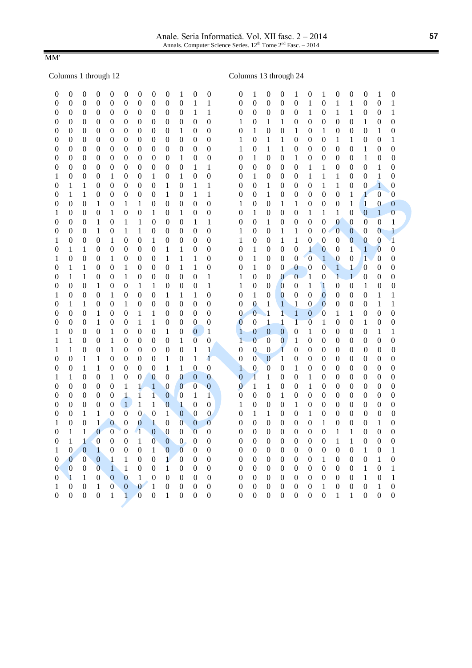|                                                                                                                                                                                                                                |                                                                                                                                                                                                                                    |                                                                                                                                                                                                                                                          |                                                                                                                                                                                                                                               | Columns 1 through 12                                                                                                                                                                                                                                         |                                                                                                                                                                                                                     |                                                                                                                                                                                                                                                   |                                                                                                                                                                                                                     |                                                                                                                                                                                                                                           |                                                                                                                                                                                                                 |                                                                                                                                                                                                                                   |                                                                                                                                                                                                                    | Columns 13 through 24                                                                                                                                                                                                                            |                                                                                                                                                                                                                            |                                                                                                                                                                                                                                      |                                                                                                                                                                                                                                   |                                                                                                                                                                                                                                       |                                                                                                                                                                                                                                       |                                                                                                                                                                                                                                   |                                                                                                                                                                                                                           |                                                                                                                                                                                                                                   |                                                                                                                                                                                                                    |                                                                                                                                                                                                                                   |                                                                                                                                                                                            |
|--------------------------------------------------------------------------------------------------------------------------------------------------------------------------------------------------------------------------------|------------------------------------------------------------------------------------------------------------------------------------------------------------------------------------------------------------------------------------|----------------------------------------------------------------------------------------------------------------------------------------------------------------------------------------------------------------------------------------------------------|-----------------------------------------------------------------------------------------------------------------------------------------------------------------------------------------------------------------------------------------------|--------------------------------------------------------------------------------------------------------------------------------------------------------------------------------------------------------------------------------------------------------------|---------------------------------------------------------------------------------------------------------------------------------------------------------------------------------------------------------------------|---------------------------------------------------------------------------------------------------------------------------------------------------------------------------------------------------------------------------------------------------|---------------------------------------------------------------------------------------------------------------------------------------------------------------------------------------------------------------------|-------------------------------------------------------------------------------------------------------------------------------------------------------------------------------------------------------------------------------------------|-----------------------------------------------------------------------------------------------------------------------------------------------------------------------------------------------------------------|-----------------------------------------------------------------------------------------------------------------------------------------------------------------------------------------------------------------------------------|--------------------------------------------------------------------------------------------------------------------------------------------------------------------------------------------------------------------|--------------------------------------------------------------------------------------------------------------------------------------------------------------------------------------------------------------------------------------------------|----------------------------------------------------------------------------------------------------------------------------------------------------------------------------------------------------------------------------|--------------------------------------------------------------------------------------------------------------------------------------------------------------------------------------------------------------------------------------|-----------------------------------------------------------------------------------------------------------------------------------------------------------------------------------------------------------------------------------|---------------------------------------------------------------------------------------------------------------------------------------------------------------------------------------------------------------------------------------|---------------------------------------------------------------------------------------------------------------------------------------------------------------------------------------------------------------------------------------|-----------------------------------------------------------------------------------------------------------------------------------------------------------------------------------------------------------------------------------|---------------------------------------------------------------------------------------------------------------------------------------------------------------------------------------------------------------------------|-----------------------------------------------------------------------------------------------------------------------------------------------------------------------------------------------------------------------------------|--------------------------------------------------------------------------------------------------------------------------------------------------------------------------------------------------------------------|-----------------------------------------------------------------------------------------------------------------------------------------------------------------------------------------------------------------------------------|--------------------------------------------------------------------------------------------------------------------------------------------------------------------------------------------|
| $\boldsymbol{0}$<br>$\boldsymbol{0}$<br>$\boldsymbol{0}$<br>$\boldsymbol{0}$<br>$\boldsymbol{0}$<br>$\boldsymbol{0}$<br>0<br>$\boldsymbol{0}$<br>$\boldsymbol{0}$<br>$\mathbf{1}$<br>$\boldsymbol{0}$<br>0<br>$\boldsymbol{0}$ | $\boldsymbol{0}$<br>$\boldsymbol{0}$<br>$\boldsymbol{0}$<br>$\boldsymbol{0}$<br>$\boldsymbol{0}$<br>$\boldsymbol{0}$<br>$\boldsymbol{0}$<br>$\boldsymbol{0}$<br>$\boldsymbol{0}$<br>$\boldsymbol{0}$<br>1<br>1<br>$\boldsymbol{0}$ | $\boldsymbol{0}$<br>$\boldsymbol{0}$<br>$\boldsymbol{0}$<br>$\boldsymbol{0}$<br>$\boldsymbol{0}$<br>$\boldsymbol{0}$<br>$\boldsymbol{0}$<br>$\boldsymbol{0}$<br>$\boldsymbol{0}$<br>$\boldsymbol{0}$<br>$\mathbf{1}$<br>$\mathbf{1}$<br>$\boldsymbol{0}$ | $\boldsymbol{0}$<br>$\boldsymbol{0}$<br>$\boldsymbol{0}$<br>$\boldsymbol{0}$<br>$\boldsymbol{0}$<br>$\boldsymbol{0}$<br>$\boldsymbol{0}$<br>$\boldsymbol{0}$<br>$\boldsymbol{0}$<br>$\boldsymbol{0}$<br>0<br>$\boldsymbol{0}$<br>$\mathbf{1}$ | $\boldsymbol{0}$<br>$\boldsymbol{0}$<br>$\boldsymbol{0}$<br>$\boldsymbol{0}$<br>$\boldsymbol{0}$<br>$\boldsymbol{0}$<br>$\boldsymbol{0}$<br>$\boldsymbol{0}$<br>$\boldsymbol{0}$<br>$\mathbf{1}$<br>$\boldsymbol{0}$<br>$\boldsymbol{0}$<br>$\boldsymbol{0}$ | $\boldsymbol{0}$<br>$\boldsymbol{0}$<br>$\boldsymbol{0}$<br>$\boldsymbol{0}$<br>$\boldsymbol{0}$<br>$\boldsymbol{0}$<br>$\boldsymbol{0}$<br>$\boldsymbol{0}$<br>$\boldsymbol{0}$<br>$\boldsymbol{0}$<br>0<br>0<br>1 | $\boldsymbol{0}$<br>$\boldsymbol{0}$<br>$\boldsymbol{0}$<br>$\boldsymbol{0}$<br>$\boldsymbol{0}$<br>$\boldsymbol{0}$<br>$\boldsymbol{0}$<br>$\boldsymbol{0}$<br>$\boldsymbol{0}$<br>$\boldsymbol{0}$<br>$\boldsymbol{0}$<br>$\boldsymbol{0}$<br>1 | $\boldsymbol{0}$<br>$\boldsymbol{0}$<br>$\boldsymbol{0}$<br>$\boldsymbol{0}$<br>$\boldsymbol{0}$<br>$\boldsymbol{0}$<br>$\boldsymbol{0}$<br>$\boldsymbol{0}$<br>$\boldsymbol{0}$<br>1<br>$\boldsymbol{0}$<br>0<br>0 | 0<br>$\boldsymbol{0}$<br>$\boldsymbol{0}$<br>$\boldsymbol{0}$<br>$\boldsymbol{0}$<br>$\boldsymbol{0}$<br>$\boldsymbol{0}$<br>$\boldsymbol{0}$<br>$\boldsymbol{0}$<br>$\boldsymbol{0}$<br>$\mathbf{1}$<br>$\mathbf{1}$<br>$\boldsymbol{0}$ | $\mathbf{1}$<br>$\boldsymbol{0}$<br>$\boldsymbol{0}$<br>$\boldsymbol{0}$<br>1<br>$\boldsymbol{0}$<br>$\boldsymbol{0}$<br>1<br>$\boldsymbol{0}$<br>1<br>$\boldsymbol{0}$<br>$\boldsymbol{0}$<br>$\boldsymbol{0}$ | $\boldsymbol{0}$<br>$\mathbf{1}$<br>$\mathbf{1}$<br>$\boldsymbol{0}$<br>$\boldsymbol{0}$<br>$\boldsymbol{0}$<br>$\boldsymbol{0}$<br>$\boldsymbol{0}$<br>1<br>$\boldsymbol{0}$<br>$\mathbf{1}$<br>$\mathbf{1}$<br>$\boldsymbol{0}$ | $\boldsymbol{0}$<br>$\mathbf{1}$<br>$\mathbf{1}$<br>$\boldsymbol{0}$<br>$\boldsymbol{0}$<br>$\boldsymbol{0}$<br>$\boldsymbol{0}$<br>$\boldsymbol{0}$<br>$\mathbf{1}$<br>$\boldsymbol{0}$<br>$\mathbf{1}$<br>1<br>0 | $\boldsymbol{0}$<br>$\boldsymbol{0}$<br>$\boldsymbol{0}$<br>$\mathbf{1}$<br>$\boldsymbol{0}$<br>$\mathbf{1}$<br>$\mathbf{1}$<br>$\boldsymbol{0}$<br>$\boldsymbol{0}$<br>$\boldsymbol{0}$<br>$\boldsymbol{0}$<br>$\boldsymbol{0}$<br>$\mathbf{1}$ | 1<br>$\boldsymbol{0}$<br>$\boldsymbol{0}$<br>$\boldsymbol{0}$<br>$\mathbf{1}$<br>$\boldsymbol{0}$<br>$\boldsymbol{0}$<br>1<br>$\boldsymbol{0}$<br>$\mathbf{1}$<br>$\boldsymbol{0}$<br>$\boldsymbol{0}$<br>$\boldsymbol{0}$ | $\boldsymbol{0}$<br>$\boldsymbol{0}$<br>$\boldsymbol{0}$<br>$\mathbf{1}$<br>$\boldsymbol{0}$<br>$\,1$<br>$\mathbf 1$<br>$\boldsymbol{0}$<br>$\boldsymbol{0}$<br>$\boldsymbol{0}$<br>$\mathbf{1}$<br>$\mathbf{1}$<br>$\boldsymbol{0}$ | 0<br>$\boldsymbol{0}$<br>$\boldsymbol{0}$<br>$\mathbf{1}$<br>$\boldsymbol{0}$<br>$\mathbf{1}$<br>$\mathbf{1}$<br>$\boldsymbol{0}$<br>$\boldsymbol{0}$<br>$\boldsymbol{0}$<br>$\boldsymbol{0}$<br>$\boldsymbol{0}$<br>$\mathbf{1}$ | 1<br>$\boldsymbol{0}$<br>$\boldsymbol{0}$<br>$\boldsymbol{0}$<br>$\mathbf{1}$<br>$\boldsymbol{0}$<br>$\boldsymbol{0}$<br>$\mathbf{1}$<br>$\boldsymbol{0}$<br>$\boldsymbol{0}$<br>$\boldsymbol{0}$<br>$\boldsymbol{0}$<br>$\mathbf{1}$ | $\boldsymbol{0}$<br>$\mathbf{1}$<br>$\mathbf{1}$<br>$\boldsymbol{0}$<br>$\boldsymbol{0}$<br>$\boldsymbol{0}$<br>$\boldsymbol{0}$<br>$\boldsymbol{0}$<br>1<br>$\mathbf{1}$<br>$\boldsymbol{0}$<br>$\boldsymbol{0}$<br>$\boldsymbol{0}$ | 1<br>$\boldsymbol{0}$<br>$\boldsymbol{0}$<br>$\boldsymbol{0}$<br>$\mathbf{1}$<br>$\boldsymbol{0}$<br>$\boldsymbol{0}$<br>$\boldsymbol{0}$<br>$\mathbf{1}$<br>$\mathbf{1}$<br>$\mathbf{1}$<br>$\boldsymbol{0}$<br>$\boldsymbol{0}$ | $\boldsymbol{0}$<br>$\,1$<br>$\mathbf{1}$<br>$\boldsymbol{0}$<br>$\boldsymbol{0}$<br>$\mathbf{1}$<br>$\boldsymbol{0}$<br>$\boldsymbol{0}$<br>$\boldsymbol{0}$<br>$\mathbf 1$<br>1<br>$\boldsymbol{0}$<br>$\boldsymbol{0}$ | $\boldsymbol{0}$<br>$\mathbf{1}$<br>$\mathbf{1}$<br>$\boldsymbol{0}$<br>$\boldsymbol{0}$<br>$\mathbf{1}$<br>$\boldsymbol{0}$<br>$\boldsymbol{0}$<br>$\boldsymbol{0}$<br>$\boldsymbol{0}$<br>$\boldsymbol{0}$<br>1<br>$\mathbf{1}$ | $\boldsymbol{0}$<br>$\boldsymbol{0}$<br>$\boldsymbol{0}$<br>$\mathbf{1}$<br>$\boldsymbol{0}$<br>$\boldsymbol{0}$<br>$\mathbf{1}$<br>$\mathbf{1}$<br>$\boldsymbol{0}$<br>$\boldsymbol{0}$<br>0<br>4<br>$\mathbf{1}$ | 1<br>$\boldsymbol{0}$<br>$\boldsymbol{0}$<br>$\boldsymbol{0}$<br>$\mathbf{1}$<br>$\boldsymbol{0}$<br>$\boldsymbol{0}$<br>$\boldsymbol{0}$<br>$\mathbf{1}$<br>$\mathbf{1}$<br>$\mathbf{1}$<br>$\boldsymbol{0}$<br>$\boldsymbol{0}$ | $\mathbf 0$<br>1<br>1<br>$\boldsymbol{0}$<br>$\boldsymbol{0}$<br>1<br>$\boldsymbol{0}$<br>$\mathbf 0$<br>$\boldsymbol{0}$<br>$\boldsymbol{0}$<br>$\boldsymbol{0}$<br>0<br>$\boldsymbol{0}$ |
| $\mathbf{1}$                                                                                                                                                                                                                   | $\boldsymbol{0}$                                                                                                                                                                                                                   | $\boldsymbol{0}$                                                                                                                                                                                                                                         | $\boldsymbol{0}$                                                                                                                                                                                                                              | $\mathbf{1}$                                                                                                                                                                                                                                                 | 0                                                                                                                                                                                                                   | $\boldsymbol{0}$                                                                                                                                                                                                                                  | 1                                                                                                                                                                                                                   | $\boldsymbol{0}$                                                                                                                                                                                                                          | 1                                                                                                                                                                                                               | $\boldsymbol{0}$                                                                                                                                                                                                                  | $\boldsymbol{0}$                                                                                                                                                                                                   | $\boldsymbol{0}$                                                                                                                                                                                                                                 | 1                                                                                                                                                                                                                          | $\boldsymbol{0}$                                                                                                                                                                                                                     | $\boldsymbol{0}$                                                                                                                                                                                                                  | $\boldsymbol{0}$                                                                                                                                                                                                                      | 1                                                                                                                                                                                                                                     | 1                                                                                                                                                                                                                                 | $\mathbf{1}$                                                                                                                                                                                                              | $\boldsymbol{0}$                                                                                                                                                                                                                  | $\boldsymbol{0}$                                                                                                                                                                                                   | $\mathbf{1}$                                                                                                                                                                                                                      | $\overline{0}$                                                                                                                                                                             |
| $\boldsymbol{0}$                                                                                                                                                                                                               | $\boldsymbol{0}$                                                                                                                                                                                                                   | $\boldsymbol{0}$                                                                                                                                                                                                                                         | 1                                                                                                                                                                                                                                             | $\boldsymbol{0}$                                                                                                                                                                                                                                             | 1                                                                                                                                                                                                                   | $\mathbf{1}$                                                                                                                                                                                                                                      | $\boldsymbol{0}$                                                                                                                                                                                                    | $\boldsymbol{0}$                                                                                                                                                                                                                          | $\boldsymbol{0}$                                                                                                                                                                                                | $\mathbf{1}$                                                                                                                                                                                                                      | $\mathbf{1}$                                                                                                                                                                                                       | $\boldsymbol{0}$                                                                                                                                                                                                                                 | $\boldsymbol{0}$                                                                                                                                                                                                           | $\mathbf{1}$                                                                                                                                                                                                                         | $\boldsymbol{0}$                                                                                                                                                                                                                  | $\boldsymbol{0}$                                                                                                                                                                                                                      | $\boldsymbol{0}$                                                                                                                                                                                                                      | $\boldsymbol{0}$                                                                                                                                                                                                                  | $\boldsymbol{0}$                                                                                                                                                                                                          | $\boldsymbol{0}$                                                                                                                                                                                                                  | $\boldsymbol{0}$                                                                                                                                                                                                   | $\boldsymbol{0}$                                                                                                                                                                                                                  | 1                                                                                                                                                                                          |
| $\boldsymbol{0}$                                                                                                                                                                                                               | $\boldsymbol{0}$                                                                                                                                                                                                                   | $\boldsymbol{0}$                                                                                                                                                                                                                                         | $\mathbf{1}$                                                                                                                                                                                                                                  | $\boldsymbol{0}$                                                                                                                                                                                                                                             | 1                                                                                                                                                                                                                   | $\mathbf{1}$                                                                                                                                                                                                                                      | 0                                                                                                                                                                                                                   | $\boldsymbol{0}$                                                                                                                                                                                                                          | $\boldsymbol{0}$                                                                                                                                                                                                | $\boldsymbol{0}$                                                                                                                                                                                                                  | $\boldsymbol{0}$                                                                                                                                                                                                   | $\mathbf{1}$                                                                                                                                                                                                                                     | $\boldsymbol{0}$                                                                                                                                                                                                           | $\boldsymbol{0}$                                                                                                                                                                                                                     | 1                                                                                                                                                                                                                                 | $\mathbf{1}$                                                                                                                                                                                                                          | $\boldsymbol{0}$                                                                                                                                                                                                                      | $\boldsymbol{0}$                                                                                                                                                                                                                  | $\boldsymbol{0}$                                                                                                                                                                                                          | $\boldsymbol{0}$                                                                                                                                                                                                                  | $\boldsymbol{0}$                                                                                                                                                                                                   | $\bf{0}$                                                                                                                                                                                                                          | $\mathbf{1}$                                                                                                                                                                               |
| 1<br>$\boldsymbol{0}$                                                                                                                                                                                                          | $\boldsymbol{0}$<br>1                                                                                                                                                                                                              | $\boldsymbol{0}$<br>1                                                                                                                                                                                                                                    | $\boldsymbol{0}$<br>$\boldsymbol{0}$                                                                                                                                                                                                          | $\mathbf{1}$<br>$\boldsymbol{0}$                                                                                                                                                                                                                             | $\boldsymbol{0}$<br>$\boldsymbol{0}$                                                                                                                                                                                | $\boldsymbol{0}$<br>$\boldsymbol{0}$                                                                                                                                                                                                              | 1<br>0                                                                                                                                                                                                              | $\boldsymbol{0}$<br>1                                                                                                                                                                                                                     | $\boldsymbol{0}$<br>1                                                                                                                                                                                           | $\boldsymbol{0}$<br>$\boldsymbol{0}$                                                                                                                                                                                              | $\boldsymbol{0}$<br>$\boldsymbol{0}$                                                                                                                                                                               | $\mathbf{1}$<br>$\boldsymbol{0}$                                                                                                                                                                                                                 | $\boldsymbol{0}$<br>$\mathbf{1}$                                                                                                                                                                                           | $\boldsymbol{0}$<br>$\boldsymbol{0}$                                                                                                                                                                                                 | $\mathbf{1}$<br>$\boldsymbol{0}$                                                                                                                                                                                                  | $\mathbf{1}$<br>$\boldsymbol{0}$                                                                                                                                                                                                      | $\boldsymbol{0}$<br>$\mathbf{1}$                                                                                                                                                                                                      | $\boldsymbol{0}$<br>$\boldsymbol{0}$                                                                                                                                                                                              | $\boldsymbol{0}$<br>$\boldsymbol{0}$                                                                                                                                                                                      | $\boldsymbol{0}$<br>1                                                                                                                                                                                                             | $\boldsymbol{0}$<br>$\mathbf{1}$                                                                                                                                                                                   | $\boldsymbol{0}$<br>$\boldsymbol{0}$                                                                                                                                                                                              | $\mathbf{1}$<br>$\boldsymbol{0}$                                                                                                                                                           |
| $\mathbf{1}$                                                                                                                                                                                                                   | $\boldsymbol{0}$                                                                                                                                                                                                                   | $\boldsymbol{0}$                                                                                                                                                                                                                                         | $\boldsymbol{0}$                                                                                                                                                                                                                              | $\mathbf{1}$                                                                                                                                                                                                                                                 | 0                                                                                                                                                                                                                   | $\boldsymbol{0}$                                                                                                                                                                                                                                  | 0                                                                                                                                                                                                                   | $\mathbf{1}$                                                                                                                                                                                                                              | 1                                                                                                                                                                                                               | $\mathbf{1}$                                                                                                                                                                                                                      | $\boldsymbol{0}$                                                                                                                                                                                                   | $\boldsymbol{0}$                                                                                                                                                                                                                                 | $\mathbf{1}$                                                                                                                                                                                                               | $\boldsymbol{0}$                                                                                                                                                                                                                     | $\boldsymbol{0}$                                                                                                                                                                                                                  | $\boldsymbol{0}$                                                                                                                                                                                                                      | $\overline{0}$                                                                                                                                                                                                                        | $\mathbf{1}$                                                                                                                                                                                                                      | $\boldsymbol{0}$                                                                                                                                                                                                          | $\boldsymbol{0}$                                                                                                                                                                                                                  | 1                                                                                                                                                                                                                  | $\boldsymbol{0}$                                                                                                                                                                                                                  | $\boldsymbol{0}$                                                                                                                                                                           |
| $\boldsymbol{0}$                                                                                                                                                                                                               | 1                                                                                                                                                                                                                                  | 1                                                                                                                                                                                                                                                        | $\boldsymbol{0}$                                                                                                                                                                                                                              | $\boldsymbol{0}$                                                                                                                                                                                                                                             | 1                                                                                                                                                                                                                   | $\boldsymbol{0}$                                                                                                                                                                                                                                  | 0                                                                                                                                                                                                                   | $\boldsymbol{0}$                                                                                                                                                                                                                          | 1                                                                                                                                                                                                               | $\mathbf{1}$                                                                                                                                                                                                                      | $\boldsymbol{0}$                                                                                                                                                                                                   | $\boldsymbol{0}$                                                                                                                                                                                                                                 | $\mathbf{1}$                                                                                                                                                                                                               | $\boldsymbol{0}$                                                                                                                                                                                                                     | $\boldsymbol{0}$                                                                                                                                                                                                                  | $\boldsymbol{0}$                                                                                                                                                                                                                      | $\boldsymbol{0}$                                                                                                                                                                                                                      | $\boldsymbol{0}$                                                                                                                                                                                                                  | $\mathbf{1}$                                                                                                                                                                                                              | $\mathbf{1}$                                                                                                                                                                                                                      | $\boldsymbol{0}$                                                                                                                                                                                                   | $\boldsymbol{0}$                                                                                                                                                                                                                  | $\boldsymbol{0}$                                                                                                                                                                           |
| $\boldsymbol{0}$                                                                                                                                                                                                               | 1                                                                                                                                                                                                                                  | $\mathbf{1}$                                                                                                                                                                                                                                             | $\boldsymbol{0}$                                                                                                                                                                                                                              | $\boldsymbol{0}$                                                                                                                                                                                                                                             | 1                                                                                                                                                                                                                   | $\boldsymbol{0}$                                                                                                                                                                                                                                  | 0                                                                                                                                                                                                                   | $\boldsymbol{0}$                                                                                                                                                                                                                          | $\boldsymbol{0}$                                                                                                                                                                                                | $\boldsymbol{0}$                                                                                                                                                                                                                  | $\mathbf{1}$                                                                                                                                                                                                       | $\mathbf 1$                                                                                                                                                                                                                                      | $\boldsymbol{0}$                                                                                                                                                                                                           | $\boldsymbol{0}$                                                                                                                                                                                                                     | $\bf{0}$                                                                                                                                                                                                                          | $\mathbf{0}$                                                                                                                                                                                                                          | $\mathbf{1}$                                                                                                                                                                                                                          | $\boldsymbol{0}$                                                                                                                                                                                                                  | $\mathbf{1}$                                                                                                                                                                                                              | $\mathbf{1}$                                                                                                                                                                                                                      | $\boldsymbol{0}$                                                                                                                                                                                                   | $\boldsymbol{0}$                                                                                                                                                                                                                  | $\boldsymbol{0}$                                                                                                                                                                           |
| $\boldsymbol{0}$                                                                                                                                                                                                               | $\boldsymbol{0}$                                                                                                                                                                                                                   | $\boldsymbol{0}$                                                                                                                                                                                                                                         | $\mathbf{1}$                                                                                                                                                                                                                                  | $\boldsymbol{0}$                                                                                                                                                                                                                                             | $\boldsymbol{0}$                                                                                                                                                                                                    | $\mathbf{1}$                                                                                                                                                                                                                                      | 1                                                                                                                                                                                                                   | 0                                                                                                                                                                                                                                         | 0                                                                                                                                                                                                               | $\boldsymbol{0}$                                                                                                                                                                                                                  | $\mathbf{1}$                                                                                                                                                                                                       | $\mathbf{1}$                                                                                                                                                                                                                                     | $\boldsymbol{0}$                                                                                                                                                                                                           | $\boldsymbol{0}$                                                                                                                                                                                                                     | $\bf{0}$                                                                                                                                                                                                                          | $\boldsymbol{0}$                                                                                                                                                                                                                      | 1                                                                                                                                                                                                                                     | $\mathbf{1}$                                                                                                                                                                                                                      | $\boldsymbol{0}$                                                                                                                                                                                                          | $\boldsymbol{0}$                                                                                                                                                                                                                  | 1                                                                                                                                                                                                                  | $\boldsymbol{0}$                                                                                                                                                                                                                  | $\mathbf 0$                                                                                                                                                                                |
| $\mathbf{1}$                                                                                                                                                                                                                   | $\boldsymbol{0}$                                                                                                                                                                                                                   | $\boldsymbol{0}$                                                                                                                                                                                                                                         | $\boldsymbol{0}$                                                                                                                                                                                                                              | $\mathbf{1}$                                                                                                                                                                                                                                                 | 0                                                                                                                                                                                                                   | $\boldsymbol{0}$                                                                                                                                                                                                                                  | $\boldsymbol{0}$                                                                                                                                                                                                    | 1<br>$\boldsymbol{0}$                                                                                                                                                                                                                     | 1                                                                                                                                                                                                               | 1<br>$\boldsymbol{0}$                                                                                                                                                                                                             | $\boldsymbol{0}$                                                                                                                                                                                                   | $\boldsymbol{0}$<br>$\boldsymbol{0}$                                                                                                                                                                                                             | 1                                                                                                                                                                                                                          | $\boldsymbol{0}$                                                                                                                                                                                                                     | $\boldsymbol{0}$<br>$\mathbf{1}$                                                                                                                                                                                                  | $\boldsymbol{0}$<br>$\mathbf{1}$                                                                                                                                                                                                      | $\boldsymbol{0}$                                                                                                                                                                                                                      | $\bf{0}$<br>$\mathbf{0}$                                                                                                                                                                                                          | $\boldsymbol{0}$                                                                                                                                                                                                          | $\boldsymbol{0}$                                                                                                                                                                                                                  | $\boldsymbol{0}$                                                                                                                                                                                                   | $\mathbf{1}$                                                                                                                                                                                                                      | 1                                                                                                                                                                                          |
| $\boldsymbol{0}$<br>$\boldsymbol{0}$                                                                                                                                                                                           | 1<br>$\boldsymbol{0}$                                                                                                                                                                                                              | 1<br>$\boldsymbol{0}$                                                                                                                                                                                                                                    | $\boldsymbol{0}$<br>1                                                                                                                                                                                                                         | $\boldsymbol{0}$<br>$\boldsymbol{0}$                                                                                                                                                                                                                         | 1<br>$\boldsymbol{0}$                                                                                                                                                                                               | $\boldsymbol{0}$<br>$\mathbf 1$                                                                                                                                                                                                                   | 0<br>1                                                                                                                                                                                                              | $\boldsymbol{0}$                                                                                                                                                                                                                          | $\boldsymbol{0}$<br>$\boldsymbol{0}$                                                                                                                                                                            | $\boldsymbol{0}$                                                                                                                                                                                                                  | 0<br>0                                                                                                                                                                                                             | $\mathbf{0}$                                                                                                                                                                                                                                     | $\bf{0}$<br>$\overline{0}$                                                                                                                                                                                                 | $\mathbf{1}$<br>$\overline{1}$                                                                                                                                                                                                       | $\mathbf{1}$                                                                                                                                                                                                                      | $\mathbf{1}$                                                                                                                                                                                                                          | $\overline{0}$<br>$\boldsymbol{0}$                                                                                                                                                                                                    | $\boldsymbol{0}$                                                                                                                                                                                                                  | $\boldsymbol{0}$<br>$\mathbf{1}$                                                                                                                                                                                          | $\boldsymbol{0}$<br>$\mathbf{1}$                                                                                                                                                                                                  | $\boldsymbol{0}$<br>0                                                                                                                                                                                              | 1<br>$\boldsymbol{0}$                                                                                                                                                                                                             | 1<br>$\overline{0}$                                                                                                                                                                        |
| $\boldsymbol{0}$                                                                                                                                                                                                               | $\boldsymbol{0}$                                                                                                                                                                                                                   | $\boldsymbol{0}$                                                                                                                                                                                                                                         | $\mathbf{1}$                                                                                                                                                                                                                                  | $\boldsymbol{0}$                                                                                                                                                                                                                                             | 0                                                                                                                                                                                                                   | $\mathbf{1}$                                                                                                                                                                                                                                      | 1                                                                                                                                                                                                                   | $\boldsymbol{0}$                                                                                                                                                                                                                          | $\boldsymbol{0}$                                                                                                                                                                                                | $\boldsymbol{0}$                                                                                                                                                                                                                  | $\boldsymbol{0}$                                                                                                                                                                                                   | $\boldsymbol{0}$                                                                                                                                                                                                                                 | $\boldsymbol{0}$                                                                                                                                                                                                           | $\mathbf{1}$                                                                                                                                                                                                                         | $\mathbf{1}$                                                                                                                                                                                                                      | $\overline{1}$                                                                                                                                                                                                                        | $\boldsymbol{0}$                                                                                                                                                                                                                      | $\mathbf{1}$                                                                                                                                                                                                                      | $\boldsymbol{0}$                                                                                                                                                                                                          | $\boldsymbol{0}$                                                                                                                                                                                                                  | $\mathbf{1}$                                                                                                                                                                                                       | $\boldsymbol{0}$                                                                                                                                                                                                                  | $\boldsymbol{0}$                                                                                                                                                                           |
| $\mathbf{1}$                                                                                                                                                                                                                   | $\boldsymbol{0}$                                                                                                                                                                                                                   | $\boldsymbol{0}$                                                                                                                                                                                                                                         | $\boldsymbol{0}$                                                                                                                                                                                                                              | $\mathbf{1}$                                                                                                                                                                                                                                                 | $\boldsymbol{0}$                                                                                                                                                                                                    | $\boldsymbol{0}$                                                                                                                                                                                                                                  | $\boldsymbol{0}$                                                                                                                                                                                                    | $\mathbf{1}$                                                                                                                                                                                                                              | $\boldsymbol{0}$                                                                                                                                                                                                | $\boldsymbol{0}$                                                                                                                                                                                                                  | $\mathbf{1}$                                                                                                                                                                                                       | $\mathbf{1}$                                                                                                                                                                                                                                     | $\boldsymbol{0}$                                                                                                                                                                                                           | $\boldsymbol{0}$                                                                                                                                                                                                                     | $\boldsymbol{0}$                                                                                                                                                                                                                  | $\boldsymbol{0}$                                                                                                                                                                                                                      | $\mathbf{1}$                                                                                                                                                                                                                          | $\boldsymbol{0}$                                                                                                                                                                                                                  | $\boldsymbol{0}$                                                                                                                                                                                                          | $\boldsymbol{0}$                                                                                                                                                                                                                  | $\boldsymbol{0}$                                                                                                                                                                                                   | $\mathbf{1}$                                                                                                                                                                                                                      | 1                                                                                                                                                                                          |
| $\mathbf{1}$                                                                                                                                                                                                                   | $\mathbf{1}$                                                                                                                                                                                                                       | $\boldsymbol{0}$                                                                                                                                                                                                                                         | $\boldsymbol{0}$                                                                                                                                                                                                                              | $\mathbf 1$                                                                                                                                                                                                                                                  | $\boldsymbol{0}$                                                                                                                                                                                                    | $\boldsymbol{0}$                                                                                                                                                                                                                                  | $\boldsymbol{0}$                                                                                                                                                                                                    | $\boldsymbol{0}$                                                                                                                                                                                                                          | 1                                                                                                                                                                                                               | $\boldsymbol{0}$                                                                                                                                                                                                                  | $\boldsymbol{0}$                                                                                                                                                                                                   | $\mathbf{1}$                                                                                                                                                                                                                                     | $\overline{0}$                                                                                                                                                                                                             | $\boldsymbol{0}$                                                                                                                                                                                                                     | $\boldsymbol{0}$                                                                                                                                                                                                                  | $\mathbf 1$                                                                                                                                                                                                                           | $\boldsymbol{0}$                                                                                                                                                                                                                      | $\boldsymbol{0}$                                                                                                                                                                                                                  | $\boldsymbol{0}$                                                                                                                                                                                                          | $\boldsymbol{0}$                                                                                                                                                                                                                  | $\boldsymbol{0}$                                                                                                                                                                                                   | $\boldsymbol{0}$                                                                                                                                                                                                                  | $\overline{0}$                                                                                                                                                                             |
| $\mathbf{1}$                                                                                                                                                                                                                   | $\mathbf{1}$                                                                                                                                                                                                                       | $\boldsymbol{0}$                                                                                                                                                                                                                                         | $\boldsymbol{0}$                                                                                                                                                                                                                              | $\mathbf{1}$                                                                                                                                                                                                                                                 | $\boldsymbol{0}$                                                                                                                                                                                                    | $\boldsymbol{0}$                                                                                                                                                                                                                                  | $\boldsymbol{0}$                                                                                                                                                                                                    | $\boldsymbol{0}$                                                                                                                                                                                                                          | $\boldsymbol{0}$                                                                                                                                                                                                | $\mathbf{1}$                                                                                                                                                                                                                      | $\mathbf{1}$                                                                                                                                                                                                       | $\boldsymbol{0}$                                                                                                                                                                                                                                 | $\boldsymbol{0}$                                                                                                                                                                                                           | $\boldsymbol{0}$                                                                                                                                                                                                                     | $\overline{1}$                                                                                                                                                                                                                    | $\boldsymbol{0}$                                                                                                                                                                                                                      | $\boldsymbol{0}$                                                                                                                                                                                                                      | $\boldsymbol{0}$                                                                                                                                                                                                                  | $\boldsymbol{0}$                                                                                                                                                                                                          | $\boldsymbol{0}$                                                                                                                                                                                                                  | $\boldsymbol{0}$                                                                                                                                                                                                   | $\boldsymbol{0}$                                                                                                                                                                                                                  | $\mathbf 0$                                                                                                                                                                                |
| $\boldsymbol{0}$<br>$\boldsymbol{0}$                                                                                                                                                                                           | $\boldsymbol{0}$<br>$\boldsymbol{0}$                                                                                                                                                                                               | $\mathbf{1}$<br>1                                                                                                                                                                                                                                        | $\mathbf{1}$<br>$\mathbf{1}$                                                                                                                                                                                                                  | $\boldsymbol{0}$<br>$\boldsymbol{0}$                                                                                                                                                                                                                         | $\boldsymbol{0}$<br>$\boldsymbol{0}$                                                                                                                                                                                | $\boldsymbol{0}$<br>$\boldsymbol{0}$                                                                                                                                                                                                              | $\boldsymbol{0}$<br>0                                                                                                                                                                                               | $\mathbf{1}$<br>$\mathbf{1}$                                                                                                                                                                                                              | $\boldsymbol{0}$<br>1                                                                                                                                                                                           | $\mathbf{1}$<br>$\boldsymbol{0}$                                                                                                                                                                                                  | $\mathbf{1}$<br>$\boldsymbol{0}$                                                                                                                                                                                   | $\boldsymbol{0}$<br>$\mathbf{1}$                                                                                                                                                                                                                 | $\overline{0}$<br>$\boldsymbol{0}$                                                                                                                                                                                         | $\boldsymbol{0}$<br>$\overline{0}$                                                                                                                                                                                                   | 1<br>$\boldsymbol{0}$                                                                                                                                                                                                             | $\boldsymbol{0}$<br>$\mathbf{1}$                                                                                                                                                                                                      | $\boldsymbol{0}$<br>$\boldsymbol{0}$                                                                                                                                                                                                  | $\boldsymbol{0}$<br>$\boldsymbol{0}$                                                                                                                                                                                              | $\boldsymbol{0}$<br>$\boldsymbol{0}$                                                                                                                                                                                      | $\boldsymbol{0}$<br>$\boldsymbol{0}$                                                                                                                                                                                              | $\boldsymbol{0}$<br>$\boldsymbol{0}$                                                                                                                                                                               | $\boldsymbol{0}$<br>$\boldsymbol{0}$                                                                                                                                                                                              | $\boldsymbol{0}$<br>$\boldsymbol{0}$                                                                                                                                                       |
| 1                                                                                                                                                                                                                              | $\mathbf{1}$                                                                                                                                                                                                                       | $\boldsymbol{0}$                                                                                                                                                                                                                                         | $\boldsymbol{0}$                                                                                                                                                                                                                              | $\mathbf{1}$                                                                                                                                                                                                                                                 | $\boldsymbol{0}$                                                                                                                                                                                                    | $\boldsymbol{0}$                                                                                                                                                                                                                                  | $\boldsymbol{0}$                                                                                                                                                                                                    | $\boldsymbol{0}$                                                                                                                                                                                                                          | $\bf{0}$                                                                                                                                                                                                        | $\boldsymbol{0}$                                                                                                                                                                                                                  | $\boldsymbol{0}$                                                                                                                                                                                                   | $\mathbf{0}$                                                                                                                                                                                                                                     | $\overline{1}$                                                                                                                                                                                                             | $\mathbf{1}$                                                                                                                                                                                                                         | $\boldsymbol{0}$                                                                                                                                                                                                                  | $\boldsymbol{0}$                                                                                                                                                                                                                      | 1                                                                                                                                                                                                                                     | $\boldsymbol{0}$                                                                                                                                                                                                                  | $\boldsymbol{0}$                                                                                                                                                                                                          | $\boldsymbol{0}$                                                                                                                                                                                                                  | $\boldsymbol{0}$                                                                                                                                                                                                   | $\boldsymbol{0}$                                                                                                                                                                                                                  | $\boldsymbol{0}$                                                                                                                                                                           |
| $\boldsymbol{0}$                                                                                                                                                                                                               | $\boldsymbol{0}$                                                                                                                                                                                                                   | $\boldsymbol{0}$                                                                                                                                                                                                                                         | $\boldsymbol{0}$                                                                                                                                                                                                                              | $\boldsymbol{0}$                                                                                                                                                                                                                                             | $\mathbf{1}$                                                                                                                                                                                                        | $\mathbf{1}$                                                                                                                                                                                                                                      | $\mathbf{1}$                                                                                                                                                                                                        | $\boldsymbol{0}$                                                                                                                                                                                                                          | $\boldsymbol{0}$                                                                                                                                                                                                | $\overline{0}$                                                                                                                                                                                                                    | $\boldsymbol{0}$                                                                                                                                                                                                   | $\mathbf{0}$                                                                                                                                                                                                                                     | 1                                                                                                                                                                                                                          | $\mathbf{1}$                                                                                                                                                                                                                         | $\boldsymbol{0}$                                                                                                                                                                                                                  | $\boldsymbol{0}$                                                                                                                                                                                                                      | 1                                                                                                                                                                                                                                     | $\boldsymbol{0}$                                                                                                                                                                                                                  | $\boldsymbol{0}$                                                                                                                                                                                                          | $\boldsymbol{0}$                                                                                                                                                                                                                  | $\boldsymbol{0}$                                                                                                                                                                                                   | $\boldsymbol{0}$                                                                                                                                                                                                                  | $\boldsymbol{0}$                                                                                                                                                                           |
| $\boldsymbol{0}$                                                                                                                                                                                                               | $\boldsymbol{0}$                                                                                                                                                                                                                   | $\boldsymbol{0}$                                                                                                                                                                                                                                         | $\boldsymbol{0}$                                                                                                                                                                                                                              | $\boldsymbol{0}$                                                                                                                                                                                                                                             | 1                                                                                                                                                                                                                   | $\mathbf{1}$                                                                                                                                                                                                                                      | $\mathbf{1}$                                                                                                                                                                                                        | $\boldsymbol{0}$                                                                                                                                                                                                                          | $\overline{0}$                                                                                                                                                                                                  | 1                                                                                                                                                                                                                                 | $\mathbf{1}$                                                                                                                                                                                                       | $\boldsymbol{0}$                                                                                                                                                                                                                                 | $\boldsymbol{0}$                                                                                                                                                                                                           | $\boldsymbol{0}$                                                                                                                                                                                                                     | $\mathbf{1}$                                                                                                                                                                                                                      | $\boldsymbol{0}$                                                                                                                                                                                                                      | $\boldsymbol{0}$                                                                                                                                                                                                                      | $\boldsymbol{0}$                                                                                                                                                                                                                  | $\boldsymbol{0}$                                                                                                                                                                                                          | $\boldsymbol{0}$                                                                                                                                                                                                                  | $\boldsymbol{0}$                                                                                                                                                                                                   | $\boldsymbol{0}$                                                                                                                                                                                                                  | $\boldsymbol{0}$                                                                                                                                                                           |
| $\boldsymbol{0}$                                                                                                                                                                                                               | $\boldsymbol{0}$                                                                                                                                                                                                                   | $\boldsymbol{0}$                                                                                                                                                                                                                                         | 0                                                                                                                                                                                                                                             | $\boldsymbol{0}$                                                                                                                                                                                                                                             | $\overline{1}$                                                                                                                                                                                                      | $\mathbf{1}$                                                                                                                                                                                                                                      | $\mathbf 1$                                                                                                                                                                                                         | $\boldsymbol{0}$                                                                                                                                                                                                                          | $\bf{l}$                                                                                                                                                                                                        | $\boldsymbol{0}$                                                                                                                                                                                                                  | $\boldsymbol{0}$                                                                                                                                                                                                   | 1                                                                                                                                                                                                                                                | $\boldsymbol{0}$                                                                                                                                                                                                           | $\boldsymbol{0}$                                                                                                                                                                                                                     | 0                                                                                                                                                                                                                                 | 1                                                                                                                                                                                                                                     | $\boldsymbol{0}$                                                                                                                                                                                                                      | $\boldsymbol{0}$                                                                                                                                                                                                                  | $\boldsymbol{0}$                                                                                                                                                                                                          | $\boldsymbol{0}$                                                                                                                                                                                                                  | $\boldsymbol{0}$                                                                                                                                                                                                   | $\boldsymbol{0}$                                                                                                                                                                                                                  | $\boldsymbol{0}$                                                                                                                                                                           |
| $\boldsymbol{0}$                                                                                                                                                                                                               | $\boldsymbol{0}$                                                                                                                                                                                                                   | $\mathbf{1}$                                                                                                                                                                                                                                             | 1                                                                                                                                                                                                                                             | $\boldsymbol{0}$                                                                                                                                                                                                                                             | $\boldsymbol{0}$                                                                                                                                                                                                    | $\boldsymbol{0}$                                                                                                                                                                                                                                  | $\boldsymbol{0}$                                                                                                                                                                                                    | $\,1$                                                                                                                                                                                                                                     | $\boldsymbol{0}$                                                                                                                                                                                                | $\boldsymbol{0}$                                                                                                                                                                                                                  | $\mathbf{0}$                                                                                                                                                                                                       | $\boldsymbol{0}$                                                                                                                                                                                                                                 | $\mathbf{1}$                                                                                                                                                                                                               | $\mathbf{1}$                                                                                                                                                                                                                         | $\boldsymbol{0}$                                                                                                                                                                                                                  | $\boldsymbol{0}$                                                                                                                                                                                                                      | $\mathbf{1}$                                                                                                                                                                                                                          | $\boldsymbol{0}$                                                                                                                                                                                                                  | $\boldsymbol{0}$                                                                                                                                                                                                          | $\boldsymbol{0}$                                                                                                                                                                                                                  | $\boldsymbol{0}$                                                                                                                                                                                                   | $\boldsymbol{0}$                                                                                                                                                                                                                  | $\mathbf 0$                                                                                                                                                                                |
| $\mathbf{1}$                                                                                                                                                                                                                   | $\boldsymbol{0}$                                                                                                                                                                                                                   | $\boldsymbol{0}$                                                                                                                                                                                                                                         | $\mathbf{1}$                                                                                                                                                                                                                                  | $\boldsymbol{0}$                                                                                                                                                                                                                                             | $\boldsymbol{0}$                                                                                                                                                                                                    | $\bf{0}$                                                                                                                                                                                                                                          | $\mathbf{1}$                                                                                                                                                                                                        | $\boldsymbol{0}$                                                                                                                                                                                                                          | $\boldsymbol{0}$                                                                                                                                                                                                | $\boldsymbol{0}$                                                                                                                                                                                                                  | $\overline{0}$                                                                                                                                                                                                     | $\boldsymbol{0}$                                                                                                                                                                                                                                 | $\boldsymbol{0}$                                                                                                                                                                                                           | $\boldsymbol{0}$                                                                                                                                                                                                                     | $\boldsymbol{0}$                                                                                                                                                                                                                  | $\boldsymbol{0}$                                                                                                                                                                                                                      | $\boldsymbol{0}$                                                                                                                                                                                                                      | $\mathbf{1}$                                                                                                                                                                                                                      | $\boldsymbol{0}$                                                                                                                                                                                                          | $\boldsymbol{0}$                                                                                                                                                                                                                  | $\boldsymbol{0}$                                                                                                                                                                                                   | $\mathbf{1}$                                                                                                                                                                                                                      | $\boldsymbol{0}$                                                                                                                                                                           |
| $\boldsymbol{0}$<br>$\boldsymbol{0}$                                                                                                                                                                                           | $\mathbf{1}$<br>$\,1\,$                                                                                                                                                                                                            | $\mathbf{1}$<br>$\mathbf{1}$                                                                                                                                                                                                                             | $\boldsymbol{0}$<br>$\boldsymbol{0}$                                                                                                                                                                                                          | $\boldsymbol{0}$<br>$\boldsymbol{0}$                                                                                                                                                                                                                         | $\boldsymbol{0}$<br>$\boldsymbol{0}$                                                                                                                                                                                | $\overline{\mathbf{1}}$<br>$\,1$                                                                                                                                                                                                                  | $\boldsymbol{0}$<br>$\mathbf{0}$                                                                                                                                                                                    | $\boldsymbol{0}$<br>$\boldsymbol{0}$                                                                                                                                                                                                      | $\boldsymbol{0}$<br>$\mathbf{0}$                                                                                                                                                                                | $\boldsymbol{0}$<br>$\boldsymbol{0}$                                                                                                                                                                                              | $\boldsymbol{0}$<br>$\boldsymbol{0}$                                                                                                                                                                               | $\boldsymbol{0}$<br>$\boldsymbol{0}$                                                                                                                                                                                                             | $\boldsymbol{0}$<br>$\boldsymbol{0}$                                                                                                                                                                                       | $\boldsymbol{0}$<br>$\boldsymbol{0}$                                                                                                                                                                                                 | $\boldsymbol{0}$<br>$\boldsymbol{0}$                                                                                                                                                                                              | $\boldsymbol{0}$<br>$\boldsymbol{0}$                                                                                                                                                                                                  | $\boldsymbol{0}$<br>$\boldsymbol{0}$                                                                                                                                                                                                  | $\boldsymbol{0}$<br>$\boldsymbol{0}$                                                                                                                                                                                              | $\mathbf{1}$<br>$\,1\,$                                                                                                                                                                                                   | $\mathbf{1}$<br>$\,1\,$                                                                                                                                                                                                           | $\boldsymbol{0}$<br>$\boldsymbol{0}$                                                                                                                                                                               | $\boldsymbol{0}$<br>$\boldsymbol{0}$                                                                                                                                                                                              | $\boldsymbol{0}$<br>$\boldsymbol{0}$                                                                                                                                                       |
| $\mathbf{1}$                                                                                                                                                                                                                   | $\boldsymbol{0}$                                                                                                                                                                                                                   | $\boldsymbol{0}$                                                                                                                                                                                                                                         | $\mathbf{1}$                                                                                                                                                                                                                                  | $\boldsymbol{0}$                                                                                                                                                                                                                                             | $\boldsymbol{0}$                                                                                                                                                                                                    | $\boldsymbol{0}$                                                                                                                                                                                                                                  | $\,1$                                                                                                                                                                                                               | $\boldsymbol{0}$                                                                                                                                                                                                                          | $\overline{0}$                                                                                                                                                                                                  | $\boldsymbol{0}$                                                                                                                                                                                                                  | $\boldsymbol{0}$                                                                                                                                                                                                   | $\boldsymbol{0}$                                                                                                                                                                                                                                 | $\boldsymbol{0}$                                                                                                                                                                                                           | $\boldsymbol{0}$                                                                                                                                                                                                                     | $\boldsymbol{0}$                                                                                                                                                                                                                  | $\boldsymbol{0}$                                                                                                                                                                                                                      | $\boldsymbol{0}$                                                                                                                                                                                                                      | $\boldsymbol{0}$                                                                                                                                                                                                                  | $\boldsymbol{0}$                                                                                                                                                                                                          | $\boldsymbol{0}$                                                                                                                                                                                                                  | $\,1\,$                                                                                                                                                                                                            | $\boldsymbol{0}$                                                                                                                                                                                                                  | $\mathbf{1}$                                                                                                                                                                               |
| $\boldsymbol{0}$                                                                                                                                                                                                               | $\mathbf{0}$                                                                                                                                                                                                                       | $\boldsymbol{0}$                                                                                                                                                                                                                                         | $\boldsymbol{0}$                                                                                                                                                                                                                              | $\mathbf{1}$                                                                                                                                                                                                                                                 | $\,1\,$                                                                                                                                                                                                             | $\boldsymbol{0}$                                                                                                                                                                                                                                  | $\boldsymbol{0}$                                                                                                                                                                                                    | $\mathbf{1}$                                                                                                                                                                                                                              | $\boldsymbol{0}$                                                                                                                                                                                                | $\boldsymbol{0}$                                                                                                                                                                                                                  | $\boldsymbol{0}$                                                                                                                                                                                                   | $\boldsymbol{0}$                                                                                                                                                                                                                                 | $\boldsymbol{0}$                                                                                                                                                                                                           | $\boldsymbol{0}$                                                                                                                                                                                                                     | $\boldsymbol{0}$                                                                                                                                                                                                                  | $\boldsymbol{0}$                                                                                                                                                                                                                      | $\boldsymbol{0}$                                                                                                                                                                                                                      | $\,1\,$                                                                                                                                                                                                                           | $\boldsymbol{0}$                                                                                                                                                                                                          | $\boldsymbol{0}$                                                                                                                                                                                                                  | $\boldsymbol{0}$                                                                                                                                                                                                   | $\mathbf{1}$                                                                                                                                                                                                                      | $\boldsymbol{0}$                                                                                                                                                                           |
| $\boldsymbol{0}$                                                                                                                                                                                                               | $\bf{0}$                                                                                                                                                                                                                           | $\boldsymbol{0}$                                                                                                                                                                                                                                         | $\overline{0}$                                                                                                                                                                                                                                | $\mathbf{1}$                                                                                                                                                                                                                                                 | $\,1\,$                                                                                                                                                                                                             | $\boldsymbol{0}$                                                                                                                                                                                                                                  | $\boldsymbol{0}$                                                                                                                                                                                                    | $\,1\,$                                                                                                                                                                                                                                   | $\boldsymbol{0}$                                                                                                                                                                                                | $\boldsymbol{0}$                                                                                                                                                                                                                  | $\boldsymbol{0}$                                                                                                                                                                                                   | $\boldsymbol{0}$                                                                                                                                                                                                                                 | $\boldsymbol{0}$                                                                                                                                                                                                           | $\boldsymbol{0}$                                                                                                                                                                                                                     | $\boldsymbol{0}$                                                                                                                                                                                                                  | $\boldsymbol{0}$                                                                                                                                                                                                                      | $\boldsymbol{0}$                                                                                                                                                                                                                      | $\boldsymbol{0}$                                                                                                                                                                                                                  | $\boldsymbol{0}$                                                                                                                                                                                                          | $\boldsymbol{0}$                                                                                                                                                                                                                  | $\,1\,$                                                                                                                                                                                                            | $\boldsymbol{0}$                                                                                                                                                                                                                  | $\mathbf{1}$                                                                                                                                                                               |
| $\boldsymbol{0}$                                                                                                                                                                                                               | $\mathbf{1}$                                                                                                                                                                                                                       | $\mathbf{1}$                                                                                                                                                                                                                                             | $\boldsymbol{0}$                                                                                                                                                                                                                              | $\boldsymbol{0}$                                                                                                                                                                                                                                             | $\boldsymbol{0}$                                                                                                                                                                                                    | $\mathbf 1$                                                                                                                                                                                                                                       | $\boldsymbol{0}$                                                                                                                                                                                                    | $\boldsymbol{0}$                                                                                                                                                                                                                          | $\boldsymbol{0}$                                                                                                                                                                                                | $\boldsymbol{0}$                                                                                                                                                                                                                  | $\boldsymbol{0}$                                                                                                                                                                                                   | $\boldsymbol{0}$                                                                                                                                                                                                                                 | $\boldsymbol{0}$                                                                                                                                                                                                           | $\boldsymbol{0}$                                                                                                                                                                                                                     | $\boldsymbol{0}$                                                                                                                                                                                                                  | $\boldsymbol{0}$                                                                                                                                                                                                                      | $\boldsymbol{0}$                                                                                                                                                                                                                      | $\boldsymbol{0}$                                                                                                                                                                                                                  | $\boldsymbol{0}$                                                                                                                                                                                                          | $\boldsymbol{0}$                                                                                                                                                                                                                  | $\,1\,$                                                                                                                                                                                                            | $\boldsymbol{0}$                                                                                                                                                                                                                  | $\mathbf{1}$                                                                                                                                                                               |
| $\mathbf{1}$                                                                                                                                                                                                                   | $\boldsymbol{0}$                                                                                                                                                                                                                   | $\boldsymbol{0}$                                                                                                                                                                                                                                         | $\mathbf{1}$                                                                                                                                                                                                                                  | $\overline{0}$                                                                                                                                                                                                                                               | $\boldsymbol{0}$                                                                                                                                                                                                    | $\mathbf{0}$                                                                                                                                                                                                                                      | $\mathbf{1}$                                                                                                                                                                                                        | $\boldsymbol{0}$                                                                                                                                                                                                                          | $\boldsymbol{0}$                                                                                                                                                                                                | $\boldsymbol{0}$                                                                                                                                                                                                                  | $\boldsymbol{0}$                                                                                                                                                                                                   | $\boldsymbol{0}$                                                                                                                                                                                                                                 | $\boldsymbol{0}$                                                                                                                                                                                                           | $\boldsymbol{0}$                                                                                                                                                                                                                     | $\boldsymbol{0}$                                                                                                                                                                                                                  | $\boldsymbol{0}$                                                                                                                                                                                                                      | $\boldsymbol{0}$                                                                                                                                                                                                                      | $\mathbf{1}$                                                                                                                                                                                                                      | $\boldsymbol{0}$                                                                                                                                                                                                          | $\boldsymbol{0}$                                                                                                                                                                                                                  | $\boldsymbol{0}$                                                                                                                                                                                                   | $\mathbf{1}$                                                                                                                                                                                                                      | $\boldsymbol{0}$                                                                                                                                                                           |
| $\boldsymbol{0}$                                                                                                                                                                                                               | $\boldsymbol{0}$                                                                                                                                                                                                                   | $\boldsymbol{0}$                                                                                                                                                                                                                                         | $\boldsymbol{0}$                                                                                                                                                                                                                              | $\,1\,$                                                                                                                                                                                                                                                      | $\mathbf{1}$                                                                                                                                                                                                        | $\boldsymbol{0}$                                                                                                                                                                                                                                  | $\boldsymbol{0}$                                                                                                                                                                                                    | $\mathbf{1}$                                                                                                                                                                                                                              | $\boldsymbol{0}$                                                                                                                                                                                                | $\boldsymbol{0}$                                                                                                                                                                                                                  | $\boldsymbol{0}$                                                                                                                                                                                                   | $\boldsymbol{0}$                                                                                                                                                                                                                                 | $\boldsymbol{0}$                                                                                                                                                                                                           | $\boldsymbol{0}$                                                                                                                                                                                                                     | $\boldsymbol{0}$                                                                                                                                                                                                                  | $\boldsymbol{0}$                                                                                                                                                                                                                      | $\boldsymbol{0}$                                                                                                                                                                                                                      | $\boldsymbol{0}$                                                                                                                                                                                                                  | $\mathbf{1}$                                                                                                                                                                                                              | 1                                                                                                                                                                                                                                 | $\boldsymbol{0}$                                                                                                                                                                                                   | $\boldsymbol{0}$                                                                                                                                                                                                                  | $\boldsymbol{0}$                                                                                                                                                                           |

MM'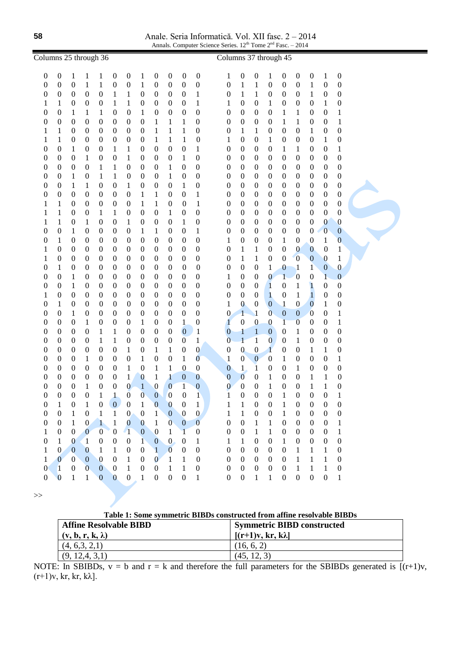**58**

Anale. Seria Informatică. Vol. XII fasc. 2 – 2014 Annals. Computer Science Series. 12<sup>th</sup> Tome 2<sup>nd</sup> Fasc. – 2014

| Columns 25 through 36                |                                      |                                      |                       |                                  |                                  |                                      |                              |                                  |                                  |                                      |                                  | Columns 37 through 45                |                                      |                                      |                                      |                                      |                                      |                                      |                                      |                                      |  |
|--------------------------------------|--------------------------------------|--------------------------------------|-----------------------|----------------------------------|----------------------------------|--------------------------------------|------------------------------|----------------------------------|----------------------------------|--------------------------------------|----------------------------------|--------------------------------------|--------------------------------------|--------------------------------------|--------------------------------------|--------------------------------------|--------------------------------------|--------------------------------------|--------------------------------------|--------------------------------------|--|
| $\boldsymbol{0}$                     | $\boldsymbol{0}$                     | $\mathbf{1}$                         | $\mathbf{1}$          | 1                                | $\boldsymbol{0}$                 | $\boldsymbol{0}$                     | 1                            | $\boldsymbol{0}$                 | $\boldsymbol{0}$                 | $\boldsymbol{0}$                     | $\boldsymbol{0}$                 | 1                                    | $\boldsymbol{0}$                     | $\boldsymbol{0}$                     | 1                                    | $\boldsymbol{0}$                     | $\boldsymbol{0}$                     | $\boldsymbol{0}$                     | 1                                    | $\boldsymbol{0}$                     |  |
| $\boldsymbol{0}$                     | $\boldsymbol{0}$                     | $\boldsymbol{0}$                     | $\mathbf{1}$          | 1                                | $\boldsymbol{0}$                 | $\boldsymbol{0}$                     | 1                            | $\boldsymbol{0}$                 | $\boldsymbol{0}$                 | $\boldsymbol{0}$                     | $\boldsymbol{0}$                 | $\boldsymbol{0}$                     | $\mathbf{1}$                         | $\mathbf{1}$                         | $\boldsymbol{0}$                     | $\boldsymbol{0}$                     | $\boldsymbol{0}$                     | 1                                    | $\boldsymbol{0}$                     | $\boldsymbol{0}$                     |  |
| $\boldsymbol{0}$                     | $\boldsymbol{0}$                     | $\boldsymbol{0}$                     | $\boldsymbol{0}$      | $\boldsymbol{0}$                 | $\mathbf{1}$                     | $\mathbf{1}$                         | $\boldsymbol{0}$             | $\boldsymbol{0}$                 | $\boldsymbol{0}$                 | $\boldsymbol{0}$                     | $\mathbf{1}$                     | $\boldsymbol{0}$                     | $\mathbf{1}$                         | $\mathbf{1}$                         | $\boldsymbol{0}$                     | $\boldsymbol{0}$                     | $\boldsymbol{0}$                     | $\mathbf{1}$                         | $\boldsymbol{0}$                     | $\boldsymbol{0}$                     |  |
| 1                                    | 1                                    | $\boldsymbol{0}$                     | $\boldsymbol{0}$      | $\boldsymbol{0}$                 | $\mathbf{1}$                     | $\mathbf{1}$                         | 0                            | $\boldsymbol{0}$                 | $\boldsymbol{0}$                 | $\boldsymbol{0}$                     | 1                                | 1                                    | $\boldsymbol{0}$                     | $\boldsymbol{0}$                     | 1                                    | $\boldsymbol{0}$                     | $\boldsymbol{0}$                     | $\boldsymbol{0}$                     | $\mathbf{1}$                         | $\boldsymbol{0}$                     |  |
| $\boldsymbol{0}$                     | $\boldsymbol{0}$                     | $\mathbf{1}$                         | 1                     | $\mathbf{1}$                     | $\boldsymbol{0}$                 | $\boldsymbol{0}$                     | 1                            | $\boldsymbol{0}$                 | $\boldsymbol{0}$                 | $\boldsymbol{0}$                     | $\boldsymbol{0}$                 | $\boldsymbol{0}$                     | $\boldsymbol{0}$                     | $\boldsymbol{0}$                     | $\boldsymbol{0}$                     | $\mathbf{1}$                         | 1                                    | $\boldsymbol{0}$                     | $\boldsymbol{0}$                     | $\mathbf{1}$                         |  |
| $\boldsymbol{0}$                     | $\boldsymbol{0}$                     | $\boldsymbol{0}$                     | $\boldsymbol{0}$      | $\boldsymbol{0}$                 | $\boldsymbol{0}$                 | $\boldsymbol{0}$                     | $\boldsymbol{0}$             | $\mathbf{1}$                     | $\mathbf{1}$                     | $\mathbf{1}$                         | $\boldsymbol{0}$                 | $\boldsymbol{0}$                     | $\boldsymbol{0}$                     | $\boldsymbol{0}$                     | $\boldsymbol{0}$                     | $\mathbf{1}$                         | $\mathbf{1}$                         | $\boldsymbol{0}$                     | $\boldsymbol{0}$                     | $\mathbf{1}$                         |  |
| 1                                    | $\mathbf{1}$                         | $\boldsymbol{0}$                     | $\boldsymbol{0}$      | $\boldsymbol{0}$                 | $\boldsymbol{0}$                 | $\boldsymbol{0}$                     | $\boldsymbol{0}$             | $\mathbf{1}$                     | $\mathbf{1}$                     | $\mathbf 1$                          | $\boldsymbol{0}$                 | $\boldsymbol{0}$                     | $\mathbf{1}$                         | $\mathbf{1}$                         | $\boldsymbol{0}$                     | $\boldsymbol{0}$                     | $\boldsymbol{0}$                     | 1                                    | $\boldsymbol{0}$                     | $\boldsymbol{0}$                     |  |
| $\mathbf{1}$                         | $\mathbf{1}$                         | $\boldsymbol{0}$                     | $\boldsymbol{0}$      | $\boldsymbol{0}$                 | $\boldsymbol{0}$                 | $\boldsymbol{0}$                     | $\boldsymbol{0}$             | $\mathbf{1}$                     | $\mathbf 1$                      | $\mathbf 1$                          | $\boldsymbol{0}$                 | 1                                    | $\boldsymbol{0}$                     | $\boldsymbol{0}$                     | $\mathbf{1}$                         | $\boldsymbol{0}$                     | $\boldsymbol{0}$                     | $\boldsymbol{0}$                     | $\mathbf{1}$                         | $\boldsymbol{0}$                     |  |
| $\boldsymbol{0}$                     | $\boldsymbol{0}$                     | $\mathbf{1}$                         | $\boldsymbol{0}$      | $\boldsymbol{0}$                 | $\mathbf{1}$                     | $\mathbf{1}$                         | $\boldsymbol{0}$             | $\boldsymbol{0}$                 | $\boldsymbol{0}$                 | $\boldsymbol{0}$                     | $\mathbf{1}$                     | $\boldsymbol{0}$                     | $\boldsymbol{0}$                     | $\boldsymbol{0}$                     | $\boldsymbol{0}$                     | $\mathbf{1}$                         | $\mathbf{1}$                         | $\boldsymbol{0}$                     | $\boldsymbol{0}$                     | $\mathbf{1}$                         |  |
| $\boldsymbol{0}$                     | $\boldsymbol{0}$                     | $\boldsymbol{0}$                     | $\mathbf{1}$          | $\boldsymbol{0}$                 | $\boldsymbol{0}$                 | $\mathbf{1}$                         | $\boldsymbol{0}$             | $\boldsymbol{0}$                 | $\boldsymbol{0}$                 | $\mathbf{1}$                         | $\boldsymbol{0}$                 | $\boldsymbol{0}$                     | $\boldsymbol{0}$                     | $\boldsymbol{0}$                     | $\boldsymbol{0}$                     | $\boldsymbol{0}$                     | $\boldsymbol{0}$                     | $\boldsymbol{0}$                     | $\boldsymbol{0}$                     | $\boldsymbol{0}$                     |  |
| $\boldsymbol{0}$                     | $\boldsymbol{0}$                     | $\boldsymbol{0}$                     | $\boldsymbol{0}$      | 1                                | 1                                | $\boldsymbol{0}$                     | $\boldsymbol{0}$             | $\boldsymbol{0}$                 | $\mathbf{1}$                     | $\boldsymbol{0}$                     | $\boldsymbol{0}$                 | $\boldsymbol{0}$                     | $\boldsymbol{0}$                     | $\boldsymbol{0}$                     | $\boldsymbol{0}$                     | $\boldsymbol{0}$                     | $\boldsymbol{0}$                     | $\boldsymbol{0}$                     | $\boldsymbol{0}$                     | $\boldsymbol{0}$                     |  |
| $\boldsymbol{0}$                     | $\boldsymbol{0}$                     | $\mathbf{1}$                         | $\boldsymbol{0}$      | $\mathbf{1}$                     | $\mathbf{1}$                     | $\boldsymbol{0}$                     | $\boldsymbol{0}$             | $\boldsymbol{0}$                 | $\mathbf{1}$                     | $\boldsymbol{0}$                     | $\boldsymbol{0}$                 | $\boldsymbol{0}$                     | $\boldsymbol{0}$                     | $\boldsymbol{0}$                     | $\boldsymbol{0}$                     | $\boldsymbol{0}$                     | $\boldsymbol{0}$                     | $\boldsymbol{0}$                     | $\boldsymbol{0}$                     | $\boldsymbol{0}$                     |  |
| $\boldsymbol{0}$                     | $\boldsymbol{0}$                     | $\mathbf{1}$                         | 1                     | $\boldsymbol{0}$                 | $\boldsymbol{0}$                 | $\mathbf{1}$                         | $\boldsymbol{0}$             | $\boldsymbol{0}$                 | $\boldsymbol{0}$                 | $\mathbf{1}$                         | $\boldsymbol{0}$                 | $\boldsymbol{0}$                     | $\boldsymbol{0}$                     | $\boldsymbol{0}$                     | $\boldsymbol{0}$                     | $\boldsymbol{0}$                     | $\boldsymbol{0}$                     | $\boldsymbol{0}$                     | $\boldsymbol{0}$                     | $\boldsymbol{0}$                     |  |
| $\boldsymbol{0}$                     | $\boldsymbol{0}$                     | $\boldsymbol{0}$                     | $\boldsymbol{0}$      | $\boldsymbol{0}$                 | $\boldsymbol{0}$                 | $\boldsymbol{0}$                     | 1                            | $\mathbf{1}$                     | $\mathbf{0}$                     | $\boldsymbol{0}$                     | $\mathbf{1}$                     | $\boldsymbol{0}$                     | $\boldsymbol{0}$                     | $\boldsymbol{0}$                     | $\boldsymbol{0}$                     | $\boldsymbol{0}$                     | $\boldsymbol{0}$                     | $\boldsymbol{0}$                     | $\boldsymbol{0}$                     | $\boldsymbol{0}$                     |  |
| $\mathbf{1}$                         | $\mathbf{1}$                         | $\boldsymbol{0}$<br>$\boldsymbol{0}$ | $\boldsymbol{0}$      | $\boldsymbol{0}$                 | $\boldsymbol{0}$                 | $\boldsymbol{0}$<br>$\boldsymbol{0}$ | 1<br>$\boldsymbol{0}$        | $\mathbf{1}$<br>$\boldsymbol{0}$ | $\mathbf{0}$                     | $\boldsymbol{0}$<br>$\boldsymbol{0}$ | $\mathbf{1}$<br>$\boldsymbol{0}$ | $\boldsymbol{0}$                     | $\boldsymbol{0}$<br>$\boldsymbol{0}$ | $\boldsymbol{0}$<br>$\boldsymbol{0}$ | $\boldsymbol{0}$<br>$\boldsymbol{0}$ | $\boldsymbol{0}$<br>$\boldsymbol{0}$ | $\boldsymbol{0}$<br>$\boldsymbol{0}$ | $\boldsymbol{0}$<br>$\boldsymbol{0}$ | $\boldsymbol{0}$<br>$\boldsymbol{0}$ | $\boldsymbol{0}$<br>$\boldsymbol{0}$ |  |
| $\mathbf{1}$<br>$\mathbf{1}$         | $\mathbf{1}$<br>$\mathbf{1}$         | $\boldsymbol{0}$                     | $\boldsymbol{0}$<br>1 | 1<br>$\boldsymbol{0}$            | 1<br>$\boldsymbol{0}$            | $\mathbf{1}$                         | $\boldsymbol{0}$             | $\boldsymbol{0}$                 | 1<br>$\boldsymbol{0}$            | $\mathbf{1}$                         | $\boldsymbol{0}$                 | $\boldsymbol{0}$<br>$\boldsymbol{0}$ | $\boldsymbol{0}$                     | $\boldsymbol{0}$                     | $\boldsymbol{0}$                     | $\boldsymbol{0}$                     | $\boldsymbol{0}$                     | $\boldsymbol{0}$                     | $\boldsymbol{0}$                     | $\boldsymbol{0}$                     |  |
| $\boldsymbol{0}$                     | $\boldsymbol{0}$                     | $\mathbf{1}$                         | $\boldsymbol{0}$      | $\boldsymbol{0}$                 | $\boldsymbol{0}$                 | $\boldsymbol{0}$                     | 1                            | $\mathbf{1}$                     | $\boldsymbol{0}$                 | $\boldsymbol{0}$                     | 1                                | $\boldsymbol{0}$                     | $\boldsymbol{0}$                     | $\boldsymbol{0}$                     | $\boldsymbol{0}$                     | $\boldsymbol{0}$                     | $\boldsymbol{0}$                     | $\boldsymbol{0}$                     | $\boldsymbol{0}$                     | $\boldsymbol{0}$                     |  |
| $\boldsymbol{0}$                     | 1                                    | $\boldsymbol{0}$                     | $\boldsymbol{0}$      | $\boldsymbol{0}$                 | $\boldsymbol{0}$                 | $\boldsymbol{0}$                     | $\boldsymbol{0}$             | $\boldsymbol{0}$                 | $\boldsymbol{0}$                 | $\boldsymbol{0}$                     | $\boldsymbol{0}$                 | 1                                    | $\boldsymbol{0}$                     | $\boldsymbol{0}$                     | $\boldsymbol{0}$                     | 1                                    | $\boldsymbol{0}$                     | $\boldsymbol{0}$                     | $\mathbf{1}$                         | $\overline{0}$                       |  |
| 1                                    | $\boldsymbol{0}$                     | $\boldsymbol{0}$                     | $\boldsymbol{0}$      | $\boldsymbol{0}$                 | $\boldsymbol{0}$                 | $\boldsymbol{0}$                     | $\boldsymbol{0}$             | $\boldsymbol{0}$                 | $\boldsymbol{0}$                 | $\boldsymbol{0}$                     | $\boldsymbol{0}$                 | $\boldsymbol{0}$                     | $\mathbf{1}$                         | $\mathbf{1}$                         | $\boldsymbol{0}$                     | $\boldsymbol{0}$                     | $\bf{0}$                             | $\mathbf{0}$                         | $\boldsymbol{0}$                     | $\mathbf{1}$                         |  |
| 1                                    | $\boldsymbol{0}$                     | $\boldsymbol{0}$                     | $\boldsymbol{0}$      | $\boldsymbol{0}$                 | $\boldsymbol{0}$                 | $\boldsymbol{0}$                     | $\boldsymbol{0}$             | $\boldsymbol{0}$                 | $\boldsymbol{0}$                 | $\boldsymbol{0}$                     | $\boldsymbol{0}$                 | $\boldsymbol{0}$                     | $\mathbf{1}$                         | $\mathbf{1}$                         | $\boldsymbol{0}$                     | $\boldsymbol{0}$                     | $\boldsymbol{0}$                     | $\boldsymbol{0}$                     | $\bf{0}$                             | $\,1$                                |  |
| $\boldsymbol{0}$                     | $\mathbf{1}$                         | $\boldsymbol{0}$                     | $\boldsymbol{0}$      | $\boldsymbol{0}$                 | $\boldsymbol{0}$                 | $\boldsymbol{0}$                     | $\boldsymbol{0}$             | $\boldsymbol{0}$                 | $\boldsymbol{0}$                 | $\boldsymbol{0}$                     | $\boldsymbol{0}$                 | $\boldsymbol{0}$                     | $\boldsymbol{0}$                     | $\boldsymbol{0}$                     | $\mathbf{1}$                         | $\boldsymbol{0}$                     | $\mathbf{1}$                         | $\mathbf{1}$                         | $\boldsymbol{0}$                     | $\boldsymbol{0}$                     |  |
| $\boldsymbol{0}$                     | $\boldsymbol{0}$                     | 1                                    | $\boldsymbol{0}$      | $\boldsymbol{0}$                 | $\boldsymbol{0}$                 | $\boldsymbol{0}$                     | $\boldsymbol{0}$             | $\boldsymbol{0}$                 | $\boldsymbol{0}$                 | $\boldsymbol{0}$                     | $\boldsymbol{0}$                 | 1                                    | $\boldsymbol{0}$                     | $\boldsymbol{0}$                     | $\bf{0}$                             | $\mathbf{1}$                         | $\boldsymbol{0}$                     | $\boldsymbol{0}$                     | $\mathbf{1}$                         | $\overline{0}$                       |  |
| $\boldsymbol{0}$                     | $\boldsymbol{0}$                     | $\mathbf{1}$                         | $\boldsymbol{0}$      | $\boldsymbol{0}$                 | $\boldsymbol{0}$                 | $\boldsymbol{0}$                     | $\boldsymbol{0}$             | $\boldsymbol{0}$                 | $\boldsymbol{0}$                 | $\boldsymbol{0}$                     | $\boldsymbol{0}$                 | $\boldsymbol{0}$                     | $\boldsymbol{0}$                     | $\boldsymbol{0}$                     | $\mathbf{1}$                         | $\boldsymbol{0}$                     | $\mathbf{1}$                         | $\mathbf{1}$                         | $\boldsymbol{0}$                     | $\boldsymbol{0}$                     |  |
| $\mathbf{1}$                         | $\boldsymbol{0}$                     | $\boldsymbol{0}$                     | $\boldsymbol{0}$      | $\boldsymbol{0}$                 | $\boldsymbol{0}$                 | $\boldsymbol{0}$                     | $\boldsymbol{0}$             | $\boldsymbol{0}$                 | $\boldsymbol{0}$                 | $\boldsymbol{0}$                     | $\boldsymbol{0}$                 | $\boldsymbol{0}$                     | $\boldsymbol{0}$                     | $\boldsymbol{0}$                     | $\mathbf{1}$                         | $\boldsymbol{0}$                     | $\mathbf{1}$                         | $\mathbf{1}$                         | $\boldsymbol{0}$                     | $\boldsymbol{0}$                     |  |
| $\boldsymbol{0}$                     | $\mathbf{1}$                         | $\boldsymbol{0}$                     | $\boldsymbol{0}$      | $\boldsymbol{0}$                 | $\boldsymbol{0}$                 | $\boldsymbol{0}$                     | $\boldsymbol{0}$             | $\boldsymbol{0}$                 | $\boldsymbol{0}$                 | $\boldsymbol{0}$                     | $\boldsymbol{0}$                 | 1                                    | $\bf{0}$                             | $\boldsymbol{0}$                     | $\boldsymbol{0}$                     | $\mathbf{1}$                         | $\mathbf{0}$                         | $\boldsymbol{0}$                     | $\mathbf{1}$                         | $\boldsymbol{0}$                     |  |
| $\boldsymbol{0}$                     | $\boldsymbol{0}$                     | $\mathbf{1}$                         | $\boldsymbol{0}$      | $\boldsymbol{0}$                 | $\boldsymbol{0}$                 | $\boldsymbol{0}$                     | $\boldsymbol{0}$             | $\boldsymbol{0}$                 | $\boldsymbol{0}$                 | $\boldsymbol{0}$                     | $\boldsymbol{0}$                 | $\boldsymbol{0}$                     | $\mathbf{1}$                         | $\mathbf{1}$                         | $\overline{0}$                       | $\boldsymbol{0}$                     | $\boldsymbol{0}$                     | $\boldsymbol{0}$                     | $\boldsymbol{0}$                     | $\mathbf{1}$                         |  |
| $\boldsymbol{0}$                     | $\boldsymbol{0}$                     | $\boldsymbol{0}$                     | 1                     | $\boldsymbol{0}$                 | $\boldsymbol{0}$                 | $\boldsymbol{0}$                     | 1                            | $\boldsymbol{0}$                 | $\boldsymbol{0}$                 | $\mathbf{1}$                         | $\boldsymbol{0}$                 | $\mathbf{1}$                         | $\boldsymbol{0}$                     | $\boldsymbol{0}$                     | $\boldsymbol{0}$                     | 1                                    | $\boldsymbol{0}$                     | $\boldsymbol{0}$                     | $\boldsymbol{0}$                     | $\mathbf{1}$                         |  |
| $\boldsymbol{0}$                     | $\boldsymbol{0}$                     | $\boldsymbol{0}$                     | $\boldsymbol{0}$      | 1                                | 1                                | $\boldsymbol{0}$                     | $\boldsymbol{0}$             | $\boldsymbol{0}$                 | $\boldsymbol{0}$                 | $\boldsymbol{0}$                     | $\mathbf{1}$                     | $\boldsymbol{0}$                     | $\mathbf{1}$                         | $\mathbf{1}$                         | $\boldsymbol{0}$                     | $\boldsymbol{0}$                     | 1                                    | $\boldsymbol{0}$                     | $\boldsymbol{0}$                     | $\boldsymbol{0}$                     |  |
| $\boldsymbol{0}$                     | $\boldsymbol{0}$                     | $\boldsymbol{0}$                     | $\boldsymbol{0}$      | $\mathbf{1}$                     | 1                                | $\boldsymbol{0}$                     | $\boldsymbol{0}$             | $\boldsymbol{0}$                 | $\boldsymbol{0}$                 | $\boldsymbol{0}$                     | $\mathbf{1}$                     | $\overline{0}$                       | $\mathbf{1}$                         | $\mathbf{1}$                         | $\boldsymbol{0}$                     | $\boldsymbol{0}$                     | $\mathbf{1}$                         | $\boldsymbol{0}$                     | $\boldsymbol{0}$                     | $\boldsymbol{0}$                     |  |
| $\boldsymbol{0}$                     | $\boldsymbol{0}$                     | $\boldsymbol{0}$                     | $\boldsymbol{0}$      | $\boldsymbol{0}$                 | $\boldsymbol{0}$                 | $\mathbf{1}$                         | $\boldsymbol{0}$             | $\mathbf{1}$                     | $\mathbf{1}$                     | $\boldsymbol{0}$                     | $\boldsymbol{0}$                 | $\boldsymbol{0}$                     | $\boldsymbol{0}$                     | $\boldsymbol{0}$                     | $\mathbf{1}$                         | $\boldsymbol{0}$                     | $\boldsymbol{0}$                     | $\mathbf{1}$                         | $\mathbf{1}$                         | $\boldsymbol{0}$                     |  |
| $\boldsymbol{0}$                     | $\boldsymbol{0}$                     | $\boldsymbol{0}$                     | 1                     | $\boldsymbol{0}$                 | $\boldsymbol{0}$                 | $\boldsymbol{0}$                     | $\mathbf{1}$                 | $\boldsymbol{0}$                 | $\boldsymbol{0}$                 | $\mathbf{1}$                         | $\bf{0}$                         | $\mathbf{1}$                         | $\boldsymbol{0}$                     | $\boldsymbol{0}$                     | $\boldsymbol{0}$                     | 1                                    | $\boldsymbol{0}$                     | $\boldsymbol{0}$                     | $\boldsymbol{0}$                     | $\mathbf{1}$                         |  |
| $\boldsymbol{0}$                     | $\boldsymbol{0}$                     | $\boldsymbol{0}$                     | $\boldsymbol{0}$      | $\boldsymbol{0}$                 | $\boldsymbol{0}$                 | $\mathbf{1}$                         | $\boldsymbol{0}$             | $\mathbf{1}$                     | $\mathbf{1}$                     | $\boldsymbol{0}$                     | $\boldsymbol{0}$                 | $\boldsymbol{0}$                     | $\mathbf{1}$                         | $\mathbf{1}$                         | $\boldsymbol{0}$                     | $\boldsymbol{0}$                     | $\mathbf{1}$                         | $\boldsymbol{0}$                     | $\boldsymbol{0}$                     | $\boldsymbol{0}$                     |  |
| $\boldsymbol{0}$                     | $\boldsymbol{0}$                     | $\boldsymbol{0}$                     | $\boldsymbol{0}$      | $\boldsymbol{0}$                 | $\boldsymbol{0}$                 | $\mathbf{1}$                         | $\boldsymbol{0}$             | $\mathbf{1}$<br>$\boldsymbol{0}$ | $\mathbf{1}$<br>$\boldsymbol{0}$ | $\boldsymbol{0}$                     | $\boldsymbol{0}$                 | $\boldsymbol{0}$                     | $\overline{0}$                       | $\boldsymbol{0}$<br>$\boldsymbol{0}$ | $\mathbf{1}$                         | $\boldsymbol{0}$<br>$\boldsymbol{0}$ | $\boldsymbol{0}$                     | $\mathbf{1}$                         | $\mathbf{1}$                         | $\boldsymbol{0}$                     |  |
| $\boldsymbol{0}$<br>$\boldsymbol{0}$ | $\boldsymbol{0}$<br>$\boldsymbol{0}$ | $\boldsymbol{0}$<br>$\boldsymbol{0}$ | 1<br>$\boldsymbol{0}$ | $\boldsymbol{0}$<br>$\mathbf{1}$ | $\boldsymbol{0}$<br>$\mathbf{1}$ | $\boldsymbol{0}$<br>$\overline{0}$   | $\mathbf{1}$<br>$\mathbf{0}$ | $\boldsymbol{0}$                 | $\overline{0}$                   | $\mathbf{1}$<br>$\boldsymbol{0}$     | $\boldsymbol{0}$<br>$\mathbf{1}$ | $\bf{0}$<br>$\mathbf{1}$             | $\boldsymbol{0}$<br>$\boldsymbol{0}$ | $\boldsymbol{0}$                     | $\mathbf{1}$<br>$\boldsymbol{0}$     | $\mathbf{1}$                         | $\boldsymbol{0}$<br>$\boldsymbol{0}$ | $\mathbf{1}$<br>$\boldsymbol{0}$     | $\mathbf{1}$<br>$\boldsymbol{0}$     | $\boldsymbol{0}$<br>1                |  |
| $\Omega$                             | $\mathbf{1}$                         | $\overline{0}$                       | $\overline{1}$        | $\boldsymbol{0}$                 | $\mathbf{0}$                     | $\boldsymbol{0}$                     | $\mathbf{1}$                 | $\theta$                         | $\mathbf{0}$                     | $\boldsymbol{0}$                     | $\mathbf{1}$                     | 1                                    | $\mathbf{1}$                         | $\overline{0}$                       | $\Omega$                             | $\mathbf{1}$                         | $\Omega$                             | $\overline{0}$                       | $\Omega$                             | $\Omega$                             |  |
| $\boldsymbol{0}$                     | $\boldsymbol{0}$                     | $\,1$                                | $\boldsymbol{0}$      | $\mathbf{1}$                     | $\mathbf{1}$                     | $\boldsymbol{0}$                     | $\boldsymbol{0}$             | $\mathbf{1}$                     | $\boldsymbol{0}$                 | $\boldsymbol{0}$                     | $\mathbf{0}$                     | $\mathbf{1}$                         | $\mathbf 1$                          | $\boldsymbol{0}$                     | $\boldsymbol{0}$                     | $\mathbf{1}$                         | $\boldsymbol{0}$                     | $\boldsymbol{0}$                     | $\boldsymbol{0}$                     | $\boldsymbol{0}$                     |  |
| $\boldsymbol{0}$                     | $\boldsymbol{0}$                     | $\mathbf{1}$                         | $\boldsymbol{0}$      | $\mathbf{1}$                     | $\mathbf{1}$                     | $\boldsymbol{0}$                     | $\boldsymbol{0}$             | $\mathbf{1}$                     | $\mathbf{0}$                     | $\boldsymbol{0}$                     | $\overline{0}$                   | $\boldsymbol{0}$                     | $\boldsymbol{0}$                     | $\mathbf{1}$                         | $\mathbf{1}$                         | $\boldsymbol{0}$                     | $\boldsymbol{0}$                     | $\boldsymbol{0}$                     | $\boldsymbol{0}$                     | $\mathbf{1}$                         |  |
| $\mathbf{1}$                         | $\boldsymbol{0}$                     | $\boldsymbol{0}$                     | $\mathbf{0}$          | $\overline{0}$                   | $\boldsymbol{0}$                 | $\overline{\mathbf{1}}$              | $\boldsymbol{0}$             | $\boldsymbol{0}$                 | $\mathbf{1}$                     | $\mathbf 1$                          | $\boldsymbol{0}$                 | $\boldsymbol{0}$                     | $\boldsymbol{0}$                     | $\mathbf{1}$                         | $\,1\,$                              | $\boldsymbol{0}$                     | $\boldsymbol{0}$                     | $\boldsymbol{0}$                     | $\boldsymbol{0}$                     | $\,1\,$                              |  |
| $\boldsymbol{0}$                     | $\mathbf{1}$                         | $\boldsymbol{0}$                     | $\mathbf{1}$          | $\boldsymbol{0}$                 | $\boldsymbol{0}$                 | $\boldsymbol{0}$                     | $\mathbf{1}$                 | $\boldsymbol{0}$                 | $\mathbf{0}$                     | $\boldsymbol{0}$                     | $\mathbf{1}$                     | $\mathbf{1}$                         | $\mathbf{1}$                         | $\boldsymbol{0}$                     | $\boldsymbol{0}$                     | $\mathbf{1}$                         | $\boldsymbol{0}$                     | $\boldsymbol{0}$                     | $\boldsymbol{0}$                     | $\boldsymbol{0}$                     |  |
| $\mathbf{1}$                         | $\overline{0}$                       | $\boldsymbol{0}$                     | $\mathbf{0}$          | $\mathbf{1}$                     | $\mathbf{1}$                     | $\boldsymbol{0}$                     | $\boldsymbol{0}$             | $\mathbf{1}$                     | $\mathbf{0}$                     | $\boldsymbol{0}$                     | $\boldsymbol{0}$                 | $\boldsymbol{0}$                     | $\boldsymbol{0}$                     | $\boldsymbol{0}$                     | $\boldsymbol{0}$                     | $\boldsymbol{0}$                     | $\mathbf{1}$                         | $\mathbf{1}$                         | $\mathbf{1}$                         | $\boldsymbol{0}$                     |  |
| $\mathbf{1}$                         | $\overline{0}$                       | $\boldsymbol{0}$                     | $\boldsymbol{0}$      | $\boldsymbol{0}$                 | $\boldsymbol{0}$                 | $\mathbf{1}$                         | $\boldsymbol{0}$             | $\bf{0}$                         | $\mathbf{1}$                     | $\,1\,$                              | $\boldsymbol{0}$                 | $\boldsymbol{0}$                     | $\boldsymbol{0}$                     | $\boldsymbol{0}$                     | $\boldsymbol{0}$                     | $\boldsymbol{0}$                     | $\,1\,$                              | $1\,$                                | $1\,$                                | $\boldsymbol{0}$                     |  |
| $\boldsymbol{0}$                     | $\overline{1}$                       | $\boldsymbol{0}$                     | $\overline{0}$        | $\boldsymbol{0}$                 | $\mathbf{0}$                     | $1\,$                                | $\boldsymbol{0}$             | $\boldsymbol{0}$                 | $\mathbf{1}$                     | $\,1\,$                              | $\boldsymbol{0}$                 | $\boldsymbol{0}$                     | $\boldsymbol{0}$                     | $\boldsymbol{0}$                     | $\boldsymbol{0}$                     | $\boldsymbol{0}$                     | $\,1\,$                              | $\mathbf{1}$                         | $\mathbf{1}$                         | $\boldsymbol{0}$                     |  |
| $\boldsymbol{0}$                     | $\bf{0}$                             | $\mathbf{1}$                         | $\mathbf{1}$          | $\mathbf{0}$                     | $\mathbf{0}$                     | $\boldsymbol{0}$                     | $\mathbf{1}$                 | $\boldsymbol{0}$                 | $\boldsymbol{0}$                 | $\boldsymbol{0}$                     | $\mathbf{1}$                     | $\boldsymbol{0}$                     | $\boldsymbol{0}$                     | $\mathbf{1}$                         | $\mathbf{1}$                         | $\boldsymbol{0}$                     | $\boldsymbol{0}$                     | $\boldsymbol{0}$                     | $\boldsymbol{0}$                     | $\mathbf{1}$                         |  |
|                                      |                                      |                                      |                       |                                  |                                  |                                      |                              |                                  |                                  |                                      |                                  |                                      |                                      |                                      |                                      |                                      |                                      |                                      |                                      |                                      |  |

>>

| Table 1: Some symmetric BIBDs constructed from affine resolvable BIBDs |
|------------------------------------------------------------------------|
|------------------------------------------------------------------------|

| <b>Affine Resolvable BIBD</b> | <b>Symmetric BIBD constructed</b> |
|-------------------------------|-----------------------------------|
| $(v, b, r, k, \lambda)$       | $[(r+1)v, kr, k\lambda]$          |
| (4, 6, 3, 2, 1)               | (16, 6, 2)                        |
| (9, 12, 4, 3, 1)              | (45, 12, 3)                       |

NOTE: In SBIBDs,  $v = b$  and  $r = k$  and therefore the full parameters for the SBIBDs generated is  $[(r+1)v,$  $(r+1)v$ , kr, kr, k $\lambda$ ].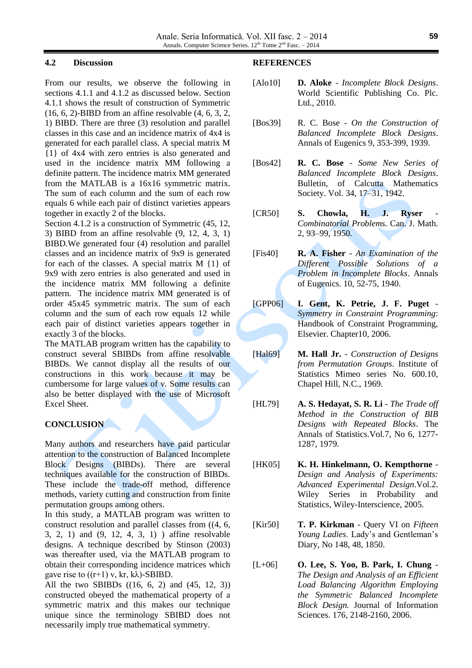#### **4.2 Discussion**

From our results, we observe the following in sections 4.1.1 and 4.1.2 as discussed below. Section 4.1.1 shows the result of construction of Symmetric  $(16, 6, 2)$ -BIBD from an affine resolvable  $(4, 6, 3, 2, 1)$ 1) BIBD. There are three (3) resolution and parallel classes in this case and an incidence matrix of 4x4 is generated for each parallel class. A special matrix M {1} of 4x4 with zero entries is also generated and used in the incidence matrix MM following a definite pattern. The incidence matrix MM generated from the MATLAB is a 16x16 symmetric matrix. The sum of each column and the sum of each row equals 6 while each pair of distinct varieties appears together in exactly 2 of the blocks.

Section 4.1.2 is a construction of Symmetric (45, 12, 3) BIBD from an affine resolvable (9, 12, 4, 3, 1) BIBD.We generated four (4) resolution and parallel classes and an incidence matrix of 9x9 is generated for each of the classes. A special matrix M {1} of 9x9 with zero entries is also generated and used in the incidence matrix MM following a definite pattern. The incidence matrix MM generated is of order 45x45 symmetric matrix. The sum of each column and the sum of each row equals 12 while each pair of distinct varieties appears together in exactly 3 of the blocks.

The MATLAB program written has the capability to construct several SBIBDs from affine resolvable BIBDs. We cannot display all the results of our constructions in this work because it may be cumbersome for large values of v. Some results can also be better displayed with the use of Microsoft Excel Sheet.

# **CONCLUSION**

Many authors and researchers have paid particular attention to the construction of Balanced Incomplete Block Designs (BIBDs). There are several techniques available for the construction of BIBDs. These include the trade-off method, difference methods, variety cutting and construction from finite permutation groups among others.

In this study, a MATLAB program was written to construct resolution and parallel classes from ((4, 6, 3, 2, 1) and (9, 12, 4, 3, 1) ) affine resolvable designs. A technique described by Stinson (2003) was thereafter used, via the MATLAB program to obtain their corresponding incidence matrices which gave rise to  $((r+1)$  v, kr, k $\lambda$ )-SBIBD.

All the two SBIBDs ((16, 6, 2) and (45, 12, 3)) constructed obeyed the mathematical property of a symmetric matrix and this makes our technique unique since the terminology SBIBD does not necessarily imply true mathematical symmetry.

#### **REFERENCES**

- [Alo10] **D. Aloke** *Incomplete Block Designs*. World Scientific Publishing Co. Plc. Ltd., 2010.
- [Bos39] R. C. Bose *On the Construction of Balanced Incomplete Block Designs*. Annals of Eugenics 9, 353-399, 1939.
- [Bos42] **R. C. Bose** *Some New Series of Balanced Incomplete Block Designs*. Bulletin, of Calcutta Mathematics Society. Vol. 34, 17–31, 1942.
- [CR50] **S. Chowla, H. J. Ryser** *Combinatorial Problems.* Can. J. Math. 2, 93–99, 1950.
- [Fis40] **R. A. Fisher** *An Examination of the Different Possible Solutions of a Problem in Incomplete Blocks*. Annals of Eugenics. 10, 52-75, 1940.
- [GPP06] **I. Gent, K. Petrie, J. F. Puget** *Symmetry in Constraint Programming*: Handbook of Constraint Programming, Elsevier. Chapter10, 2006.
- [Hal69] **M. Hall Jr.** *Construction of Designs from Permutation Groups*. Institute of Statistics Mimeo series No. 600.10, Chapel Hill, N.C., 1969.
- [HL79] **A. S. Hedayat, S. R. Li** *The Trade off Method in the Construction of BIB Designs with Repeated Blocks*. The Annals of Statistics.Vol.7, No 6, 1277- 1287, 1979.
- [HK05] **K. H. Hinkelmann, O. Kempthorne** *Design and Analysis of Experiments: Advanced Experimental Design*.Vol.2. Wiley Series in Probability and Statistics, Wiley-Interscience, 2005.
- [Kir50] **T. P. Kirkman** Query VI on *Fifteen Young Ladies*. Lady's and Gentleman's Diary, No 148, 48, 1850.
- [L+06] **O. Lee, S. Yoo, B. Park, I. Chung** *The Design and Analysis of an Efficient Load Balancing Algorithm Employing the Symmetric Balanced Incomplete Block Design.* Journal of Information Sciences. 176, 2148-2160, 2006.